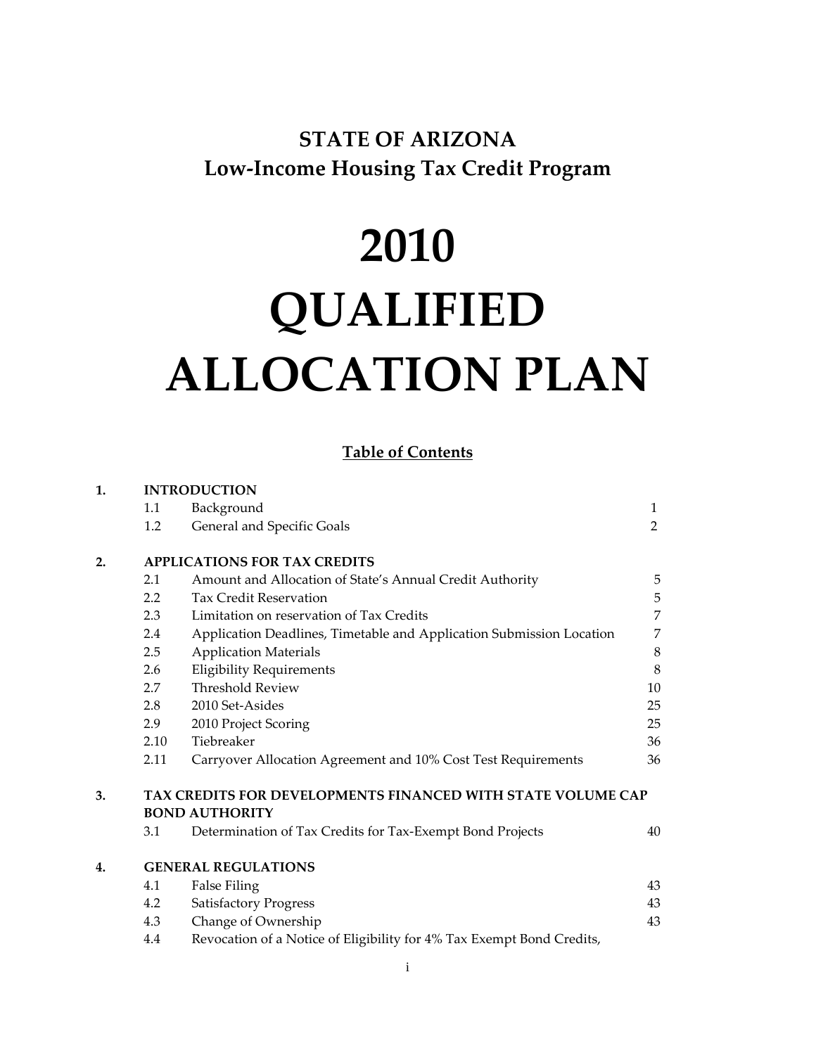## **STATE OF ARIZONA Low‐Income Housing Tax Credit Program**

# **2010 QUALIFIED ALLOCATION PLAN**

## **Table of Contents**

| 1. | <b>INTRODUCTION</b>                                                                  |                                                                       |    |  |  |  |
|----|--------------------------------------------------------------------------------------|-----------------------------------------------------------------------|----|--|--|--|
|    | 1.1                                                                                  | Background                                                            | 1  |  |  |  |
|    | 1.2                                                                                  | General and Specific Goals                                            | 2  |  |  |  |
| 2. | <b>APPLICATIONS FOR TAX CREDITS</b>                                                  |                                                                       |    |  |  |  |
|    | 2.1                                                                                  | Amount and Allocation of State's Annual Credit Authority              | 5  |  |  |  |
|    | 2.2                                                                                  | <b>Tax Credit Reservation</b>                                         | 5  |  |  |  |
|    | 2.3                                                                                  | Limitation on reservation of Tax Credits                              | 7  |  |  |  |
|    | 2.4                                                                                  | Application Deadlines, Timetable and Application Submission Location  |    |  |  |  |
|    | 2.5                                                                                  | <b>Application Materials</b>                                          | 8  |  |  |  |
|    | 2.6                                                                                  | <b>Eligibility Requirements</b>                                       | 8  |  |  |  |
|    | 2.7                                                                                  | <b>Threshold Review</b>                                               | 10 |  |  |  |
|    | 2.8                                                                                  | 2010 Set-Asides                                                       | 25 |  |  |  |
|    | 2.9                                                                                  | 2010 Project Scoring                                                  | 25 |  |  |  |
|    | 2.10                                                                                 | Tiebreaker                                                            | 36 |  |  |  |
|    | 2.11                                                                                 | Carryover Allocation Agreement and 10% Cost Test Requirements         | 36 |  |  |  |
| 3. | TAX CREDITS FOR DEVELOPMENTS FINANCED WITH STATE VOLUME CAP<br><b>BOND AUTHORITY</b> |                                                                       |    |  |  |  |
|    | 3.1                                                                                  | Determination of Tax Credits for Tax-Exempt Bond Projects             | 40 |  |  |  |
|    |                                                                                      |                                                                       |    |  |  |  |
| 4. | <b>GENERAL REGULATIONS</b>                                                           |                                                                       |    |  |  |  |
|    | 4.1                                                                                  | <b>False Filing</b>                                                   |    |  |  |  |
|    | 4.2                                                                                  | <b>Satisfactory Progress</b>                                          | 43 |  |  |  |
|    | 4.3                                                                                  | Change of Ownership                                                   | 43 |  |  |  |
|    | 4.4                                                                                  | Revocation of a Notice of Eligibility for 4% Tax Exempt Bond Credits, |    |  |  |  |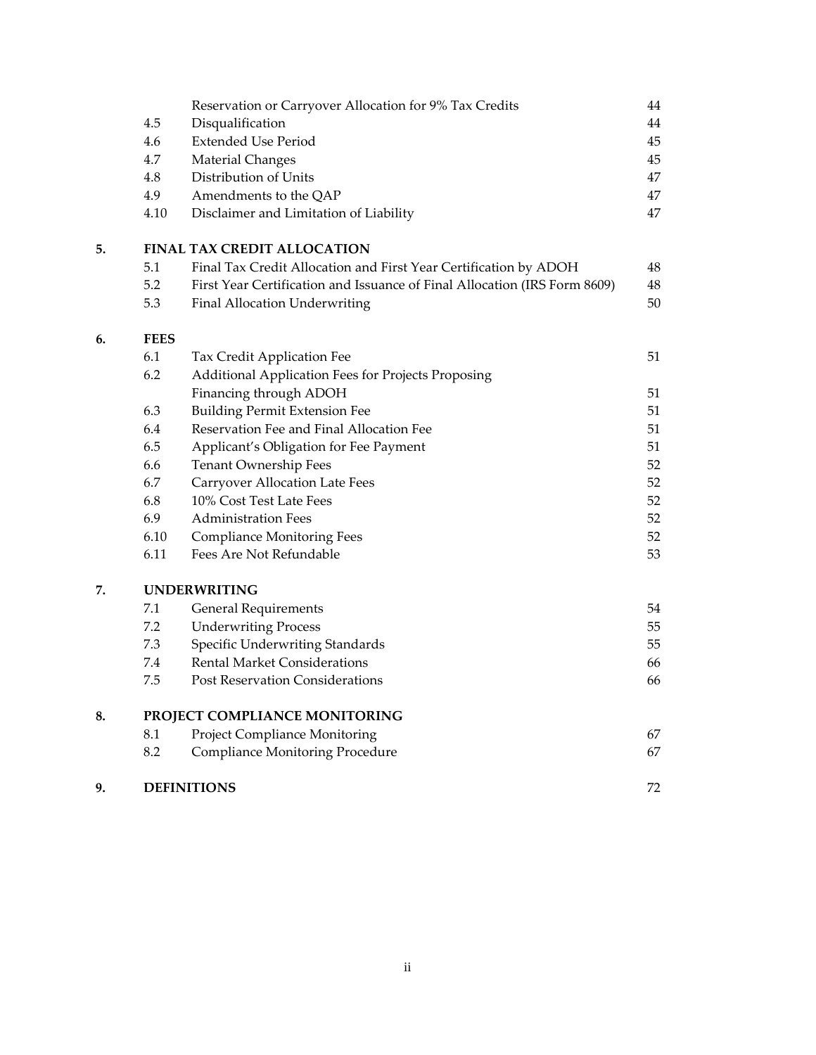|    |                               | Reservation or Carryover Allocation for 9% Tax Credits                    | 44     |  |  |
|----|-------------------------------|---------------------------------------------------------------------------|--------|--|--|
|    | 4.5                           | Disqualification                                                          | 44     |  |  |
|    | 4.6                           | <b>Extended Use Period</b>                                                | 45     |  |  |
|    | 4.7                           | <b>Material Changes</b>                                                   | $45\,$ |  |  |
|    | 4.8                           | Distribution of Units                                                     | $47\,$ |  |  |
|    | 4.9                           | Amendments to the QAP                                                     | 47     |  |  |
|    | 4.10                          | Disclaimer and Limitation of Liability                                    | 47     |  |  |
| 5. |                               | <b>FINAL TAX CREDIT ALLOCATION</b>                                        |        |  |  |
|    | 5.1                           | Final Tax Credit Allocation and First Year Certification by ADOH          | 48     |  |  |
|    | 5.2                           | First Year Certification and Issuance of Final Allocation (IRS Form 8609) | 48     |  |  |
|    | 5.3                           | Final Allocation Underwriting                                             | 50     |  |  |
| 6. | <b>FEES</b>                   |                                                                           |        |  |  |
|    | 6.1                           | Tax Credit Application Fee                                                | 51     |  |  |
|    | 6.2                           | <b>Additional Application Fees for Projects Proposing</b>                 |        |  |  |
|    |                               | Financing through ADOH                                                    | 51     |  |  |
|    | 6.3                           | <b>Building Permit Extension Fee</b>                                      | 51     |  |  |
|    | 6.4                           | Reservation Fee and Final Allocation Fee                                  | 51     |  |  |
|    | 6.5                           | Applicant's Obligation for Fee Payment                                    | 51     |  |  |
|    | 6.6                           | Tenant Ownership Fees                                                     | 52     |  |  |
|    | 6.7                           | <b>Carryover Allocation Late Fees</b>                                     | 52     |  |  |
|    | 6.8                           | 10% Cost Test Late Fees                                                   | 52     |  |  |
|    | 6.9                           | <b>Administration Fees</b>                                                | 52     |  |  |
|    | 6.10                          | <b>Compliance Monitoring Fees</b>                                         | 52     |  |  |
|    | 6.11                          | Fees Are Not Refundable                                                   | 53     |  |  |
| 7. | <b>UNDERWRITING</b>           |                                                                           |        |  |  |
|    | $7.1\,$                       | <b>General Requirements</b>                                               | 54     |  |  |
|    | 7.2                           | <b>Underwriting Process</b>                                               | 55     |  |  |
|    | 7.3                           | Specific Underwriting Standards                                           | 55     |  |  |
|    | 7.4                           | <b>Rental Market Considerations</b>                                       | 66     |  |  |
|    | 7.5                           | <b>Post Reservation Considerations</b>                                    | 66     |  |  |
| 8. | PROJECT COMPLIANCE MONITORING |                                                                           |        |  |  |
|    | 8.1                           | Project Compliance Monitoring                                             | 67     |  |  |
|    | 8.2                           | <b>Compliance Monitoring Procedure</b>                                    | 67     |  |  |
| 9. |                               | <b>DEFINITIONS</b>                                                        | 72     |  |  |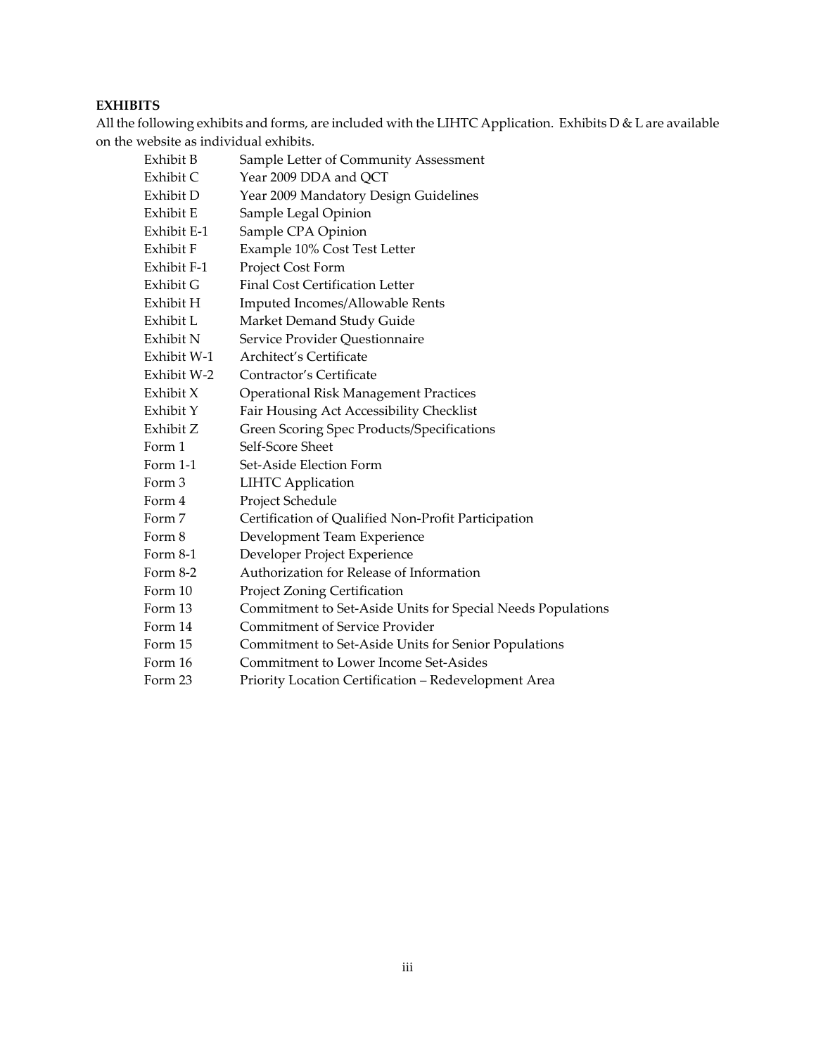## **EXHIBITS**

All the following exhibits and forms, are included with the LIHTC Application. Exhibits D & L are available on the website as individual exhibits.

| Exhibit B   | Sample Letter of Community Assessment                       |
|-------------|-------------------------------------------------------------|
| Exhibit C   | Year 2009 DDA and QCT                                       |
| Exhibit D   | Year 2009 Mandatory Design Guidelines                       |
| Exhibit E   | Sample Legal Opinion                                        |
| Exhibit E-1 | Sample CPA Opinion                                          |
| Exhibit F   | Example 10% Cost Test Letter                                |
| Exhibit F-1 | Project Cost Form                                           |
| Exhibit G   | <b>Final Cost Certification Letter</b>                      |
| Exhibit H   | Imputed Incomes/Allowable Rents                             |
| Exhibit L   | Market Demand Study Guide                                   |
| Exhibit N   | Service Provider Questionnaire                              |
| Exhibit W-1 | Architect's Certificate                                     |
| Exhibit W-2 | Contractor's Certificate                                    |
| Exhibit X   | <b>Operational Risk Management Practices</b>                |
| Exhibit Y   | Fair Housing Act Accessibility Checklist                    |
| Exhibit Z   | Green Scoring Spec Products/Specifications                  |
| Form 1      | Self-Score Sheet                                            |
| Form $1-1$  | Set-Aside Election Form                                     |
| Form 3      | <b>LIHTC</b> Application                                    |
| Form 4      | Project Schedule                                            |
| Form 7      | Certification of Qualified Non-Profit Participation         |
| Form 8      | Development Team Experience                                 |
| Form 8-1    | Developer Project Experience                                |
| Form $8-2$  | Authorization for Release of Information                    |
| Form 10     | Project Zoning Certification                                |
| Form 13     | Commitment to Set-Aside Units for Special Needs Populations |
| Form 14     | <b>Commitment of Service Provider</b>                       |
| Form 15     | Commitment to Set-Aside Units for Senior Populations        |
| Form 16     | Commitment to Lower Income Set-Asides                       |
| Form 23     | Priority Location Certification - Redevelopment Area        |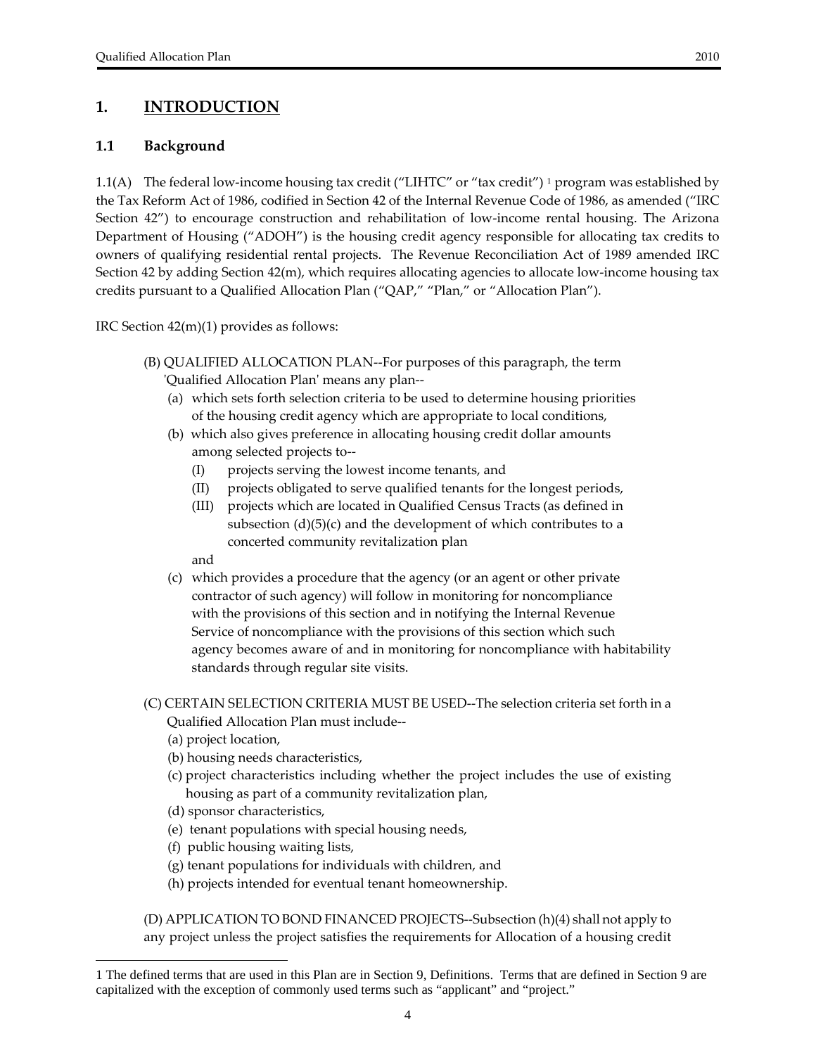## <span id="page-3-0"></span>**1. INTRODUCTION**

## **1.1 Background**

[1](#page-3-1).1(A) The federal low-income housing tax credit ("LIHTC" or "tax credit") <sup>1</sup> program was established by the Tax Reform Act of 1986, codified in Section 42 of the Internal Revenue Code of 1986, as amended ("IRC Section 42") to encourage construction and rehabilitation of low-income rental housing. The Arizona Department of Housing ("ADOH") is the housing credit agency responsible for allocating tax credits to owners of qualifying residential rental projects. The Revenue Reconciliation Act of 1989 amended IRC Section 42 by adding Section 42(m), which requires allocating agencies to allocate low‐income housing tax credits pursuant to a Qualified Allocation Plan ("QAP," "Plan," or "Allocation Plan").

IRC Section 42(m)(1) provides as follows:

- (B) QUALIFIED ALLOCATION PLAN‐‐For purposes of this paragraph, the term ʹQualified Allocation Planʹ means any plan‐‐
	- (a) which sets forth selection criteria to be used to determine housing priorities of the housing credit agency which are appropriate to local conditions,
	- (b) which also gives preference in allocating housing credit dollar amounts among selected projects to‐‐
		- (I) projects serving the lowest income tenants, and
		- (II) projects obligated to serve qualified tenants for the longest periods,
		- (III) projects which are located in Qualified Census Tracts (as defined in subsection  $(d)(5)(c)$  and the development of which contributes to a concerted community revitalization plan

and

- (c) which provides a procedure that the agency (or an agent or other private contractor of such agency) will follow in monitoring for noncompliance with the provisions of this section and in notifying the Internal Revenue Service of noncompliance with the provisions of this section which such agency becomes aware of and in monitoring for noncompliance with habitability standards through regular site visits.
- (C) CERTAIN SELECTION CRITERIA MUST BE USED‐‐The selection criteria set forth in a Qualified Allocation Plan must include‐‐
	- (a) project location,

-

- (b) housing needs characteristics,
- (c) project characteristics including whether the project includes the use of existing housing as part of a community revitalization plan,
- (d) sponsor characteristics,
- (e) tenant populations with special housing needs,
- (f) public housing waiting lists,
- (g) tenant populations for individuals with children, and
- (h) projects intended for eventual tenant homeownership.

(D) APPLICATION TO BOND FINANCED PROJECTS‐‐Subsection (h)(4) shall not apply to any project unless the project satisfies the requirements for Allocation of a housing credit

<span id="page-3-1"></span><sup>1</sup> The defined terms that are used in this Plan are in Section 9, Definitions. Terms that are defined in Section 9 are capitalized with the exception of commonly used terms such as "applicant" and "project."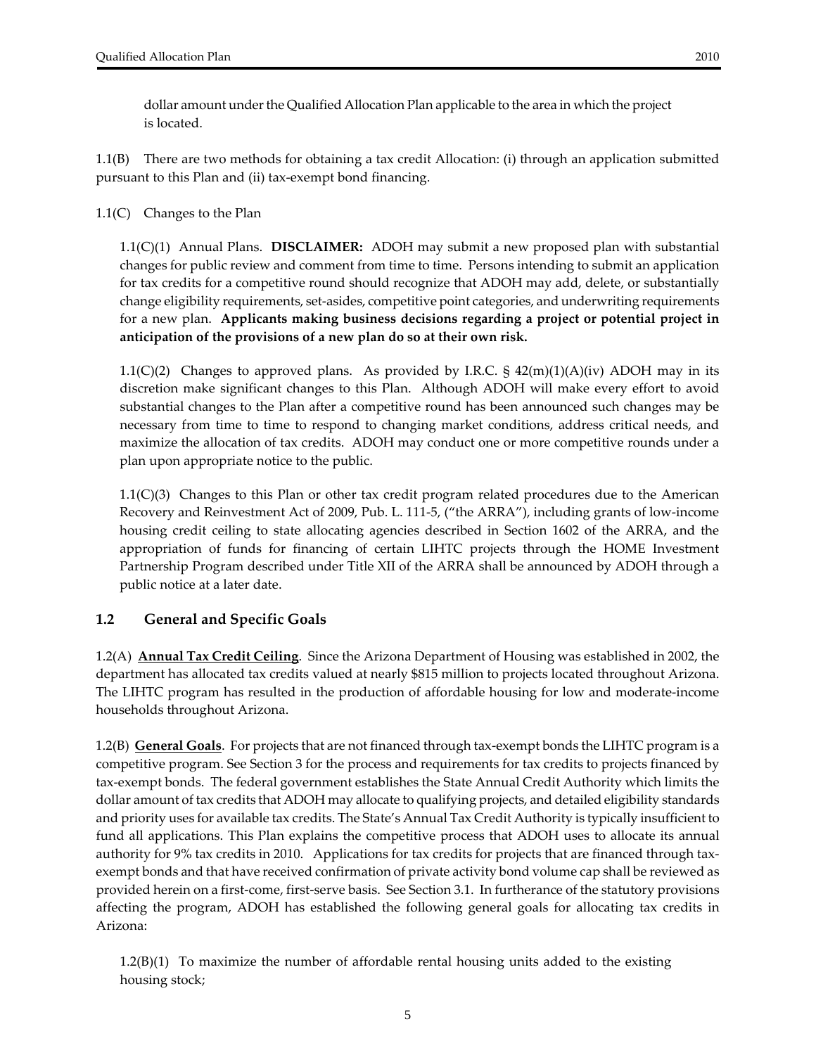<span id="page-4-0"></span>dollar amount under the Qualified Allocation Plan applicable to the area in which the project is located.

1.1(B) There are two methods for obtaining a tax credit Allocation: (i) through an application submitted pursuant to this Plan and (ii) tax‐exempt bond financing.

1.1(C) Changes to the Plan

1.1(C)(1) Annual Plans. **DISCLAIMER:** ADOH may submit a new proposed plan with substantial changes for public review and comment from time to time. Persons intending to submit an application for tax credits for a competitive round should recognize that ADOH may add, delete, or substantially change eligibility requirements, set‐asides, competitive point categories, and underwriting requirements for a new plan. **Applicants making business decisions regarding a project or potential project in anticipation of the provisions of a new plan do so at their own risk.**

1.1(C)(2) Changes to approved plans. As provided by I.R.C.  $\S$  42(m)(1)(A)(iv) ADOH may in its discretion make significant changes to this Plan. Although ADOH will make every effort to avoid substantial changes to the Plan after a competitive round has been announced such changes may be necessary from time to time to respond to changing market conditions, address critical needs, and maximize the allocation of tax credits. ADOH may conduct one or more competitive rounds under a plan upon appropriate notice to the public.

1.1(C)(3) Changes to this Plan or other tax credit program related procedures due to the American Recovery and Reinvestment Act of 2009, Pub. L. 111‐5, ("the ARRA"), including grants of low‐income housing credit ceiling to state allocating agencies described in Section 1602 of the ARRA, and the appropriation of funds for financing of certain LIHTC projects through the HOME Investment Partnership Program described under Title XII of the ARRA shall be announced by ADOH through a public notice at a later date.

## **1.2 General and Specific Goals**

1.2(A) **Annual Tax Credit Ceiling**. Since the Arizona Department of Housing was established in 2002, the department has allocated tax credits valued at nearly \$815 million to projects located throughout Arizona. The LIHTC program has resulted in the production of affordable housing for low and moderate‐income households throughout Arizona.

1.2(B) **General Goals**. For projects that are not financed through tax‐exempt bonds the LIHTC program is a competitive program. See Section 3 for the process and requirements for tax credits to projects financed by tax‐exempt bonds. The federal government establishes the State Annual Credit Authority which limits the dollar amount of tax credits that ADOH may allocate to qualifying projects, and detailed eligibility standards and priority uses for available tax credits. The State's Annual Tax Credit Authority is typically insufficient to fund all applications. This Plan explains the competitive process that ADOH uses to allocate its annual authority for 9% tax credits in 2010. Applications for tax credits for projects that are financed through tax‐ exempt bonds and that have received confirmation of private activity bond volume cap shall be reviewed as provided herein on a first‐come, first‐serve basis. See Section 3.1. In furtherance of the statutory provisions affecting the program, ADOH has established the following general goals for allocating tax credits in Arizona:

1.2(B)(1) To maximize the number of affordable rental housing units added to the existing housing stock;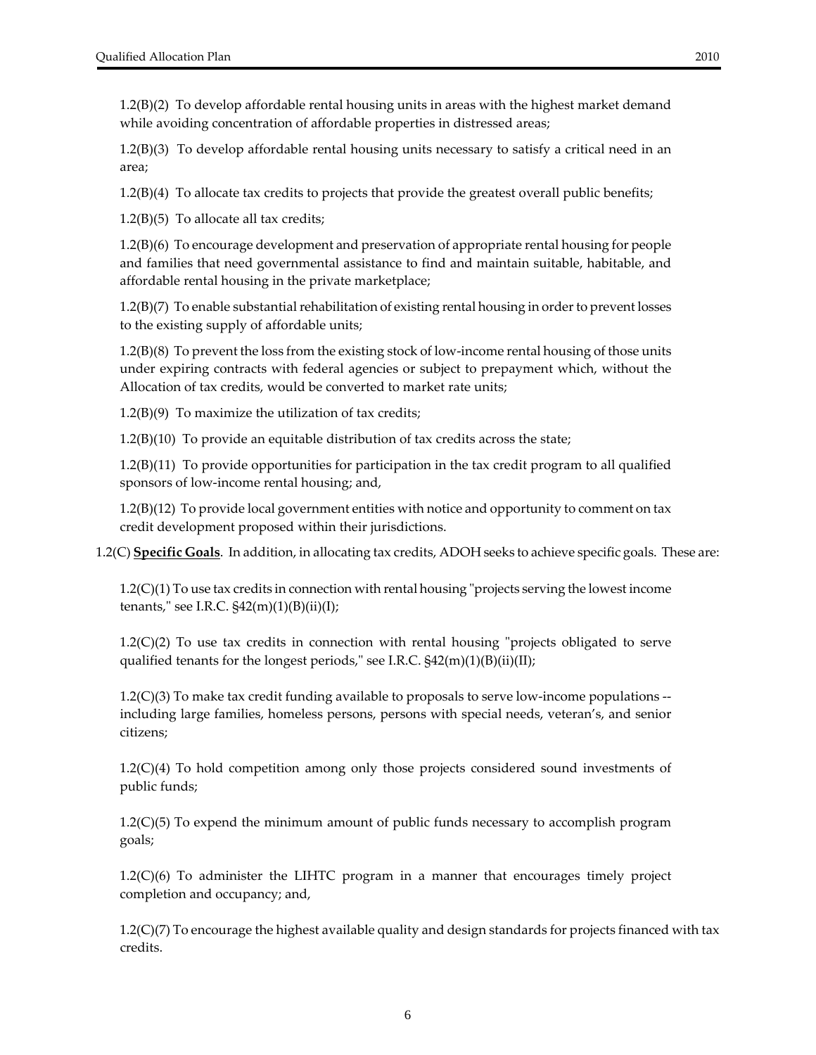1.2(B)(2) To develop affordable rental housing units in areas with the highest market demand while avoiding concentration of affordable properties in distressed areas;

1.2(B)(3) To develop affordable rental housing units necessary to satisfy a critical need in an area;

1.2(B)(4) To allocate tax credits to projects that provide the greatest overall public benefits;

 $1.2(B)(5)$  To allocate all tax credits;

1.2(B)(6) To encourage development and preservation of appropriate rental housing for people and families that need governmental assistance to find and maintain suitable, habitable, and affordable rental housing in the private marketplace;

1.2(B)(7) To enable substantial rehabilitation of existing rental housing in order to prevent losses to the existing supply of affordable units;

1.2(B)(8) To prevent the loss from the existing stock of low‐income rental housing of those units under expiring contracts with federal agencies or subject to prepayment which, without the Allocation of tax credits, would be converted to market rate units;

 $1.2(B)(9)$  To maximize the utilization of tax credits;

1.2(B)(10) To provide an equitable distribution of tax credits across the state;

1.2(B)(11) To provide opportunities for participation in the tax credit program to all qualified sponsors of low‐income rental housing; and,

1.2(B)(12) To provide local government entities with notice and opportunity to comment on tax credit development proposed within their jurisdictions.

1.2(C) **Specific Goals**. In addition, in allocating tax credits, ADOH seeks to achieve specific goals. These are:

 $1.2(C)(1)$  To use tax credits in connection with rental housing "projects serving the lowest income tenants," see I.R.C.  $\frac{242(m)(1)(B(i))}{L}$ ;

 $1.2(C)(2)$  To use tax credits in connection with rental housing "projects obligated to serve qualified tenants for the longest periods," see I.R.C.  $\frac{242(m)(1)}{B(ii)}$ (II);

 $1.2(C)(3)$  To make tax credit funding available to proposals to serve low-income populations  $$ including large families, homeless persons, persons with special needs, veteran's, and senior citizens;

1.2(C)(4) To hold competition among only those projects considered sound investments of public funds;

1.2(C)(5) To expend the minimum amount of public funds necessary to accomplish program goals;

1.2(C)(6) To administer the LIHTC program in a manner that encourages timely project completion and occupancy; and,

1.2(C)(7) To encourage the highest available quality and design standards for projects financed with tax credits.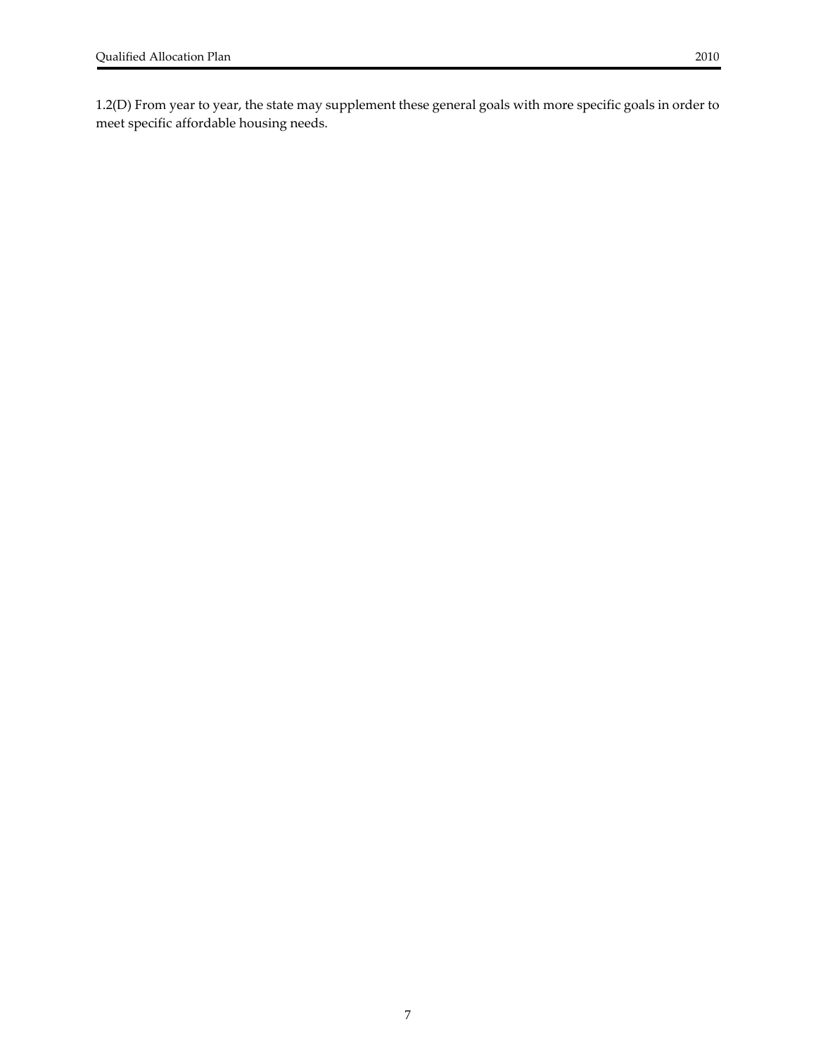<span id="page-6-0"></span>1.2(D) From year to year, the state may supplement these general goals with more specific goals in order to meet specific affordable housing needs.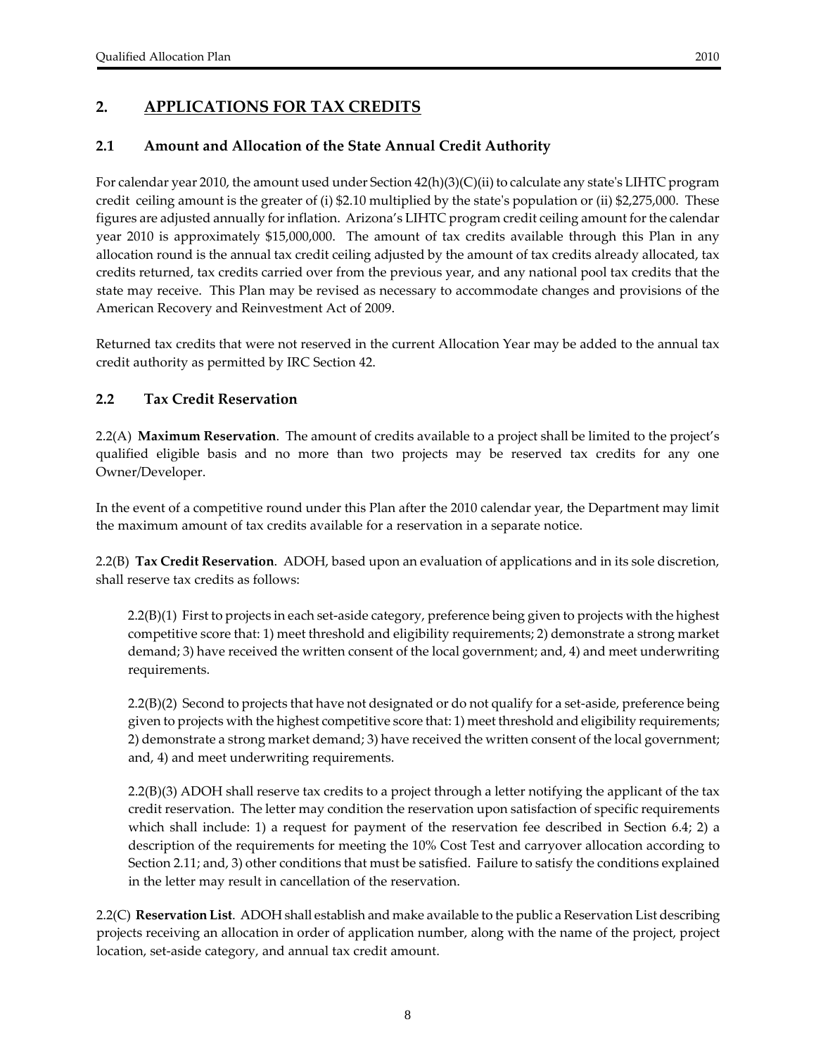## <span id="page-7-0"></span>**2. APPLICATIONS FOR TAX CREDITS**

## **2.1 Amount and Allocation of the State Annual Credit Authority**

For calendar year 2010, the amount used under Section  $42(h)(3)(C)(ii)$  to calculate any state's LIHTC program credit ceiling amount is the greater of (i) \$2.10 multiplied by the stateʹs population or (ii) \$2,275,000. These figures are adjusted annually forinflation. Arizona's LIHTC program credit ceiling amount forthe calendar year 2010 is approximately \$15,000,000. The amount of tax credits available through this Plan in any allocation round is the annual tax credit ceiling adjusted by the amount of tax credits already allocated, tax credits returned, tax credits carried over from the previous year, and any national pool tax credits that the state may receive. This Plan may be revised as necessary to accommodate changes and provisions of the American Recovery and Reinvestment Act of 2009.

Returned tax credits that were not reserved in the current Allocation Year may be added to the annual tax credit authority as permitted by IRC Section 42.

## **2.2 Tax Credit Reservation**

2.2(A) **Maximum Reservation**. The amount of credits available to a project shall be limited to the project's qualified eligible basis and no more than two projects may be reserved tax credits for any one Owner/Developer.

In the event of a competitive round under this Plan after the 2010 calendar year, the Department may limit the maximum amount of tax credits available for a reservation in a separate notice.

2.2(B) **Tax Credit Reservation**. ADOH, based upon an evaluation of applications and in its sole discretion, shall reserve tax credits as follows:

2.2(B)(1) First to projects in each set‐aside category, preference being given to projects with the highest competitive score that: 1) meet threshold and eligibility requirements; 2) demonstrate a strong market demand; 3) have received the written consent of the local government; and, 4) and meet underwriting requirements.

2.2(B)(2) Second to projects that have not designated or do not qualify for a set‐aside, preference being given to projects with the highest competitive score that: 1) meet threshold and eligibility requirements; 2) demonstrate a strong market demand; 3) have received the written consent of the local government; and, 4) and meet underwriting requirements.

2.2(B)(3) ADOH shall reserve tax credits to a project through a letter notifying the applicant of the tax credit reservation. The letter may condition the reservation upon satisfaction of specific requirements which shall include: 1) a request for payment of the reservation fee described in Section 6.4; 2) a description of the requirements for meeting the 10% Cost Test and carryover allocation according to Section 2.11; and, 3) other conditions that must be satisfied. Failure to satisfy the conditions explained in the letter may result in cancellation of the reservation.

2.2(C) **Reservation List**. ADOH shall establish and make available to the public a Reservation List describing projects receiving an allocation in order of application number, along with the name of the project, project location, set‐aside category, and annual tax credit amount.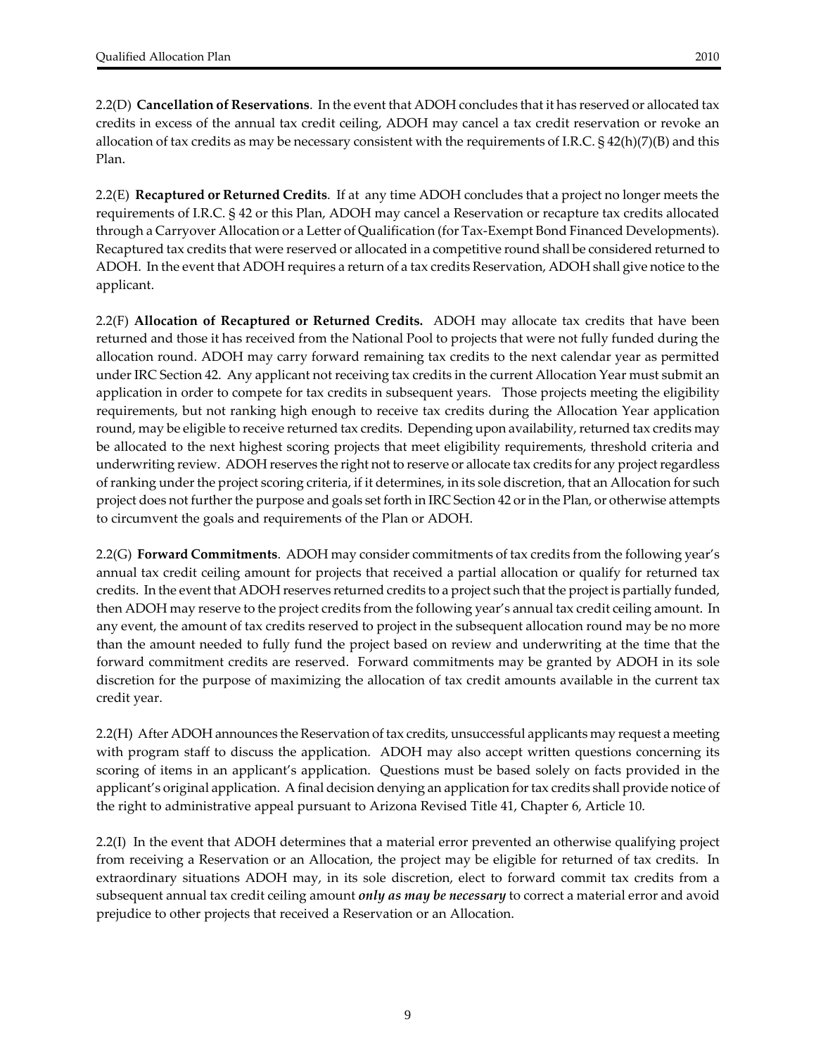2.2(D) **Cancellation of Reservations**. In the event that ADOH concludes that it has reserved or allocated tax credits in excess of the annual tax credit ceiling, ADOH may cancel a tax credit reservation or revoke an allocation of tax credits as may be necessary consistent with the requirements of I.R.C. § 42(h)(7)(B) and this Plan.

2.2(E) **Recaptured or Returned Credits**. If at any time ADOH concludes that a project no longer meets the requirements of I.R.C. § 42 or this Plan, ADOH may cancel a Reservation or recapture tax credits allocated through a Carryover Allocation or a Letter of Qualification (for Tax‐Exempt Bond Financed Developments). Recaptured tax credits that were reserved or allocated in a competitive round shall be considered returned to ADOH. In the event that ADOH requires a return of a tax credits Reservation, ADOH shall give notice to the applicant.

2.2(F) **Allocation of Recaptured or Returned Credits.** ADOH may allocate tax credits that have been returned and those it has received from the National Pool to projects that were not fully funded during the allocation round. ADOH may carry forward remaining tax credits to the next calendar year as permitted under IRC Section 42. Any applicant not receiving tax credits in the current Allocation Year must submit an application in order to compete for tax credits in subsequent years. Those projects meeting the eligibility requirements, but not ranking high enough to receive tax credits during the Allocation Year application round, may be eligible to receive returned tax credits. Depending upon availability, returned tax credits may be allocated to the next highest scoring projects that meet eligibility requirements, threshold criteria and underwriting review. ADOH reserves the right not to reserve or allocate tax credits for any projectregardless of ranking under the project scoring criteria, if it determines, in its sole discretion, that an Allocation for such project does not furtherthe purpose and goals set forth in IRC Section 42 orin the Plan, or otherwise attempts to circumvent the goals and requirements of the Plan or ADOH.

2.2(G) **Forward Commitments**. ADOH may consider commitments of tax credits from the following year's annual tax credit ceiling amount for projects that received a partial allocation or qualify for returned tax credits. In the event that ADOH reserves returned credits to a project such that the project is partially funded, then ADOH may reserve to the project credits from the following year's annual tax credit ceiling amount. In any event, the amount of tax credits reserved to project in the subsequent allocation round may be no more than the amount needed to fully fund the project based on review and underwriting at the time that the forward commitment credits are reserved. Forward commitments may be granted by ADOH in its sole discretion for the purpose of maximizing the allocation of tax credit amounts available in the current tax credit year.

2.2(H) After ADOH announces the Reservation of tax credits, unsuccessful applicants may request a meeting with program staff to discuss the application. ADOH may also accept written questions concerning its scoring of items in an applicant's application. Questions must be based solely on facts provided in the applicant's original application. A final decision denying an application fortax credits shall provide notice of the right to administrative appeal pursuant to Arizona Revised Title 41, Chapter 6, Article 10.

2.2(I) In the event that ADOH determines that a material error prevented an otherwise qualifying project from receiving a Reservation or an Allocation, the project may be eligible for returned of tax credits. In extraordinary situations ADOH may, in its sole discretion, elect to forward commit tax credits from a subsequent annual tax credit ceiling amount *only as may be necessary* to correct a material error and avoid prejudice to other projects that received a Reservation or an Allocation.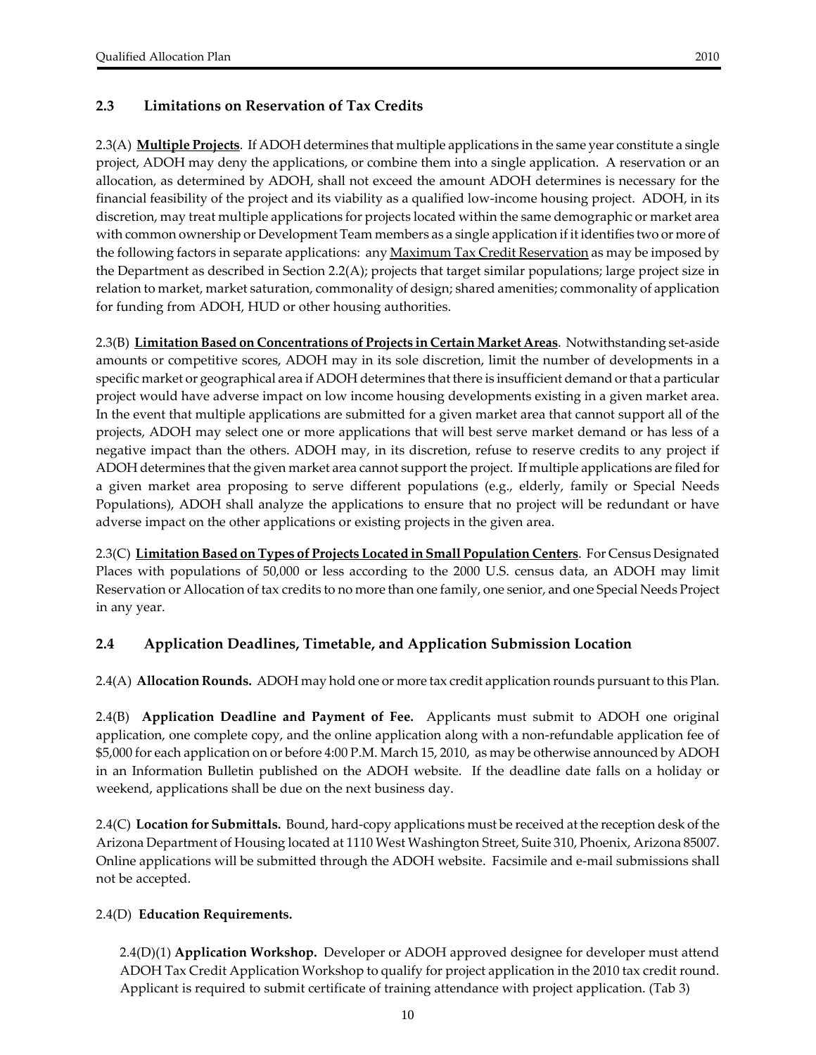## <span id="page-9-0"></span>**2.3 Limitations on Reservation of Tax Credits**

2.3(A) **Multiple Projects**. If ADOH determines that multiple applications in the same year constitute a single project, ADOH may deny the applications, or combine them into a single application. A reservation or an allocation, as determined by ADOH, shall not exceed the amount ADOH determines is necessary for the financial feasibility of the project and its viability as a qualified low-income housing project. ADOH, in its discretion, may treat multiple applications for projects located within the same demographic or market area with common ownership or Development Team members as a single application if it identifies two or more of the following factors in separate applications: any <u>Maximum Tax Credit Reservation</u> as may be imposed by the Department as described in Section 2.2(A); projects that target similar populations; large project size in relation to market, market saturation, commonality of design; shared amenities; commonality of application for funding from ADOH, HUD or other housing authorities.

2.3(B) **Limitation Based on Concentrations of Projects in Certain Market Areas**. Notwithstanding set‐aside amounts or competitive scores, ADOH may in its sole discretion, limit the number of developments in a specific market or geographical area if ADOH determines that there is insufficient demand orthat a particular project would have adverse impact on low income housing developments existing in a given market area. In the event that multiple applications are submitted for a given market area that cannot support all of the projects, ADOH may select one or more applications that will best serve market demand or has less of a negative impact than the others. ADOH may, in its discretion, refuse to reserve credits to any project if ADOH determines that the given market area cannot support the project. If multiple applications are filed for a given market area proposing to serve different populations (e.g., elderly, family or Special Needs Populations), ADOH shall analyze the applications to ensure that no project will be redundant or have adverse impact on the other applications or existing projects in the given area.

2.3(C) **Limitation Based on Types of Projects Located in Small Population Centers**. For Census Designated Places with populations of 50,000 or less according to the 2000 U.S. census data, an ADOH may limit Reservation or Allocation of tax credits to no more than one family, one senior, and one Special Needs Project in any year.

## **2.4 Application Deadlines, Timetable, and Application Submission Location**

2.4(A) **Allocation Rounds.** ADOH may hold one or more tax credit application rounds pursuant to this Plan.

2.4(B) **Application Deadline and Payment of Fee.** Applicants must submit to ADOH one original application, one complete copy, and the online application along with a non‐refundable application fee of \$5,000 for each application on or before 4:00 P.M. March 15, 2010, as may be otherwise announced by ADOH in an Information Bulletin published on the ADOH website. If the deadline date falls on a holiday or weekend, applications shall be due on the next business day.

2.4(C) **Location for Submittals.** Bound, hard‐copy applications must be received at the reception desk of the Arizona Department of Housing located at 1110 West Washington Street, Suite 310, Phoenix, Arizona 85007. Online applications will be submitted through the ADOH website. Facsimile and e‐mail submissions shall not be accepted.

## 2.4(D) **Education Requirements.**

2.4(D)(1) **Application Workshop.** Developer or ADOH approved designee for developer must attend ADOH Tax Credit Application Workshop to qualify for project application in the 2010 tax credit round. Applicant is required to submit certificate of training attendance with project application. (Tab 3)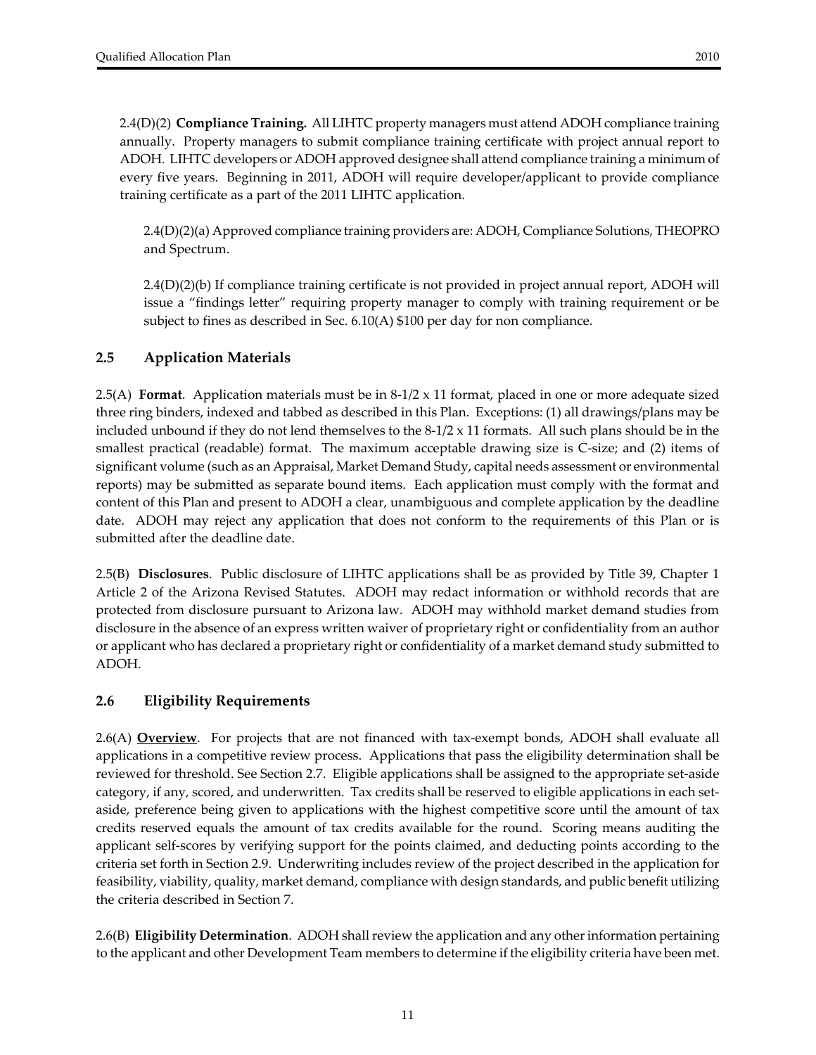<span id="page-10-0"></span>2.4(D)(2) **Compliance Training.** All LIHTC property managers must attend ADOH compliance training annually. Property managers to submit compliance training certificate with project annual report to ADOH. LIHTC developers or ADOH approved designee shall attend compliance training a minimum of every five years. Beginning in 2011, ADOH will require developer/applicant to provide compliance training certificate as a part of the 2011 LIHTC application.

2.4(D)(2)(a) Approved compliance training providers are: ADOH, Compliance Solutions, THEOPRO and Spectrum.

2.4(D)(2)(b) If compliance training certificate is not provided in project annual report, ADOH will issue a "findings letter" requiring property manager to comply with training requirement or be subject to fines as described in Sec. 6.10(A) \$100 per day for non compliance.

## **2.5 Application Materials**

2.5(A) **Format**. Application materials must be in 8‐1/2 x 11 format, placed in one or more adequate sized three ring binders, indexed and tabbed as described in this Plan. Exceptions: (1) all drawings/plans may be included unbound if they do not lend themselves to the  $8-1/2 \times 11$  formats. All such plans should be in the smallest practical (readable) format. The maximum acceptable drawing size is C‐size; and (2) items of significant volume (such as an Appraisal, Market Demand Study, capital needs assessment or environmental reports) may be submitted as separate bound items. Each application must comply with the format and content of this Plan and present to ADOH a clear, unambiguous and complete application by the deadline date. ADOH may reject any application that does not conform to the requirements of this Plan or is submitted after the deadline date.

2.5(B) **Disclosures**. Public disclosure of LIHTC applications shall be as provided by Title 39, Chapter 1 Article 2 of the Arizona Revised Statutes. ADOH may redact information or withhold records that are protected from disclosure pursuant to Arizona law. ADOH may withhold market demand studies from disclosure in the absence of an express written waiver of proprietary right or confidentiality from an author or applicant who has declared a proprietary right or confidentiality of a market demand study submitted to ADOH.

## **2.6 Eligibility Requirements**

2.6(A) **Overview**. For projects that are not financed with tax-exempt bonds, ADOH shall evaluate all applications in a competitive review process. Applications that pass the eligibility determination shall be reviewed for threshold. See Section 2.7. Eligible applications shall be assigned to the appropriate set‐aside category, if any, scored, and underwritten. Tax credits shall be reserved to eligible applications in each set‐ aside, preference being given to applications with the highest competitive score until the amount of tax credits reserved equals the amount of tax credits available for the round. Scoring means auditing the applicant self‐scores by verifying support for the points claimed, and deducting points according to the criteria set forth in Section 2.9. Underwriting includes review of the project described in the application for feasibility, viability, quality, market demand, compliance with design standards, and public benefit utilizing the criteria described in Section 7.

2.6(B) **Eligibility Determination**. ADOH shallreview the application and any otherinformation pertaining to the applicant and other Development Team members to determine if the eligibility criteria have been met.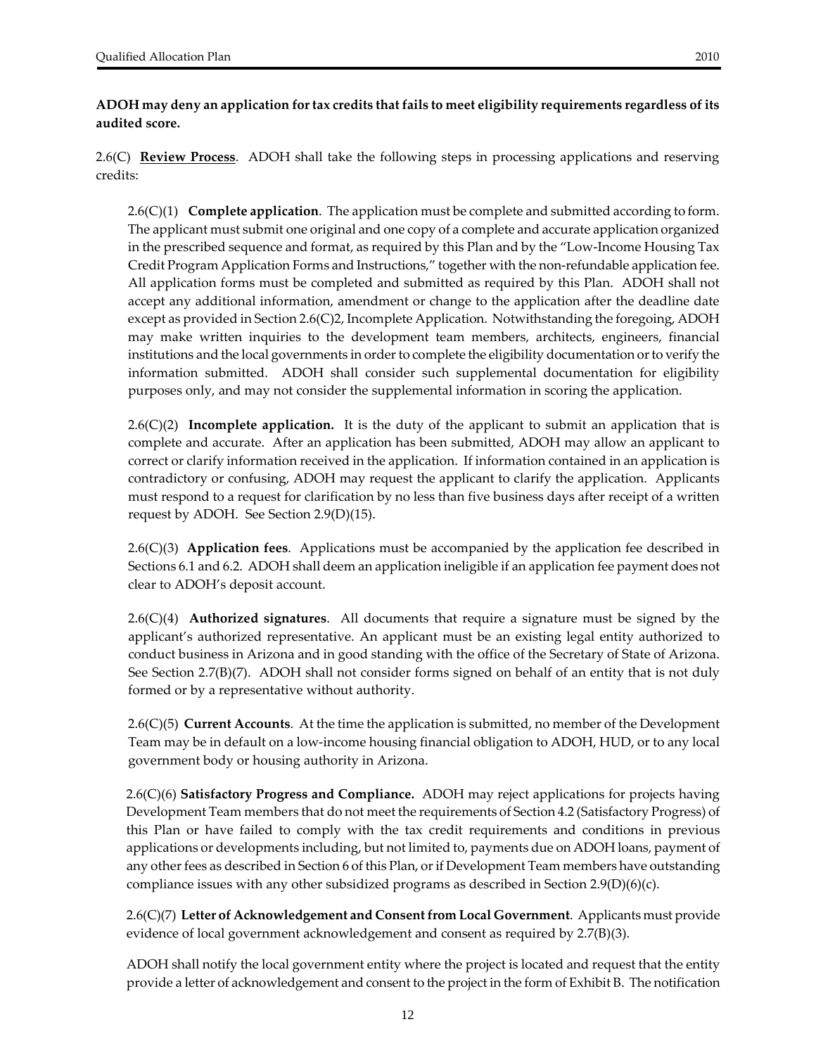**ADOH may deny an application for tax credits thatfails to meet eligibility requirements regardless of its audited score.**

2.6(C) **Review Process**. ADOH shall take the following steps in processing applications and reserving credits:

2.6(C)(1) **Complete application**. The application must be complete and submitted according to form. The applicant must submit one original and one copy of a complete and accurate application organized in the prescribed sequence and format, as required by this Plan and by the "Low‐Income Housing Tax Credit Program Application Forms and Instructions," together with the non‐refundable application fee. All application forms must be completed and submitted as required by this Plan. ADOH shall not accept any additional information, amendment or change to the application after the deadline date except as provided in Section 2.6(C)2, Incomplete Application. Notwithstanding the foregoing, ADOH may make written inquiries to the development team members, architects, engineers, financial institutions and the local governments in order to complete the eligibility documentation or to verify the information submitted. ADOH shall consider such supplemental documentation for eligibility purposes only, and may not consider the supplemental information in scoring the application.

2.6(C)(2) **Incomplete application.** It is the duty of the applicant to submit an application that is complete and accurate. After an application has been submitted, ADOH may allow an applicant to correct or clarify information received in the application. If information contained in an application is contradictory or confusing, ADOH may request the applicant to clarify the application. Applicants must respond to a request for clarification by no less than five business days after receipt of a written request by ADOH. See Section 2.9(D)(15).

2.6(C)(3) **Application fees**. Applications must be accompanied by the application fee described in Sections 6.1 and 6.2. ADOH shall deem an application ineligible if an application fee payment does not clear to ADOH's deposit account.

2.6(C)(4) **Authorized signatures**. All documents that require a signature must be signed by the applicant's authorized representative. An applicant must be an existing legal entity authorized to conduct business in Arizona and in good standing with the office of the Secretary of State of Arizona. See Section 2.7(B)(7). ADOH shall not consider forms signed on behalf of an entity that is not duly formed or by a representative without authority.

2.6(C)(5) **Current Accounts**. At the time the application is submitted, no member of the Development Team may be in default on a low‐income housing financial obligation to ADOH, HUD, or to any local government body or housing authority in Arizona.

2.6(C)(6) **Satisfactory Progress and Compliance.** ADOH may reject applications for projects having Development Team members that do not meet the requirements of Section 4.2 (Satisfactory Progress) of this Plan or have failed to comply with the tax credit requirements and conditions in previous applications or developments including, but not limited to, payments due on ADOH loans, payment of any other fees as described in Section 6 of this Plan, or if Development Team members have outstanding compliance issues with any other subsidized programs as described in Section 2.9(D)(6)(c).

2.6(C)(7) **Letter of Acknowledgement and Consentfrom Local Government**. Applicants must provide evidence of local government acknowledgement and consent as required by 2.7(B)(3).

ADOH shall notify the local government entity where the project is located and request that the entity provide a letter of acknowledgement and consent to the project in the form of Exhibit B. The notification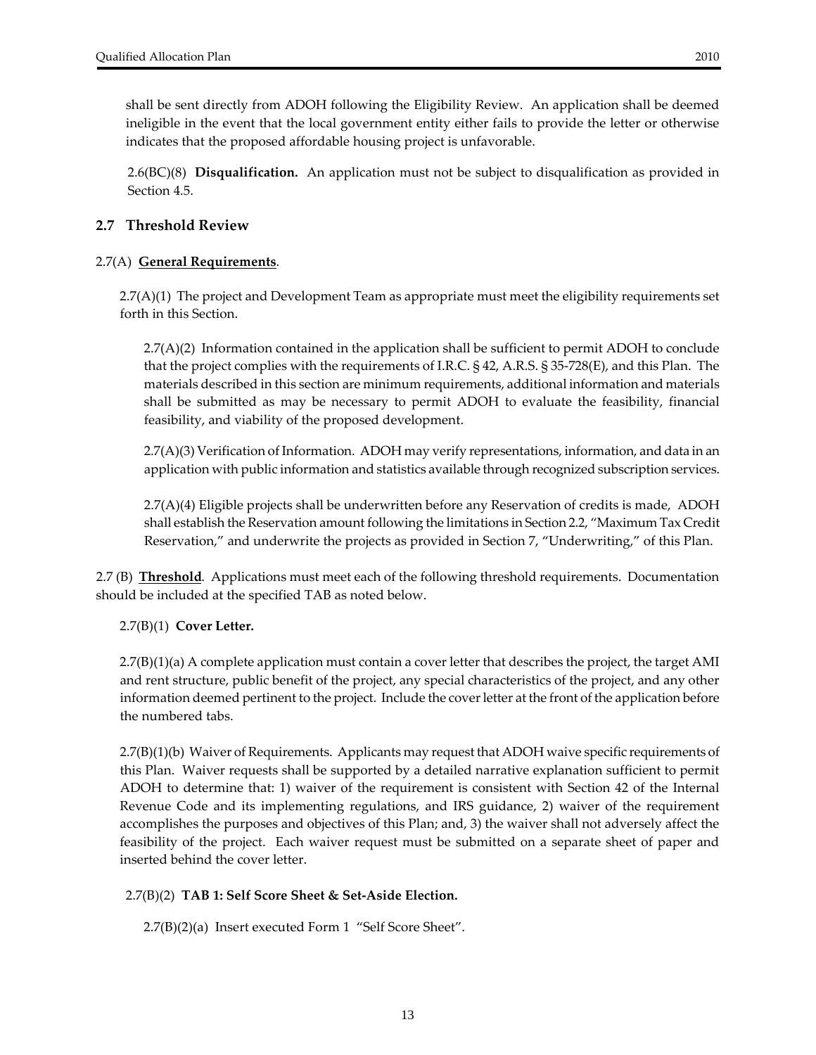<span id="page-12-0"></span>shall be sent directly from ADOH following the Eligibility Review. An application shall be deemed ineligible in the event that the local government entity either fails to provide the letter or otherwise indicates that the proposed affordable housing project is unfavorable.

2.6(BC)(8) **Disqualification.** An application must not be subject to disqualification as provided in Section 4.5.

## **2.7 Threshold Review**

## 2.7(A) **General Requirements**.

2.7(A)(1) The project and Development Team as appropriate must meet the eligibility requirements set forth in this Section.

 $2.7(A)(2)$  Information contained in the application shall be sufficient to permit ADOH to conclude that the project complies with the requirements of I.R.C. § 42, A.R.S. § 35‐728(E), and this Plan. The materials described in this section are minimum requirements, additional information and materials shall be submitted as may be necessary to permit ADOH to evaluate the feasibility, financial feasibility, and viability of the proposed development.

2.7(A)(3) Verification of Information. ADOH may verify representations, information, and data in an application with public information and statistics available through recognized subscription services.

2.7(A)(4) Eligible projects shall be underwritten before any Reservation of credits is made, ADOH shall establish the Reservation amount following the limitations in Section 2.2, "Maximum Tax Credit Reservation," and underwrite the projects as provided in Section 7, "Underwriting," of this Plan.

2.7 (B) **Threshold**. Applications must meet each of the following threshold requirements. Documentation should be included at the specified TAB as noted below.

2.7(B)(1) **Cover Letter.** 

2.7(B)(1)(a) A complete application must contain a cover letter that describes the project, the target AMI and rent structure, public benefit of the project, any special characteristics of the project, and any other information deemed pertinent to the project. Include the coverletter at the front of the application before the numbered tabs.

2.7(B)(1)(b) Waiver of Requirements. Applicants may request that ADOH waive specific requirements of this Plan. Waiver requests shall be supported by a detailed narrative explanation sufficient to permit ADOH to determine that: 1) waiver of the requirement is consistent with Section 42 of the Internal Revenue Code and its implementing regulations, and IRS guidance, 2) waiver of the requirement accomplishes the purposes and objectives of this Plan; and, 3) the waiver shall not adversely affect the feasibility of the project. Each waiver request must be submitted on a separate sheet of paper and inserted behind the cover letter.

#### 2.7(B)(2) **TAB 1: Self Score Sheet & Set‐Aside Election.**

2.7(B)(2)(a) Insert executed Form 1 "Self Score Sheet".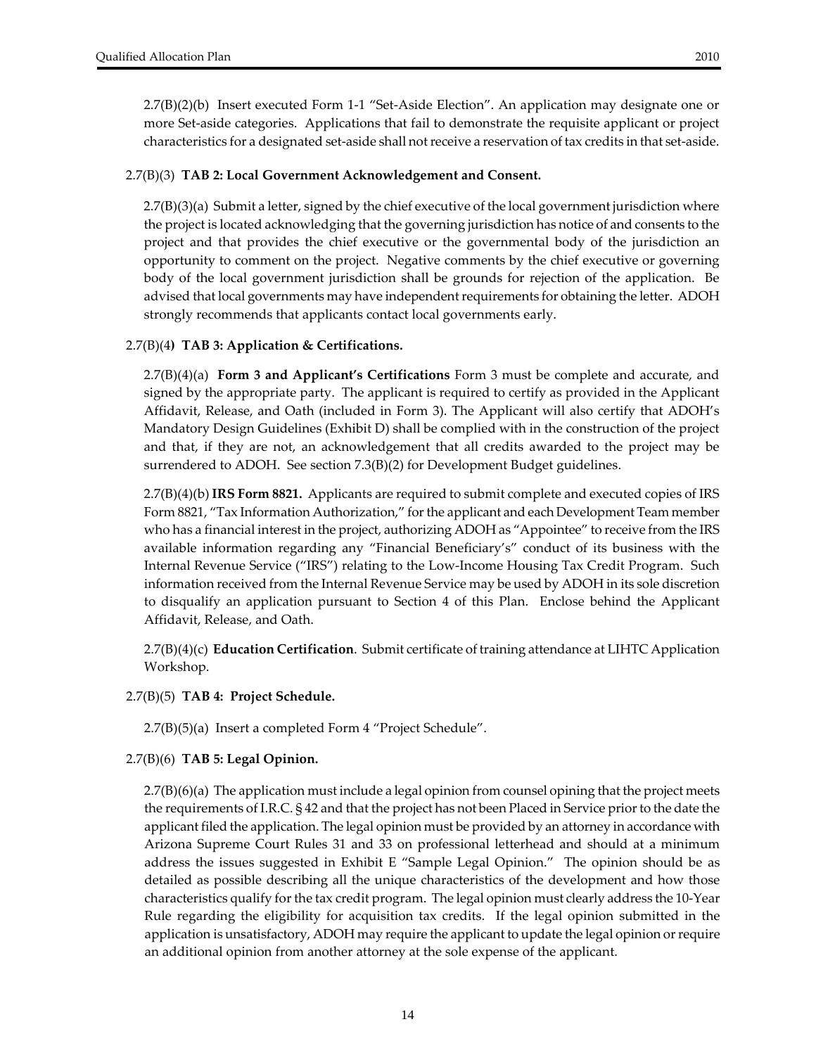2.7(B)(2)(b) Insert executed Form 1‐1 "Set‐Aside Election". An application may designate one or more Set-aside categories. Applications that fail to demonstrate the requisite applicant or project characteristics for a designated set‐aside shall notreceive a reservation of tax credits in that set‐aside.

#### 2.7(B)(3) **TAB 2: Local Government Acknowledgement and Consent.**

2.7(B)(3)(a) Submit a letter, signed by the chief executive of the local government jurisdiction where the project is located acknowledging that the governing jurisdiction has notice of and consents to the project and that provides the chief executive or the governmental body of the jurisdiction an opportunity to comment on the project. Negative comments by the chief executive or governing body of the local government jurisdiction shall be grounds for rejection of the application. Be advised that local governments may have independent requirements for obtaining the letter. ADOH strongly recommends that applicants contact local governments early.

## 2.7(B)(4**) TAB 3: Application & Certifications.**

2.7(B)(4)(a) **Form 3 and Applicant's Certifications** Form 3 must be complete and accurate, and signed by the appropriate party. The applicant is required to certify as provided in the Applicant Affidavit, Release, and Oath (included in Form 3). The Applicant will also certify that ADOH's Mandatory Design Guidelines (Exhibit D) shall be complied with in the construction of the project and that, if they are not, an acknowledgement that all credits awarded to the project may be surrendered to ADOH. See section 7.3(B)(2) for Development Budget guidelines.

2.7(B)(4)(b) **IRS Form 8821.** Applicants are required to submit complete and executed copies of IRS Form 8821, "Tax Information Authorization," forthe applicant and each Development Team member who has a financial interest in the project, authorizing ADOH as "Appointee" to receive from the IRS available information regarding any "Financial Beneficiary's" conduct of its business with the Internal Revenue Service ("IRS") relating to the Low‐Income Housing Tax Credit Program. Such information received from the Internal Revenue Service may be used by ADOH in its sole discretion to disqualify an application pursuant to Section 4 of this Plan. Enclose behind the Applicant Affidavit, Release, and Oath.

2.7(B)(4)(c) **Education Certification**. Submit certificate of training attendance at LIHTC Application Workshop.

#### 2.7(B)(5) **TAB 4: Project Schedule.**

2.7(B)(5)(a) Insert a completed Form 4 "Project Schedule".

## 2.7(B)(6) **TAB 5: Legal Opinion.**

2.7(B)(6)(a)The application must include a legal opinion from counsel opining that the project meets the requirements of I.R.C. § 42 and that the project has not been Placed in Service prior to the date the applicant filed the application. The legal opinion must be provided by an attorney in accordance with Arizona Supreme Court Rules 31 and 33 on professional letterhead and should at a minimum address the issues suggested in Exhibit E "Sample Legal Opinion." The opinion should be as detailed as possible describing all the unique characteristics of the development and how those characteristics qualify forthe tax credit program. The legal opinion must clearly address the 10‐Year Rule regarding the eligibility for acquisition tax credits. If the legal opinion submitted in the application is unsatisfactory, ADOH may require the applicant to update the legal opinion orrequire an additional opinion from another attorney at the sole expense of the applicant.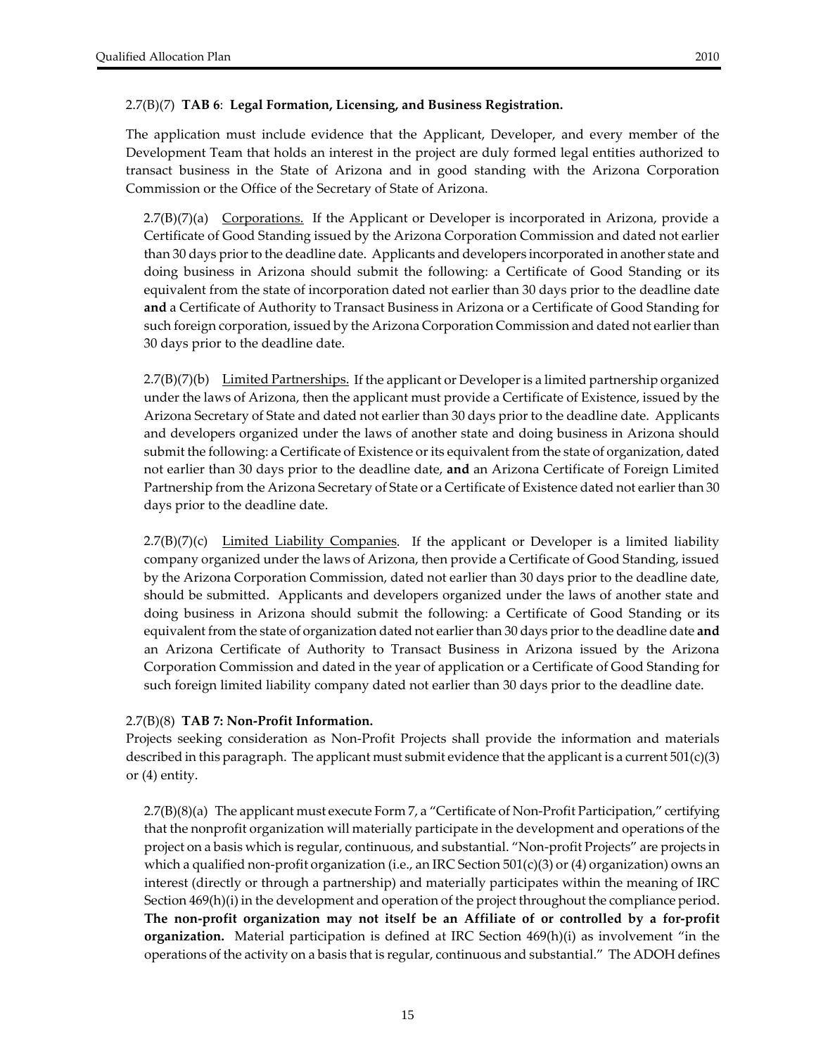#### 2.7(B)(7) **TAB 6**: **Legal Formation, Licensing, and Business Registration.**

The application must include evidence that the Applicant, Developer, and every member of the Development Team that holds an interest in the project are duly formed legal entities authorized to transact business in the State of Arizona and in good standing with the Arizona Corporation Commission or the Office of the Secretary of State of Arizona.

 $2.7(B)(7)(a)$  Corporations. If the Applicant or Developer is incorporated in Arizona, provide a Certificate of Good Standing issued by the Arizona Corporation Commission and dated not earlier than 30 days prior to the deadline date. Applicants and developers incorporated in another state and doing business in Arizona should submit the following: a Certificate of Good Standing or its equivalent from the state of incorporation dated not earlier than 30 days prior to the deadline date **and** a Certificate of Authority to Transact Business in Arizona or a Certificate of Good Standing for such foreign corporation, issued by the Arizona Corporation Commission and dated not earlierthan 30 days prior to the deadline date.

 $2.7(B)(7)(b)$  Limited Partnerships. If the applicant or Developer is a limited partnership organized under the laws of Arizona, then the applicant must provide a Certificate of Existence, issued by the Arizona Secretary of State and dated not earlier than 30 days prior to the deadline date. Applicants and developers organized under the laws of another state and doing business in Arizona should submit the following: a Certificate of Existence or its equivalent from the state of organization, dated not earlier than 30 days prior to the deadline date, **and** an Arizona Certificate of Foreign Limited Partnership from the Arizona Secretary of State or a Certificate of Existence dated not earlierthan 30 days prior to the deadline date.

 $2.7(B)(7)(c)$  Limited Liability Companies. If the applicant or Developer is a limited liability company organized under the laws of Arizona, then provide a Certificate of Good Standing, issued by the Arizona Corporation Commission, dated not earlier than 30 days prior to the deadline date, should be submitted. Applicants and developers organized under the laws of another state and doing business in Arizona should submit the following: a Certificate of Good Standing or its equivalent from the state of organization dated not earlierthan 30 days priorto the deadline date **and** an Arizona Certificate of Authority to Transact Business in Arizona issued by the Arizona Corporation Commission and dated in the year of application or a Certificate of Good Standing for such foreign limited liability company dated not earlier than 30 days prior to the deadline date.

#### 2.7(B)(8) **TAB 7: Non‐Profit Information.**

Projects seeking consideration as Non‐Profit Projects shall provide the information and materials described in this paragraph. The applicant must submit evidence that the applicant is a current  $501(c)(3)$ or (4) entity.

2.7(B)(8)(a) The applicant must execute Form 7, a "Certificate of Non‐Profit Participation," certifying that the nonprofit organization will materially participate in the development and operations of the project on a basis which is regular, continuous, and substantial. "Non‐profit Projects" are projects in which a qualified non-profit organization (i.e., an IRC Section 501(c)(3) or (4) organization) owns an interest (directly or through a partnership) and materially participates within the meaning of IRC Section 469(h)(i) in the development and operation of the project throughout the compliance period. **The non‐profit organization may not itself be an Affiliate of or controlled by a for‐profit organization.** Material participation is defined at IRC Section 469(h)(i) as involvement "in the operations of the activity on a basis that is regular, continuous and substantial." The ADOH defines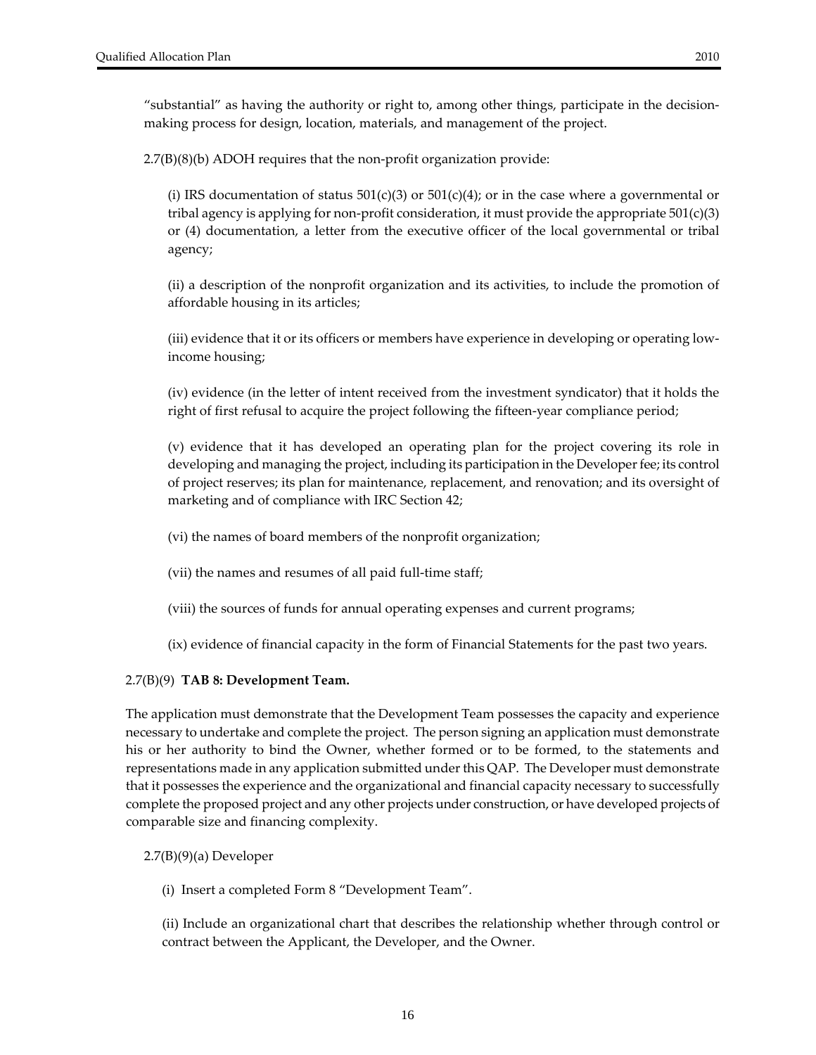"substantial" as having the authority or right to, among other things, participate in the decision‐ making process for design, location, materials, and management of the project.

2.7(B)(8)(b) ADOH requires that the non‐profit organization provide:

(i) IRS documentation of status  $501(c)(3)$  or  $501(c)(4)$ ; or in the case where a governmental or tribal agency is applying for non-profit consideration, it must provide the appropriate  $501(c)(3)$ or (4) documentation, a letter from the executive officer of the local governmental or tribal agency;

(ii) a description of the nonprofit organization and its activities, to include the promotion of affordable housing in its articles;

(iii) evidence that it or its officers or members have experience in developing or operating low‐ income housing;

(iv) evidence (in the letter of intent received from the investment syndicator) that it holds the right of first refusal to acquire the project following the fifteen‐year compliance period;

(v) evidence that it has developed an operating plan for the project covering its role in developing and managing the project, including its participation in the Developer fee; its control of project reserves; its plan for maintenance, replacement, and renovation; and its oversight of marketing and of compliance with IRC Section 42;

(vi) the names of board members of the nonprofit organization;

- (vii) the names and resumes of all paid full‐time staff;
- (viii) the sources of funds for annual operating expenses and current programs;
- (ix) evidence of financial capacity in the form of Financial Statements for the past two years.

#### 2.7(B)(9) **TAB 8: Development Team.**

The application must demonstrate that the Development Team possesses the capacity and experience necessary to undertake and complete the project. The person signing an application must demonstrate his or her authority to bind the Owner, whether formed or to be formed, to the statements and representations made in any application submitted under this QAP. The Developer must demonstrate that it possesses the experience and the organizational and financial capacity necessary to successfully complete the proposed project and any other projects under construction, or have developed projects of comparable size and financing complexity.

#### 2.7(B)(9)(a) Developer

(i) Insert a completed Form 8 "Development Team".

(ii) Include an organizational chart that describes the relationship whether through control or contract between the Applicant, the Developer, and the Owner.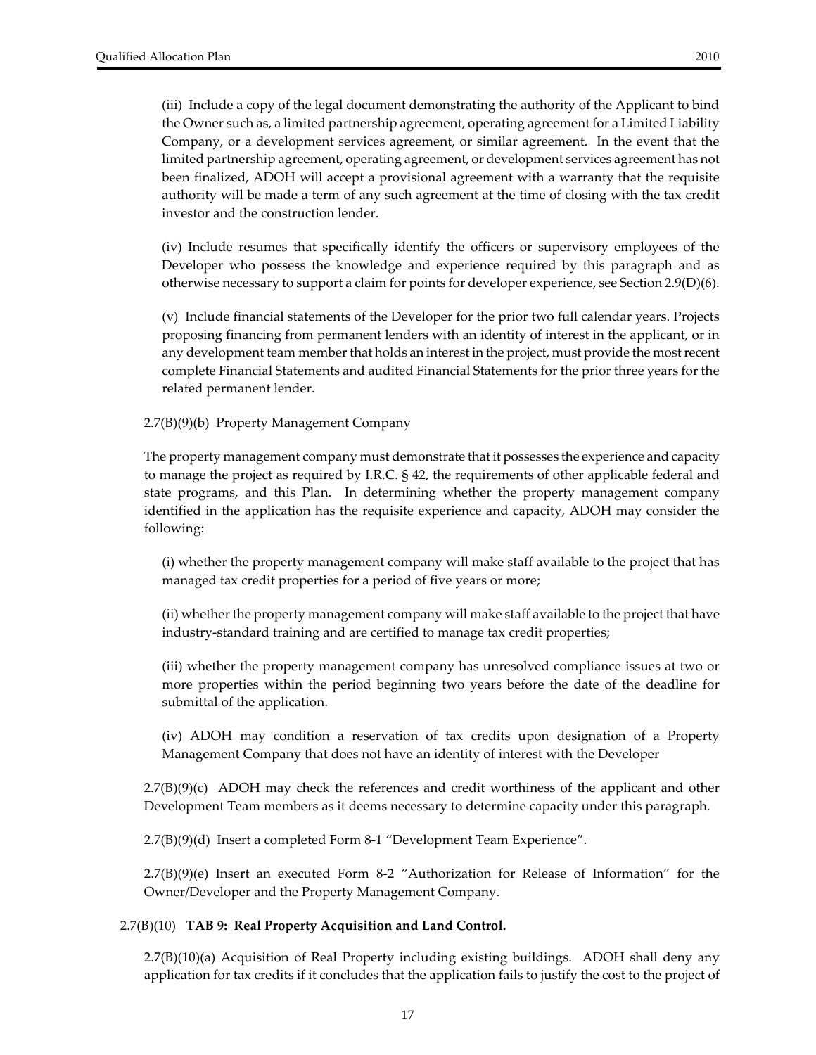(iii) Include a copy of the legal document demonstrating the authority of the Applicant to bind the Owner such as, a limited partnership agreement, operating agreement for a Limited Liability Company, or a development services agreement, or similar agreement. In the event that the limited partnership agreement, operating agreement, or development services agreement has not been finalized, ADOH will accept a provisional agreement with a warranty that the requisite authority will be made a term of any such agreement at the time of closing with the tax credit investor and the construction lender.

(iv) Include resumes that specifically identify the officers or supervisory employees of the Developer who possess the knowledge and experience required by this paragraph and as otherwise necessary to support a claim for points for developer experience, see Section 2.9(D)(6).

(v) Include financial statements of the Developer for the prior two full calendar years. Projects proposing financing from permanent lenders with an identity of interest in the applicant, or in any development team member that holds an interest in the project, must provide the most recent complete Financial Statements and audited Financial Statements for the prior three years for the related permanent lender.

2.7(B)(9)(b) Property Management Company

The property management company must demonstrate that it possesses the experience and capacity to manage the project as required by I.R.C. § 42, the requirements of other applicable federal and state programs, and this Plan. In determining whether the property management company identified in the application has the requisite experience and capacity, ADOH may consider the following:

(i) whether the property management company will make staff available to the project that has managed tax credit properties for a period of five years or more;

(ii) whether the property management company will make staff available to the project that have industry‐standard training and are certified to manage tax credit properties;

(iii) whether the property management company has unresolved compliance issues at two or more properties within the period beginning two years before the date of the deadline for submittal of the application.

(iv) ADOH may condition a reservation of tax credits upon designation of a Property Management Company that does not have an identity of interest with the Developer

 $2.7(B)(9)(c)$  ADOH may check the references and credit worthiness of the applicant and other Development Team members as it deems necessary to determine capacity under this paragraph.

2.7(B)(9)(d) Insert a completed Form 8‐1 "Development Team Experience".

2.7(B)(9)(e) Insert an executed Form 8‐2 "Authorization for Release of Information" for the Owner/Developer and the Property Management Company.

#### 2.7(B)(10) **TAB 9: Real Property Acquisition and Land Control.**

2.7(B)(10)(a) Acquisition of Real Property including existing buildings. ADOH shall deny any application for tax credits if it concludes that the application fails to justify the cost to the project of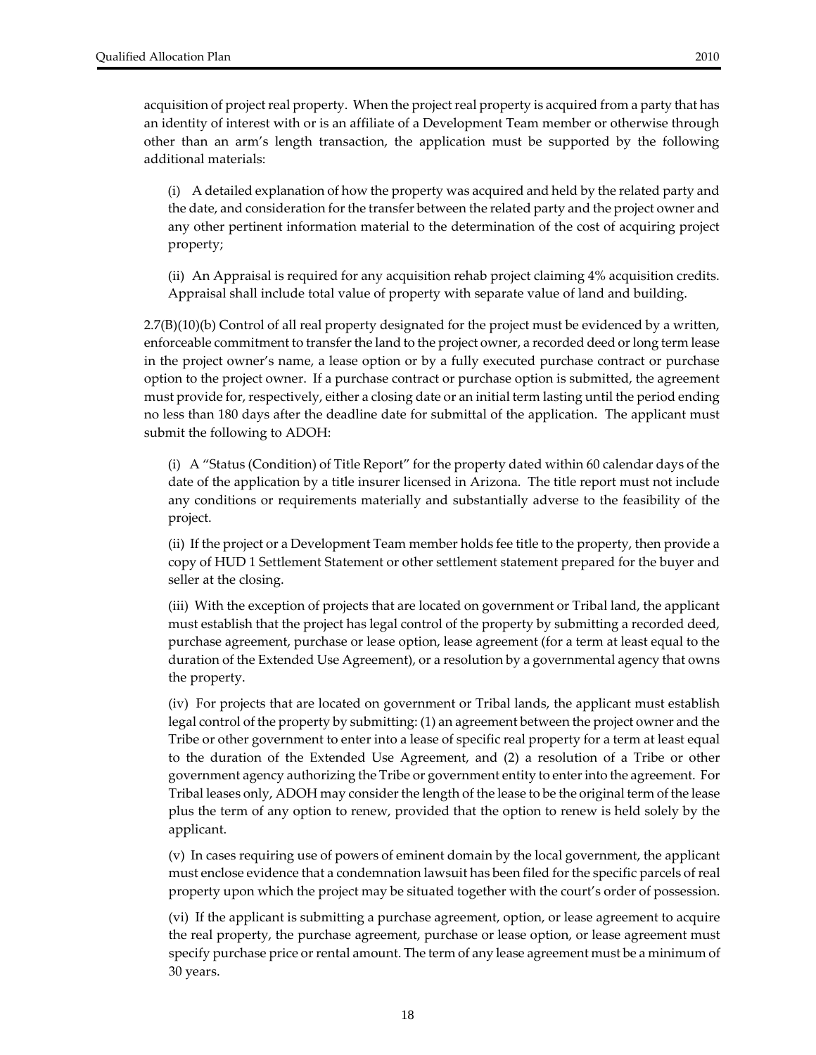additional materials:

(i) A detailed explanation of how the property was acquired and held by the related party and the date, and consideration for the transfer between the related party and the project owner and any other pertinent information material to the determination of the cost of acquiring project property;

(ii) An Appraisal is required for any acquisition rehab project claiming 4% acquisition credits. Appraisal shall include total value of property with separate value of land and building.

2.7(B)(10)(b) Control of all real property designated for the project must be evidenced by a written, enforceable commitment to transfer the land to the project owner, a recorded deed or long term lease in the project owner's name, a lease option or by a fully executed purchase contract or purchase option to the project owner. If a purchase contract or purchase option is submitted, the agreement must provide for, respectively, either a closing date or an initial term lasting until the period ending no less than 180 days after the deadline date for submittal of the application. The applicant must submit the following to ADOH:

(i) A "Status (Condition) of Title Report" for the property dated within 60 calendar days of the date of the application by a title insurer licensed in Arizona. The title report must not include any conditions or requirements materially and substantially adverse to the feasibility of the project.

(ii) If the project or a Development Team member holds fee title to the property, then provide a copy of HUD 1 Settlement Statement or other settlement statement prepared for the buyer and seller at the closing.

(iii) With the exception of projects that are located on government or Tribal land, the applicant must establish that the project has legal control of the property by submitting a recorded deed, purchase agreement, purchase or lease option, lease agreement (for a term at least equal to the duration of the Extended Use Agreement), or a resolution by a governmental agency that owns the property.

(iv) For projects that are located on government or Tribal lands, the applicant must establish legal control of the property by submitting: (1) an agreement between the project owner and the Tribe or other government to enter into a lease of specific real property for a term at least equal to the duration of the Extended Use Agreement, and (2) a resolution of a Tribe or other government agency authorizing the Tribe or government entity to enterinto the agreement. For Tribal leases only, ADOH may consider the length of the lease to be the original term of the lease plus the term of any option to renew, provided that the option to renew is held solely by the applicant.

(v) In cases requiring use of powers of eminent domain by the local government, the applicant must enclose evidence that a condemnation lawsuit has been filed for the specific parcels of real property upon which the project may be situated together with the court's order of possession.

(vi) If the applicant is submitting a purchase agreement, option, or lease agreement to acquire the real property, the purchase agreement, purchase or lease option, or lease agreement must specify purchase price or rental amount. The term of any lease agreement must be a minimum of 30 years.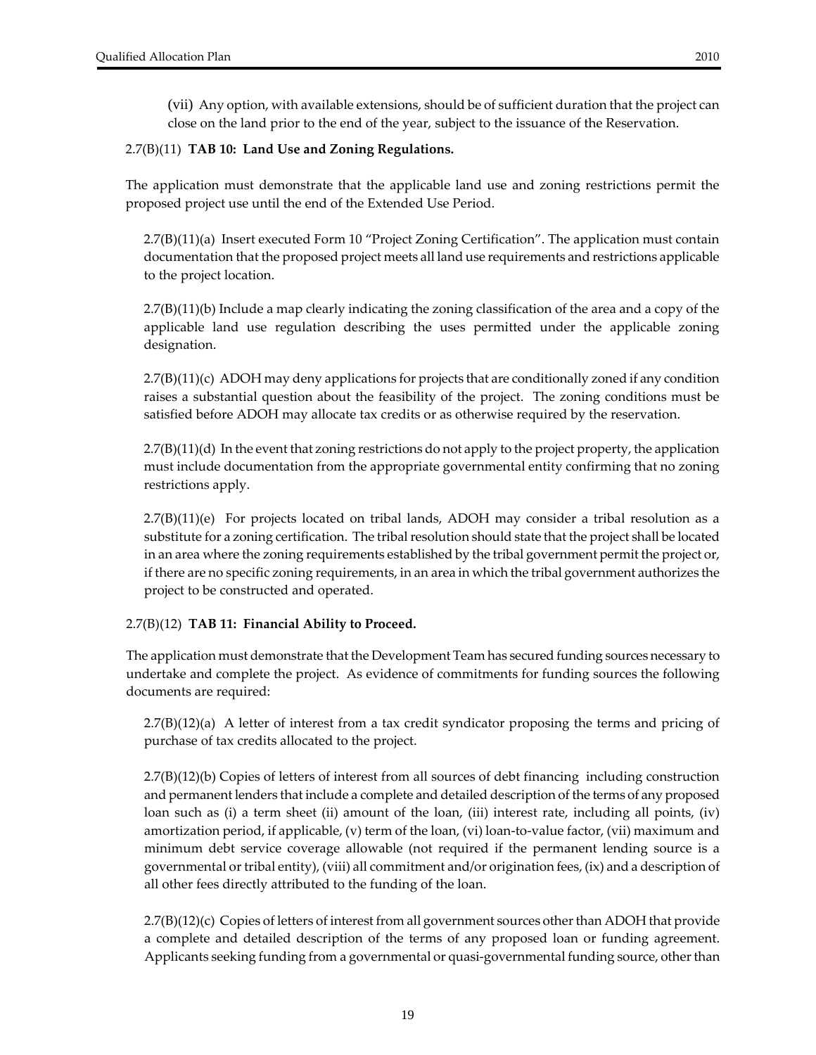#### 2.7(B)(11) **TAB 10: Land Use and Zoning Regulations.**

The application must demonstrate that the applicable land use and zoning restrictions permit the proposed project use until the end of the Extended Use Period.

2.7(B)(11)(a) Insert executed Form 10 "Project Zoning Certification". The application must contain documentation that the proposed project meets all land use requirements and restrictions applicable to the project location.

2.7(B)(11)(b) Include a map clearly indicating the zoning classification of the area and a copy of the applicable land use regulation describing the uses permitted under the applicable zoning designation.

2.7(B)(11)(c) ADOH may deny applications for projects that are conditionally zoned if any condition raises a substantial question about the feasibility of the project. The zoning conditions must be satisfied before ADOH may allocate tax credits or as otherwise required by the reservation.

2.7(B)(11)(d) In the event that zoning restrictions do not apply to the project property, the application must include documentation from the appropriate governmental entity confirming that no zoning restrictions apply.

 $2.7(B)(11)(e)$  For projects located on tribal lands, ADOH may consider a tribal resolution as a substitute for a zoning certification. The tribal resolution should state that the project shall be located in an area where the zoning requirements established by the tribal government permit the project or, if there are no specific zoning requirements, in an area in which the tribal government authorizes the project to be constructed and operated.

#### 2.7(B)(12) **TAB 11: Financial Ability to Proceed.**

The application must demonstrate that the Development Team has secured funding sources necessary to undertake and complete the project. As evidence of commitments for funding sources the following documents are required:

2.7(B)(12)(a) A letter of interest from a tax credit syndicator proposing the terms and pricing of purchase of tax credits allocated to the project.

2.7(B)(12)(b) Copies of letters of interest from all sources of debt financing including construction and permanent lenders that include a complete and detailed description of the terms of any proposed loan such as (i) a term sheet (ii) amount of the loan, (iii) interest rate, including all points, (iv) amortization period, if applicable, (v) term of the loan, (vi) loan-to-value factor, (vii) maximum and minimum debt service coverage allowable (not required if the permanent lending source is a governmental ortribal entity), (viii) all commitment and/or origination fees, (ix) and a description of all other fees directly attributed to the funding of the loan.

2.7(B)(12)(c) Copies of letters of interest from all government sources other than ADOH that provide a complete and detailed description of the terms of any proposed loan or funding agreement. Applicants seeking funding from a governmental or quasi-governmental funding source, other than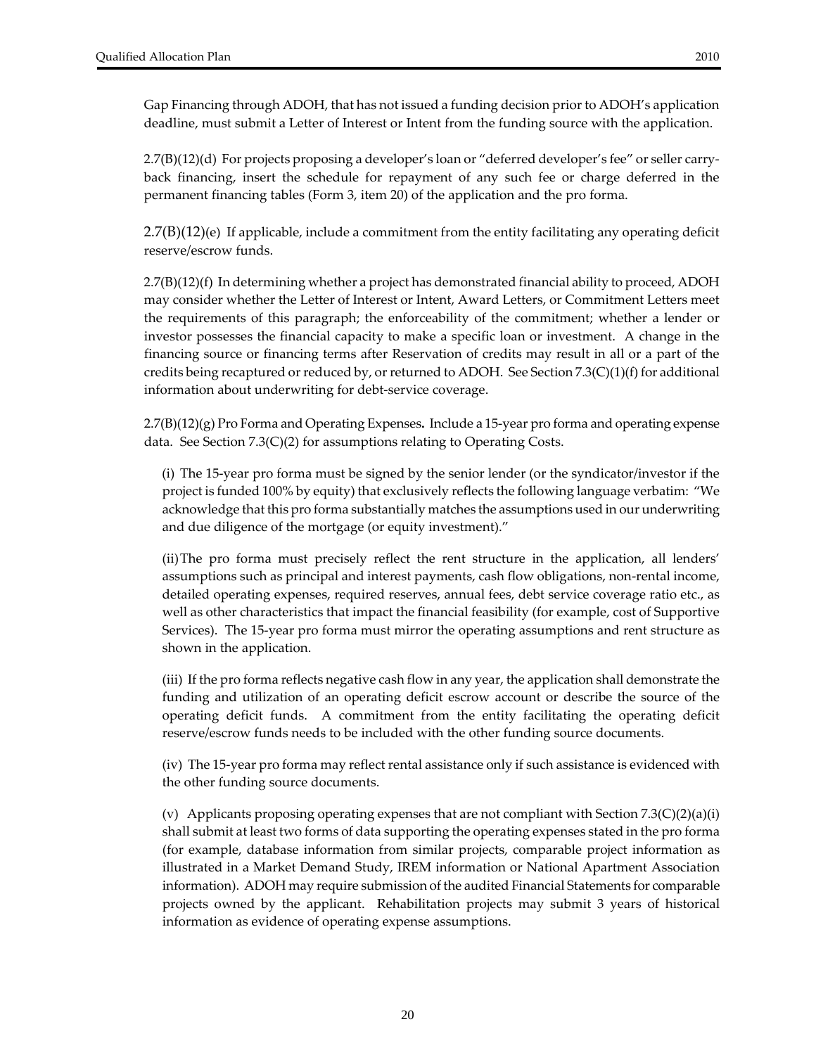Gap Financing through ADOH, that has not issued a funding decision prior to ADOH's application deadline, must submit a Letter of Interest or Intent from the funding source with the application.

2.7(B)(12)(d) For projects proposing a developer's loan or "deferred developer's fee" or seller carry‐ back financing, insert the schedule for repayment of any such fee or charge deferred in the permanent financing tables (Form 3, item 20) of the application and the pro forma.

 $2.7(B)(12)$ (e) If applicable, include a commitment from the entity facilitating any operating deficit reserve/escrow funds.

2.7(B)(12)(f) In determining whether a project has demonstrated financial ability to proceed, ADOH may consider whether the Letter of Interest or Intent, Award Letters, or Commitment Letters meet the requirements of this paragraph; the enforceability of the commitment; whether a lender or investor possesses the financial capacity to make a specific loan or investment. A change in the financing source or financing terms after Reservation of credits may result in all or a part of the credits being recaptured or reduced by, or returned to ADOH. See Section  $7.3(C)(1)(f)$  for additional information about underwriting for debt‐service coverage.

2.7(B)(12)(g) Pro Forma and Operating Expenses**.** Include a 15‐year pro forma and operating expense data. See Section 7.3(C)(2) for assumptions relating to Operating Costs.

(i) The 15‐year pro forma must be signed by the senior lender (or the syndicator/investor if the project is funded 100% by equity) that exclusively reflects the following language verbatim: "We acknowledge that this pro forma substantially matches the assumptions used in our underwriting and due diligence of the mortgage (or equity investment)."

(ii)The pro forma must precisely reflect the rent structure in the application, all lenders' assumptions such as principal and interest payments, cash flow obligations, non-rental income, detailed operating expenses, required reserves, annual fees, debt service coverage ratio etc., as well as other characteristics that impact the financial feasibility (for example, cost of Supportive Services). The 15‐year pro forma must mirror the operating assumptions and rent structure as shown in the application.

(iii) If the pro forma reflects negative cash flow in any year, the application shall demonstrate the funding and utilization of an operating deficit escrow account or describe the source of the operating deficit funds. A commitment from the entity facilitating the operating deficit reserve/escrow funds needs to be included with the other funding source documents.

(iv) The 15‐year pro forma may reflect rental assistance only if such assistance is evidenced with the other funding source documents.

(v) Applicants proposing operating expenses that are not compliant with Section 7.3(C)(2)(a)(i) shall submit at least two forms of data supporting the operating expenses stated in the pro forma (for example, database information from similar projects, comparable project information as illustrated in a Market Demand Study, IREM information or National Apartment Association information). ADOH may require submission of the audited Financial Statements for comparable projects owned by the applicant. Rehabilitation projects may submit 3 years of historical information as evidence of operating expense assumptions.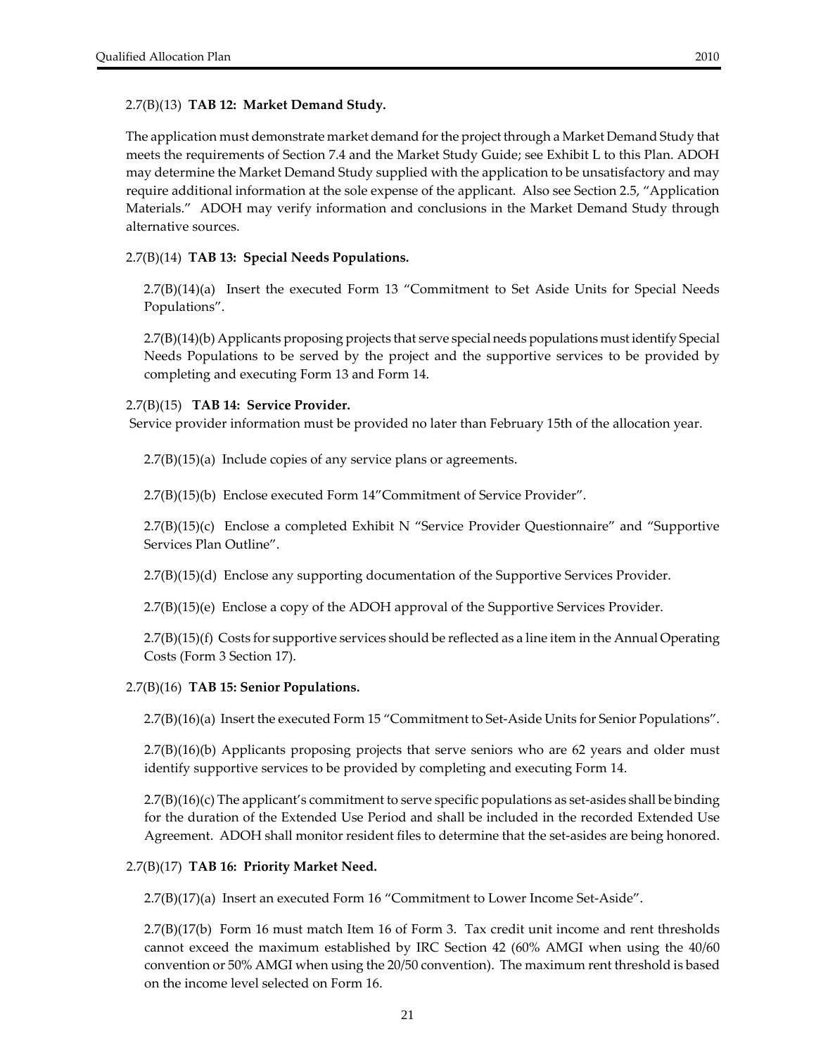#### 2.7(B)(13) **TAB 12: Market Demand Study.**

The application must demonstrate market demand forthe project through a Market Demand Study that meets the requirements of Section 7.4 and the Market Study Guide; see Exhibit L to this Plan. ADOH may determine the Market Demand Study supplied with the application to be unsatisfactory and may require additional information at the sole expense of the applicant. Also see Section 2.5, "Application Materials." ADOH may verify information and conclusions in the Market Demand Study through alternative sources.

#### 2.7(B)(14) **TAB 13: Special Needs Populations.**

2.7(B)(14)(a) Insert the executed Form 13 "Commitment to Set Aside Units for Special Needs Populations".

2.7(B)(14)(b) Applicants proposing projects that serve special needs populations mustidentify Special Needs Populations to be served by the project and the supportive services to be provided by completing and executing Form 13 and Form 14.

#### 2.7(B)(15) **TAB 14: Service Provider.**

Service provider information must be provided no later than February 15th of the allocation year.

2.7(B)(15)(a) Include copies of any service plans or agreements.

2.7(B)(15)(b) Enclose executed Form 14"Commitment of Service Provider".

2.7(B)(15)(c) Enclose a completed Exhibit N "Service Provider Questionnaire" and "Supportive Services Plan Outline".

2.7(B)(15)(d) Enclose any supporting documentation of the Supportive Services Provider.

2.7(B)(15)(e) Enclose a copy of the ADOH approval of the Supportive Services Provider.

2.7(B)(15)(f) Costs for supportive services should be reflected as a line item in the Annual Operating Costs (Form 3 Section 17).

#### 2.7(B)(16) **TAB 15: Senior Populations.**

2.7(B)(16)(a) Insert the executed Form 15 "Commitment to Set‐Aside Units for Senior Populations".

2.7(B)(16)(b) Applicants proposing projects that serve seniors who are 62 years and older must identify supportive services to be provided by completing and executing Form 14.

2.7(B)(16)(c) The applicant's commitment to serve specific populations as set‐asides shall be binding for the duration of the Extended Use Period and shall be included in the recorded Extended Use Agreement. ADOH shall monitor resident files to determine that the set‐asides are being honored.

#### 2.7(B)(17) **TAB 16: Priority Market Need.**

2.7(B)(17)(a) Insert an executed Form 16 "Commitment to Lower Income Set‐Aside".

2.7(B)(17(b) Form 16 must match Item 16 of Form 3. Tax credit unit income and rent thresholds cannot exceed the maximum established by IRC Section 42 (60% AMGI when using the 40/60 convention or 50% AMGI when using the 20/50 convention). The maximum rent threshold is based on the income level selected on Form 16.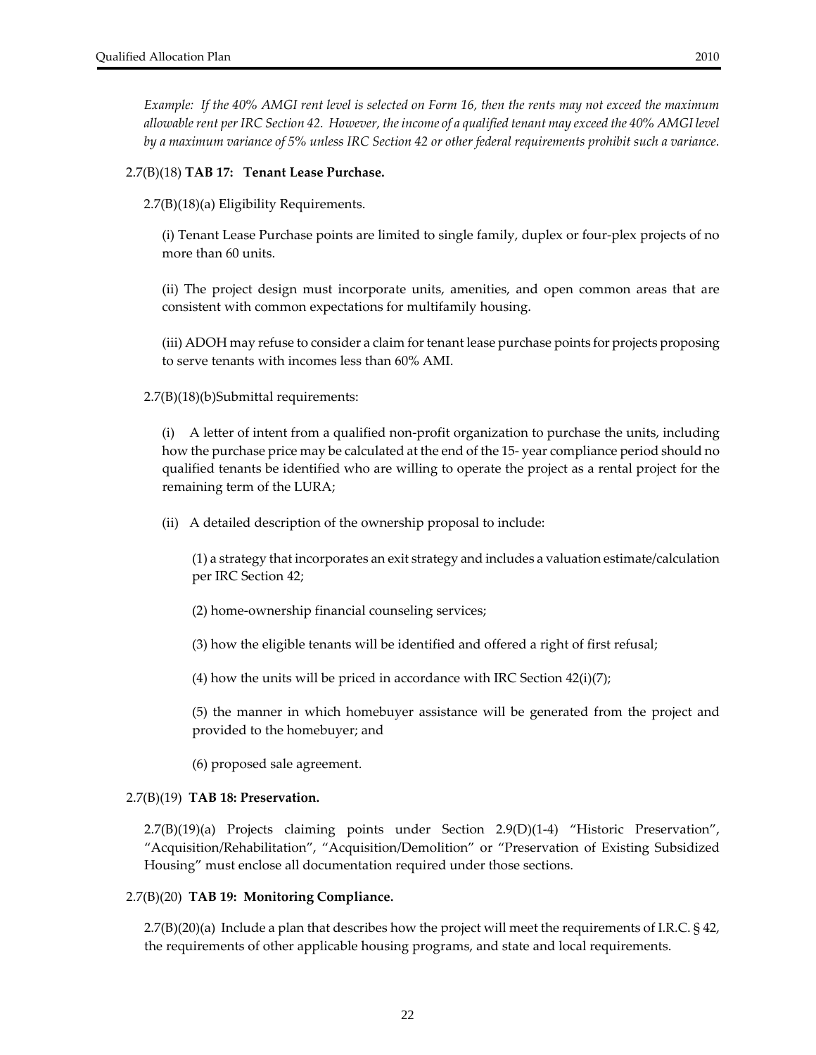Example: If the 40% AMGI rent level is selected on Form 16, then the rents may not exceed the maximum *allowablerent perIRC Section 42. However, theincome of a qualified tenant may exceed the 40% AMGI level* by a maximum variance of 5% unless IRC Section 42 or other federal requirements prohibit such a variance.

#### 2.7(B)(18) **TAB 17: Tenant Lease Purchase.**

2.7(B)(18)(a) Eligibility Requirements.

(i) Tenant Lease Purchase points are limited to single family, duplex or four‐plex projects of no more than 60 units.

(ii) The project design must incorporate units, amenities, and open common areas that are consistent with common expectations for multifamily housing.

(iii) ADOH may refuse to consider a claim for tenant lease purchase points for projects proposing to serve tenants with incomes less than 60% AMI.

2.7(B)(18)(b)Submittal requirements:

(i) A letter of intent from a qualified non‐profit organization to purchase the units, including how the purchase price may be calculated at the end of the 15‐ year compliance period should no qualified tenants be identified who are willing to operate the project as a rental project for the remaining term of the LURA;

(ii) A detailed description of the ownership proposal to include:

(1) a strategy that incorporates an exit strategy and includes a valuation estimate/calculation per IRC Section 42;

(2) home‐ownership financial counseling services;

(3) how the eligible tenants will be identified and offered a right of first refusal;

(4) how the units will be priced in accordance with IRC Section  $42(i)(7)$ ;

(5) the manner in which homebuyer assistance will be generated from the project and provided to the homebuyer; and

(6) proposed sale agreement.

#### 2.7(B)(19) **TAB 18: Preservation.**

2.7(B)(19)(a) Projects claiming points under Section 2.9(D)(1‐4) "Historic Preservation", "Acquisition/Rehabilitation", "Acquisition/Demolition" or "Preservation of Existing Subsidized Housing" must enclose all documentation required under those sections.

#### 2.7(B)(20) **TAB 19: Monitoring Compliance.**

2.7(B)(20)(a)Include a plan that describes how the project will meet the requirements of I.R.C. § 42, the requirements of other applicable housing programs, and state and local requirements.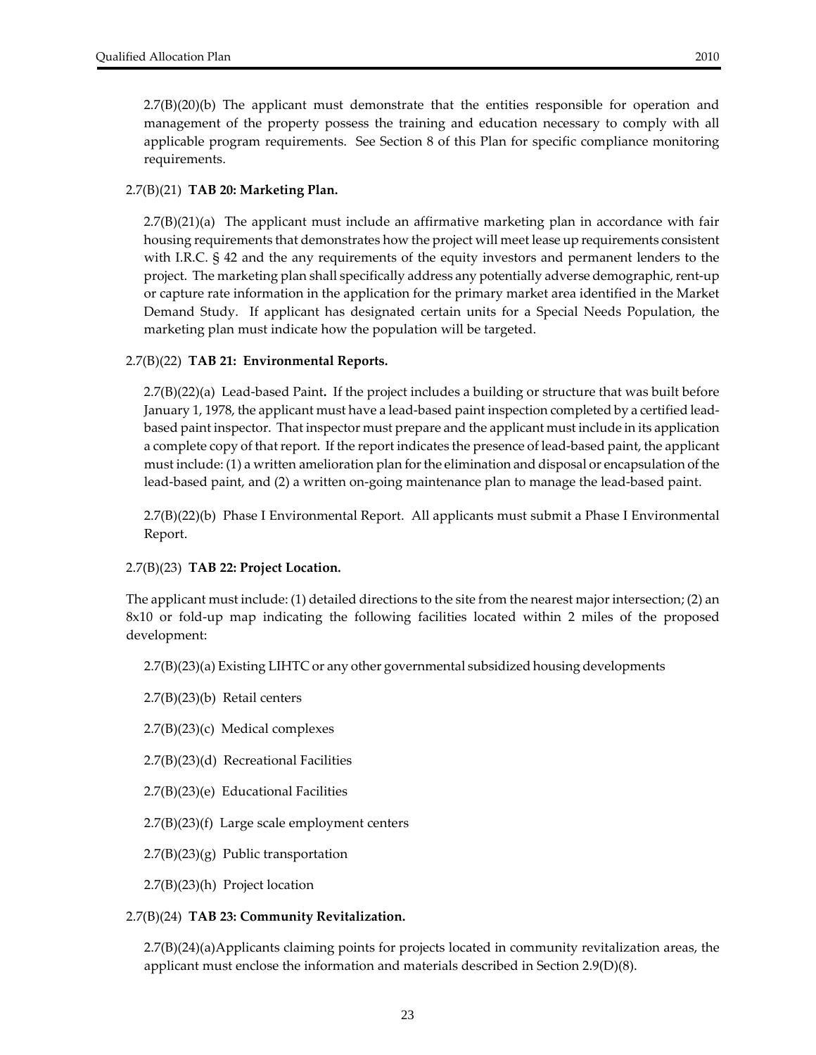$2.7(B)(20)(b)$  The applicant must demonstrate that the entities responsible for operation and management of the property possess the training and education necessary to comply with all applicable program requirements. See Section 8 of this Plan for specific compliance monitoring requirements.

#### 2.7(B)(21) **TAB 20: Marketing Plan.**

2.7(B)(21)(a) The applicant must include an affirmative marketing plan in accordance with fair housing requirements that demonstrates how the project will meet lease up requirements consistent with I.R.C. § 42 and the any requirements of the equity investors and permanent lenders to the project. The marketing plan shall specifically address any potentially adverse demographic, rent-up or capture rate information in the application for the primary market area identified in the Market Demand Study. If applicant has designated certain units for a Special Needs Population, the marketing plan must indicate how the population will be targeted.

#### 2.7(B)(22) **TAB 21: Environmental Reports.**

2.7(B)(22)(a) Lead‐based Paint**.** If the project includes a building or structure that was built before January 1, 1978, the applicant must have a lead‐based paint inspection completed by a certified lead‐ based paint inspector. That inspector must prepare and the applicant must include in its application a complete copy of that report. If the report indicates the presence of lead-based paint, the applicant must include: (1) a written amelioration plan forthe elimination and disposal or encapsulation of the lead‐based paint, and (2) a written on‐going maintenance plan to manage the lead‐based paint.

2.7(B)(22)(b) Phase I Environmental Report. All applicants must submit a Phase I Environmental Report.

#### 2.7(B)(23) **TAB 22: Project Location.**

The applicant must include: (1) detailed directions to the site from the nearest majorintersection; (2) an 8x10 or fold‐up map indicating the following facilities located within 2 miles of the proposed development:

2.7(B)(23)(a) Existing LIHTC or any other governmental subsidized housing developments

2.7(B)(23)(b) Retail centers

2.7(B)(23)(c) Medical complexes

2.7(B)(23)(d) Recreational Facilities

2.7(B)(23)(e) Educational Facilities

2.7(B)(23)(f) Large scale employment centers

2.7(B)(23)(g) Public transportation

2.7(B)(23)(h) Project location

#### 2.7(B)(24) **TAB 23: Community Revitalization.**

2.7(B)(24)(a)Applicants claiming points for projects located in community revitalization areas, the applicant must enclose the information and materials described in Section 2.9(D)(8).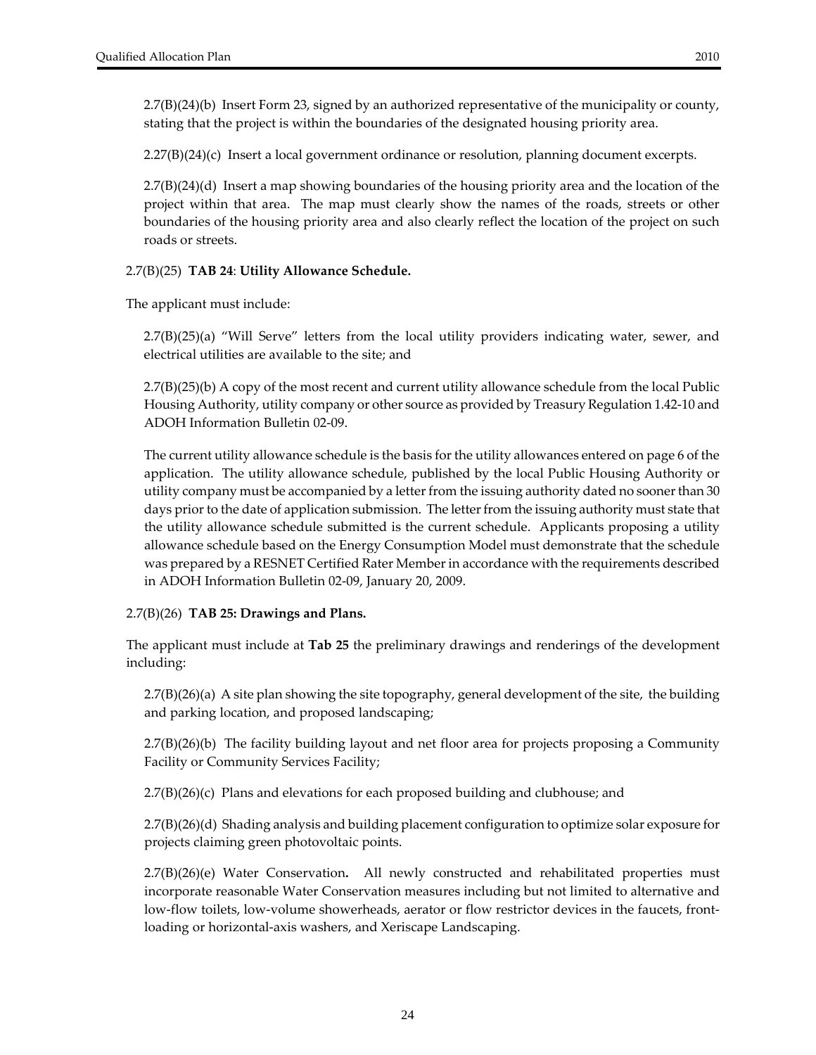2.7(B)(24)(b) Insert Form 23, signed by an authorized representative of the municipality or county, stating that the project is within the boundaries of the designated housing priority area.

 $2.27(B)(24)(c)$  Insert a local government ordinance or resolution, planning document excerpts.

2.7(B)(24)(d) Insert a map showing boundaries of the housing priority area and the location of the project within that area. The map must clearly show the names of the roads, streets or other boundaries of the housing priority area and also clearly reflect the location of the project on such roads or streets.

#### 2.7(B)(25) **TAB 24**: **Utility Allowance Schedule.**

The applicant must include:

2.7(B)(25)(a) "Will Serve" letters from the local utility providers indicating water, sewer, and electrical utilities are available to the site; and

2.7(B)(25)(b) A copy of the most recent and current utility allowance schedule from the local Public Housing Authority, utility company or other source as provided by Treasury Regulation 1.42‐10 and ADOH Information Bulletin 02‐09.

The current utility allowance schedule is the basis for the utility allowances entered on page 6 of the application. The utility allowance schedule, published by the local Public Housing Authority or utility company must be accompanied by a letter from the issuing authority dated no sooner than 30 days prior to the date of application submission. The letter from the issuing authority must state that the utility allowance schedule submitted is the current schedule. Applicants proposing a utility allowance schedule based on the Energy Consumption Model must demonstrate that the schedule was prepared by a RESNET Certified Rater Memberin accordance with the requirements described in ADOH Information Bulletin 02‐09, January 20, 2009.

#### 2.7(B)(26) **TAB 25: Drawings and Plans.**

The applicant must include at **Tab 25** the preliminary drawings and renderings of the development including:

2.7(B)(26)(a) A site plan showing the site topography, general development of the site, the building and parking location, and proposed landscaping;

2.7(B)(26)(b) The facility building layout and net floor area for projects proposing a Community Facility or Community Services Facility;

2.7(B)(26)(c) Plans and elevations for each proposed building and clubhouse; and

2.7(B)(26)(d) Shading analysis and building placement configuration to optimize solar exposure for projects claiming green photovoltaic points.

2.7(B)(26)(e) Water Conservation**.**  All newly constructed and rehabilitated properties must incorporate reasonable Water Conservation measures including but not limited to alternative and low-flow toilets, low-volume showerheads, aerator or flow restrictor devices in the faucets, frontloading or horizontal‐axis washers, and Xeriscape Landscaping.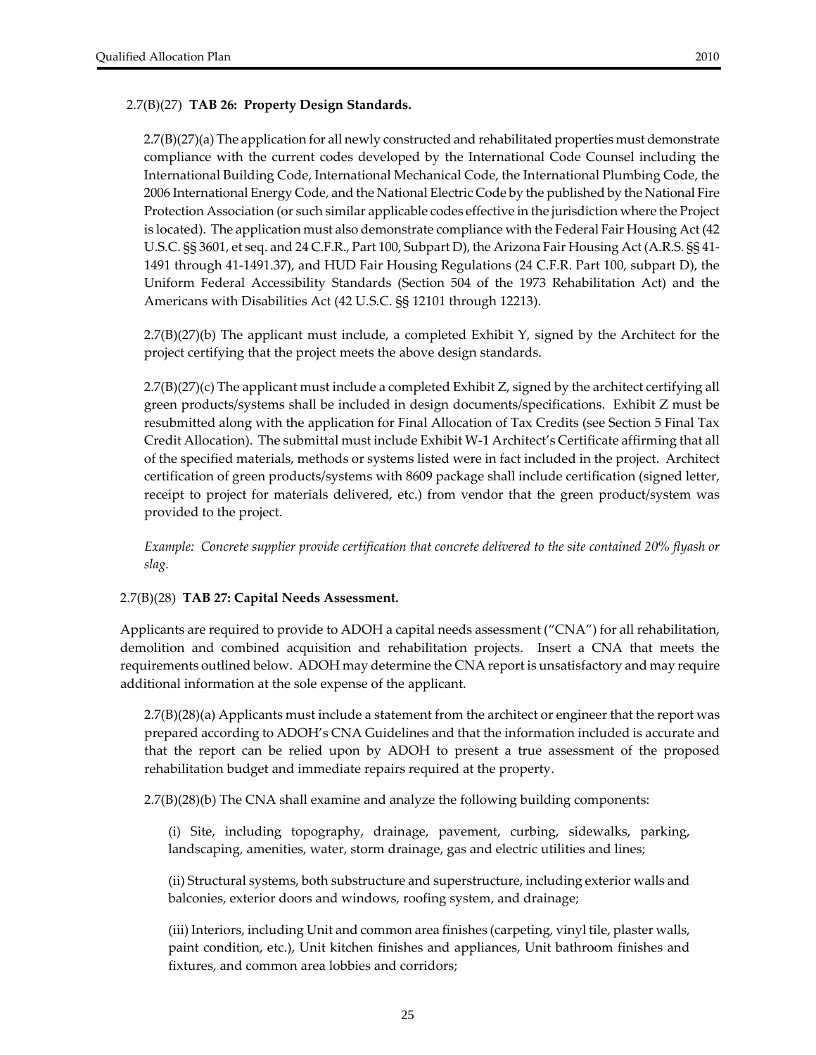## 2.7(B)(27) **TAB 26: Property Design Standards.**

2.7(B)(27)(a) The application for all newly constructed and rehabilitated properties must demonstrate compliance with the current codes developed by the International Code Counsel including the International Building Code, International Mechanical Code, the International Plumbing Code, the 2006 International Energy Code, and the National Electric Code by the published by the National Fire Protection Association (or such similar applicable codes effective in the jurisdiction where the Project is located). The application must also demonstrate compliance with the Federal Fair Housing Act (42 U.S.C. §§ 3601, et seq. and 24 C.F.R., Part 100, Subpart D), the Arizona Fair Housing Act (A.R.S. §§ 41‐ 1491 through 41‐1491.37), and HUD Fair Housing Regulations (24 C.F.R. Part 100, subpart D), the Uniform Federal Accessibility Standards (Section 504 of the 1973 Rehabilitation Act) and the Americans with Disabilities Act (42 U.S.C. §§ 12101 through 12213).

 $2.7(B)(27)(b)$  The applicant must include, a completed Exhibit Y, signed by the Architect for the project certifying that the project meets the above design standards.

2.7(B)(27)(c) The applicant must include a completed Exhibit Z, signed by the architect certifying all green products/systems shall be included in design documents/specifications. Exhibit Z must be resubmitted along with the application for Final Allocation of Tax Credits (see Section 5 Final Tax Credit Allocation). The submittal must include Exhibit W‐1 Architect's Certificate affirming that all of the specified materials, methods or systems listed were in fact included in the project. Architect certification of green products/systems with 8609 package shall include certification (signed letter, receipt to project for materials delivered, etc.) from vendor that the green product/system was provided to the project.

*Example: Concrete supplier provide certification that concrete delivered to the site contained 20% flyash or slag.*

#### 2.7(B)(28) **TAB 27: Capital Needs Assessment.**

Applicants are required to provide to ADOH a capital needs assessment ("CNA") for all rehabilitation, demolition and combined acquisition and rehabilitation projects. Insert a CNA that meets the requirements outlined below. ADOH may determine the CNA report is unsatisfactory and may require additional information at the sole expense of the applicant.

2.7(B)(28)(a) Applicants must include a statement from the architect or engineer that the report was prepared according to ADOH's CNA Guidelines and that the information included is accurate and that the report can be relied upon by ADOH to present a true assessment of the proposed rehabilitation budget and immediate repairs required at the property.

2.7(B)(28)(b) The CNA shall examine and analyze the following building components:

(i) Site, including topography, drainage, pavement, curbing, sidewalks, parking, landscaping, amenities, water, storm drainage, gas and electric utilities and lines;

(ii) Structural systems, both substructure and superstructure, including exterior walls and balconies, exterior doors and windows, roofing system, and drainage;

(iii) Interiors, including Unit and common area finishes (carpeting, vinyl tile, plaster walls, paint condition, etc.), Unit kitchen finishes and appliances, Unit bathroom finishes and fixtures, and common area lobbies and corridors;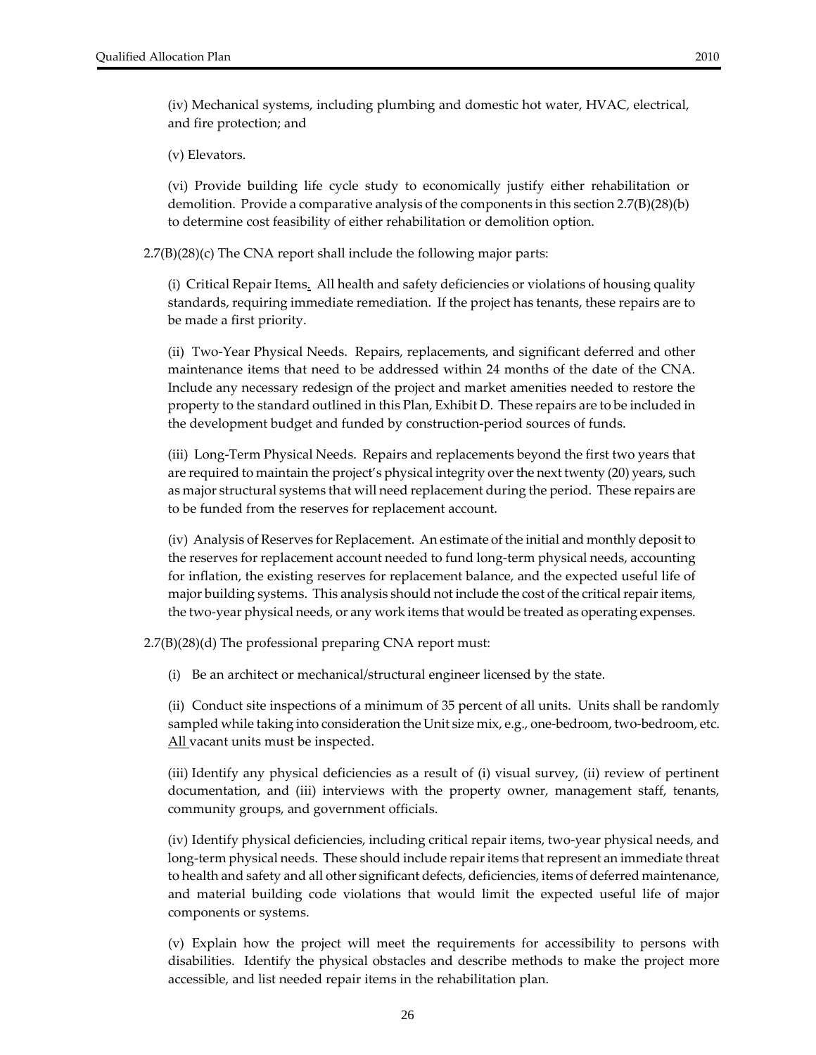(v) Elevators.

and fire protection; and

(vi) Provide building life cycle study to economically justify either rehabilitation or demolition. Provide a comparative analysis of the components in this section  $2.7(B)(28)(b)$ to determine cost feasibility of either rehabilitation or demolition option.

2.7(B)(28)(c) The CNA report shall include the following major parts:

(i) Critical Repair Items. All health and safety deficiencies or violations of housing quality standards, requiring immediate remediation. If the project has tenants, these repairs are to be made a first priority.

(ii) Two‐Year Physical Needs. Repairs, replacements, and significant deferred and other maintenance items that need to be addressed within 24 months of the date of the CNA. Include any necessary redesign of the project and market amenities needed to restore the property to the standard outlined in this Plan, Exhibit D. These repairs are to be included in the development budget and funded by construction‐period sources of funds.

(iii) Long‐Term Physical Needs. Repairs and replacements beyond the first two years that are required to maintain the project's physical integrity over the next twenty (20) years, such as major structural systems that will need replacement during the period. These repairs are to be funded from the reserves for replacement account.

(iv) Analysis of Reserves for Replacement. An estimate of the initial and monthly deposit to the reserves for replacement account needed to fund long‐term physical needs, accounting for inflation, the existing reserves for replacement balance, and the expected useful life of major building systems. This analysis should not include the cost of the critical repair items, the two-year physical needs, or any work items that would be treated as operating expenses.

2.7(B)(28)(d) The professional preparing CNA report must:

(i) Be an architect or mechanical/structural engineer licensed by the state.

(ii) Conduct site inspections of a minimum of 35 percent of all units. Units shall be randomly sampled while taking into consideration the Unit size mix, e.g., one-bedroom, two-bedroom, etc. All vacant units must be inspected.

(iii) Identify any physical deficiencies as a result of (i) visual survey, (ii) review of pertinent documentation, and (iii) interviews with the property owner, management staff, tenants, community groups, and government officials.

(iv) Identify physical deficiencies, including critical repair items, two‐year physical needs, and long-term physical needs. These should include repair items that represent an immediate threat to health and safety and all other significant defects, deficiencies, items of deferred maintenance, and material building code violations that would limit the expected useful life of major components or systems.

(v) Explain how the project will meet the requirements for accessibility to persons with disabilities. Identify the physical obstacles and describe methods to make the project more accessible, and list needed repair items in the rehabilitation plan.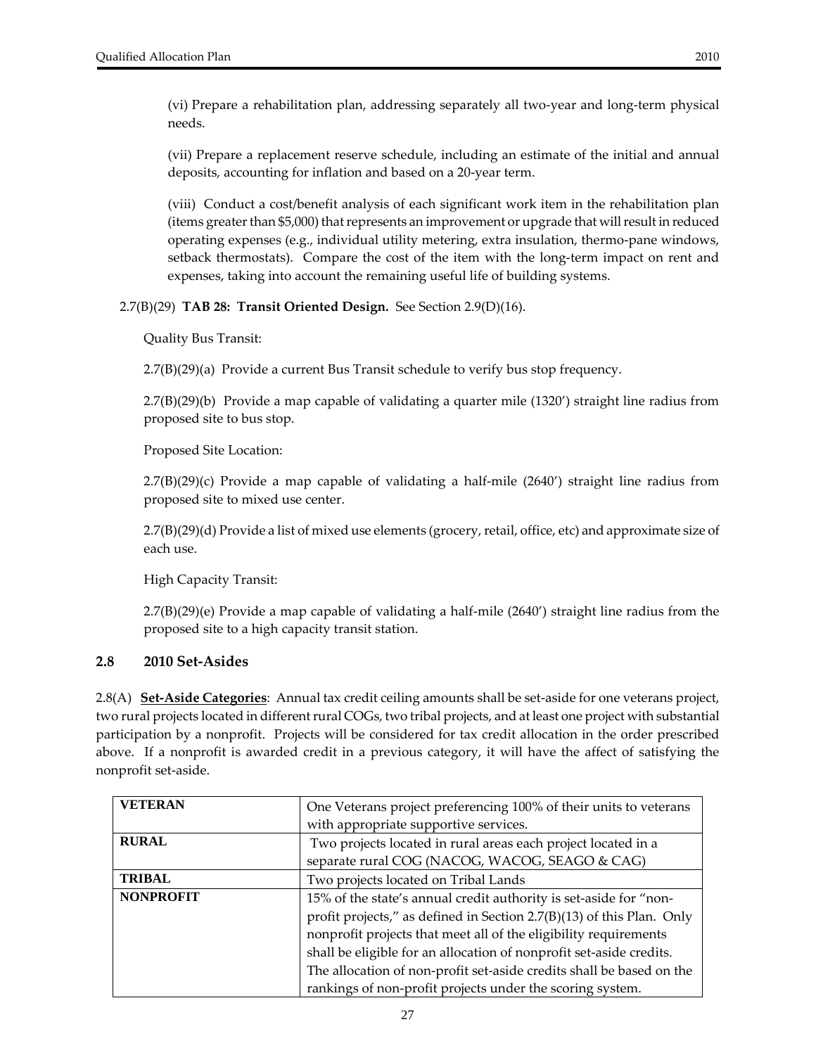<span id="page-26-0"></span>(vi) Prepare a rehabilitation plan, addressing separately all two‐year and long‐term physical needs.

(vii) Prepare a replacement reserve schedule, including an estimate of the initial and annual deposits, accounting for inflation and based on a 20‐year term.

(viii) Conduct a cost/benefit analysis of each significant work item in the rehabilitation plan (items greater than \$5,000) that represents an improvement or upgrade that will result in reduced operating expenses (e.g., individual utility metering, extra insulation, thermo-pane windows, setback thermostats). Compare the cost of the item with the long-term impact on rent and expenses, taking into account the remaining useful life of building systems.

#### 2.7(B)(29) **TAB 28: Transit Oriented Design.** See Section 2.9(D)(16).

Quality Bus Transit:

2.7(B)(29)(a) Provide a current Bus Transit schedule to verify bus stop frequency.

2.7(B)(29)(b) Provide a map capable of validating a quarter mile (1320') straight line radius from proposed site to bus stop.

Proposed Site Location:

 $2.7(B)(29)(c)$  Provide a map capable of validating a half-mile  $(2640')$  straight line radius from proposed site to mixed use center.

2.7(B)(29)(d) Provide a list of mixed use elements (grocery,retail, office, etc) and approximate size of each use.

High Capacity Transit:

 $2.7(B)(29)(e)$  Provide a map capable of validating a half-mile (2640') straight line radius from the proposed site to a high capacity transit station.

#### **2.8 2010 Set‐Asides**

2.8(A) **Set‐Aside Categories**: Annual tax credit ceiling amounts shall be set‐aside for one veterans project, two rural projects located in different rural COGs, two tribal projects, and at least one project with substantial participation by a nonprofit. Projects will be considered for tax credit allocation in the order prescribed above. If a nonprofit is awarded credit in a previous category, it will have the affect of satisfying the nonprofit set‐aside.

| <b>VETERAN</b>   | One Veterans project preferencing 100% of their units to veterans     |  |  |  |  |
|------------------|-----------------------------------------------------------------------|--|--|--|--|
|                  | with appropriate supportive services.                                 |  |  |  |  |
| <b>RURAL</b>     | Two projects located in rural areas each project located in a         |  |  |  |  |
|                  | separate rural COG (NACOG, WACOG, SEAGO & CAG)                        |  |  |  |  |
| <b>TRIBAL</b>    | Two projects located on Tribal Lands                                  |  |  |  |  |
| <b>NONPROFIT</b> | 15% of the state's annual credit authority is set-aside for "non-     |  |  |  |  |
|                  | profit projects," as defined in Section 2.7(B)(13) of this Plan. Only |  |  |  |  |
|                  | nonprofit projects that meet all of the eligibility requirements      |  |  |  |  |
|                  | shall be eligible for an allocation of nonprofit set-aside credits.   |  |  |  |  |
|                  | The allocation of non-profit set-aside credits shall be based on the  |  |  |  |  |
|                  | rankings of non-profit projects under the scoring system.             |  |  |  |  |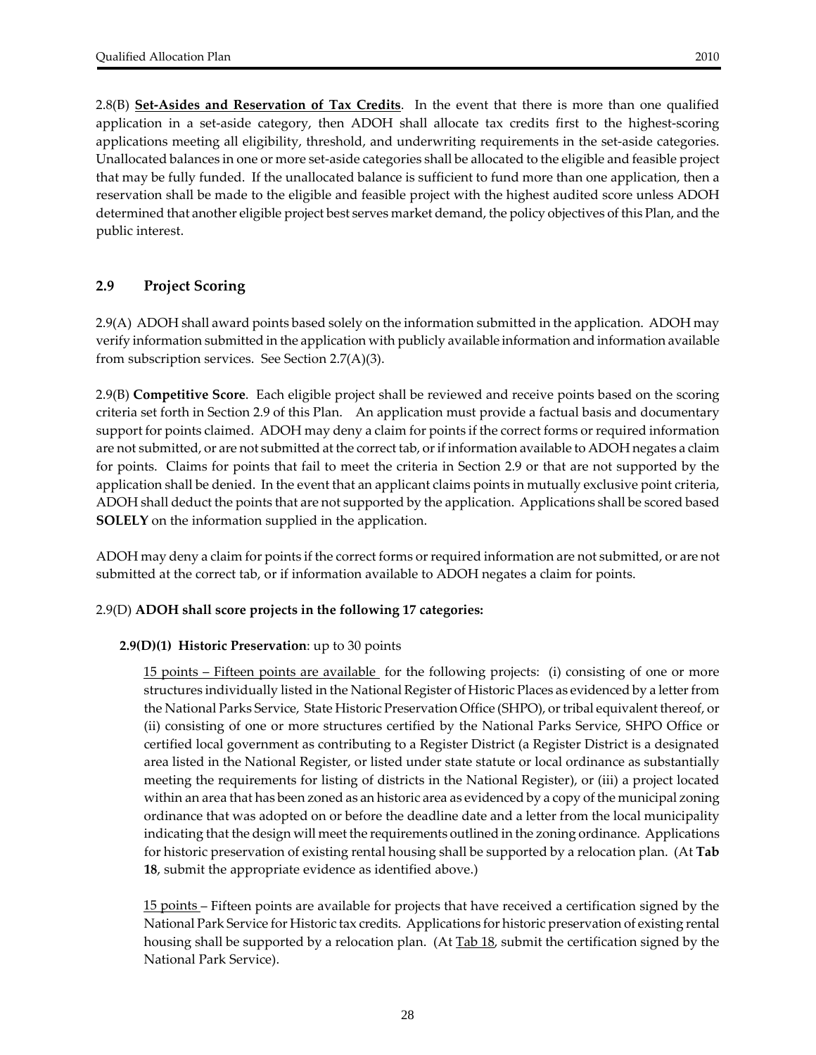<span id="page-27-0"></span>2.8(B) **Set‐Asides and Reservation of Tax Credits**. In the event that there is more than one qualified application in a set-aside category, then ADOH shall allocate tax credits first to the highest-scoring applications meeting all eligibility, threshold, and underwriting requirements in the set‐aside categories. Unallocated balances in one or more set‐aside categories shall be allocated to the eligible and feasible project that may be fully funded. If the unallocated balance is sufficient to fund more than one application, then a reservation shall be made to the eligible and feasible project with the highest audited score unless ADOH determined that another eligible project best serves market demand, the policy objectives of this Plan, and the public interest.

## **2.9 Project Scoring**

2.9(A) ADOH shall award points based solely on the information submitted in the application. ADOH may verify information submitted in the application with publicly available information and information available from subscription services. See Section 2.7(A)(3).

2.9(B) **Competitive Score**. Each eligible project shall be reviewed and receive points based on the scoring criteria set forth in Section 2.9 of this Plan. An application must provide a factual basis and documentary support for points claimed. ADOH may deny a claim for points if the correct forms or required information are not submitted, or are not submitted at the correct tab, or if information available to ADOH negates a claim for points. Claims for points that fail to meet the criteria in Section 2.9 or that are not supported by the application shall be denied. In the event that an applicant claims points in mutually exclusive point criteria, ADOH shall deduct the points that are not supported by the application. Applications shall be scored based **SOLELY** on the information supplied in the application.

ADOH may deny a claim for points if the correct forms or required information are not submitted, or are not submitted at the correct tab, or if information available to ADOH negates a claim for points.

#### 2.9(D) **ADOH shall score projects in the following 17 categories:**

#### **2.9(D)(1) Historic Preservation**: up to 30 points

15 points – Fifteen points are available for the following projects: (i) consisting of one or more structures individually listed in the National Register of Historic Places as evidenced by a letterfrom the National Parks Service, State Historic Preservation Office (SHPO), ortribal equivalent thereof, or (ii) consisting of one or more structures certified by the National Parks Service, SHPO Office or certified local government as contributing to a Register District (a Register District is a designated area listed in the National Register, or listed under state statute or local ordinance as substantially meeting the requirements for listing of districts in the National Register), or (iii) a project located within an area that has been zoned as an historic area as evidenced by a copy of the municipal zoning ordinance that was adopted on or before the deadline date and a letter from the local municipality indicating that the design will meet the requirements outlined in the zoning ordinance. Applications for historic preservation of existing rental housing shall be supported by a relocation plan. (At **Tab 18**, submit the appropriate evidence as identified above.)

15 points – Fifteen points are available for projects that have received a certification signed by the National Park Service for Historic tax credits. Applications for historic preservation of existing rental housing shall be supported by a relocation plan. (At **Tab 18**, submit the certification signed by the National Park Service).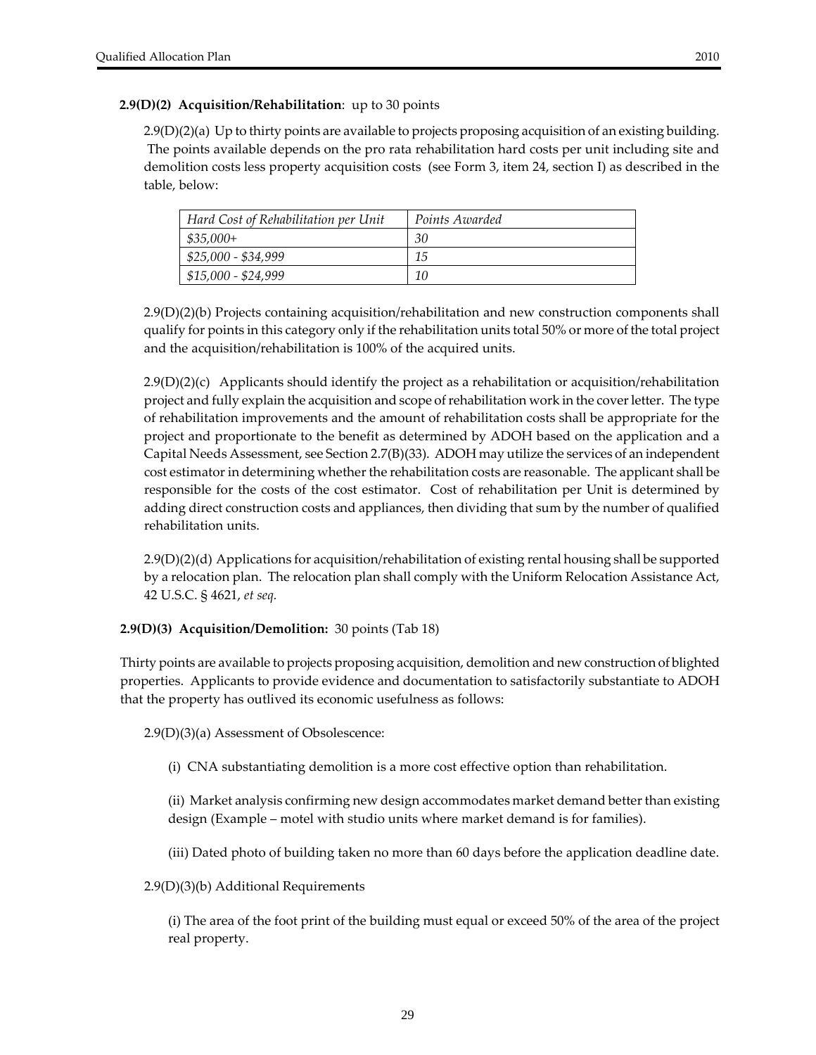#### **2.9(D)(2) Acquisition/Rehabilitation**: up to 30 points

2.9(D)(2)(a) Up to thirty points are available to projects proposing acquisition of an existing building. The points available depends on the pro rata rehabilitation hard costs per unit including site and demolition costs less property acquisition costs (see Form 3, item 24, section I) as described in the table, below:

| Hard Cost of Rehabilitation per Unit | Points Awarded |
|--------------------------------------|----------------|
| $$35,000+$                           | 30             |
| \$25,000 - \$34,999                  | 15             |
| $$15,000 - $24,999$                  | 10             |

2.9(D)(2)(b) Projects containing acquisition/rehabilitation and new construction components shall qualify for points in this category only if the rehabilitation units total 50% or more of the total project and the acquisition/rehabilitation is 100% of the acquired units.

 $2.9(D)(2)(c)$  Applicants should identify the project as a rehabilitation or acquisition/rehabilitation project and fully explain the acquisition and scope of rehabilitation work in the cover letter. The type of rehabilitation improvements and the amount of rehabilitation costs shall be appropriate for the project and proportionate to the benefit as determined by ADOH based on the application and a Capital Needs Assessment, see Section 2.7(B)(33). ADOH may utilize the services of an independent cost estimator in determining whether the rehabilitation costs are reasonable. The applicant shall be responsible for the costs of the cost estimator. Cost of rehabilitation per Unit is determined by adding direct construction costs and appliances, then dividing that sum by the number of qualified rehabilitation units.

2.9(D)(2)(d) Applications for acquisition/rehabilitation of existing rental housing shall be supported by a relocation plan. The relocation plan shall comply with the Uniform Relocation Assistance Act, 42 U.S.C. § 4621, *et seq.*

## **2.9(D)(3) Acquisition/Demolition:** 30 points (Tab 18)

Thirty points are available to projects proposing acquisition, demolition and new construction of blighted properties. Applicants to provide evidence and documentation to satisfactorily substantiate to ADOH that the property has outlived its economic usefulness as follows:

2.9(D)(3)(a) Assessment of Obsolescence:

(i) CNA substantiating demolition is a more cost effective option than rehabilitation.

(ii) Market analysis confirming new design accommodates market demand better than existing design (Example – motel with studio units where market demand is for families).

(iii) Dated photo of building taken no more than 60 days before the application deadline date.

2.9(D)(3)(b) Additional Requirements

(i) The area of the foot print of the building must equal or exceed 50% of the area of the project real property.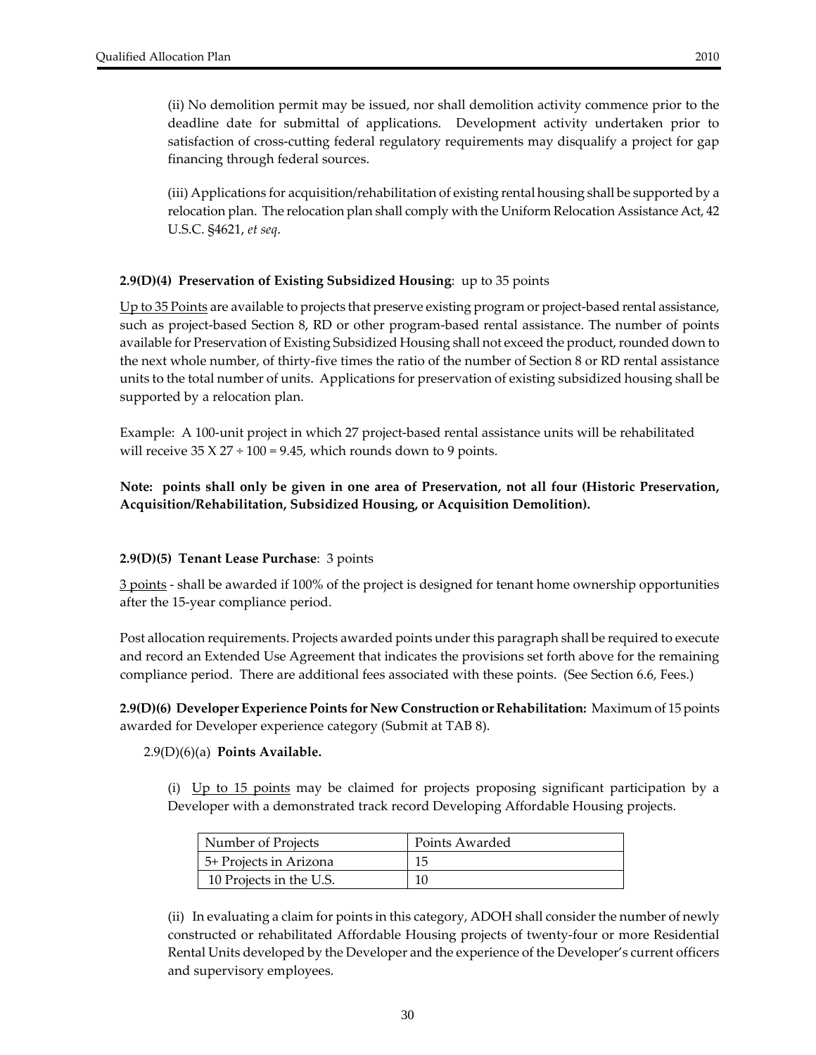(ii) No demolition permit may be issued, nor shall demolition activity commence prior to the deadline date for submittal of applications. Development activity undertaken prior to satisfaction of cross-cutting federal regulatory requirements may disqualify a project for gap financing through federal sources.

(iii) Applications for acquisition/rehabilitation of existing rental housing shall be supported by a relocation plan. The relocation plan shall comply with the Uniform Relocation Assistance Act, 42 U.S.C. §4621, *et seq*.

## **2.9(D)(4) Preservation of Existing Subsidized Housing**: up to 35 points

Up to 35 Points are available to projects that preserve existing program or project‐based rental assistance, such as project-based Section 8, RD or other program-based rental assistance. The number of points available for Preservation of Existing Subsidized Housing shall not exceed the product, rounded down to the next whole number, of thirty‐five times the ratio of the number of Section 8 or RD rental assistance units to the total number of units. Applications for preservation of existing subsidized housing shall be supported by a relocation plan.

Example: A 100‐unit project in which 27 project‐based rental assistance units will be rehabilitated will receive  $35 X 27 \div 100 = 9.45$ , which rounds down to 9 points.

## **Note: points shall only be given in one area of Preservation, not all four (Historic Preservation, Acquisition/Rehabilitation, Subsidized Housing, or Acquisition Demolition).**

#### **2.9(D)(5) Tenant Lease Purchase**: 3 points

3 points ‐ shall be awarded if 100% of the project is designed for tenant home ownership opportunities after the 15‐year compliance period.

Post allocation requirements. Projects awarded points underthis paragraph shall be required to execute and record an Extended Use Agreement that indicates the provisions set forth above for the remaining compliance period. There are additional fees associated with these points. (See Section 6.6, Fees.)

**2.9(D)(6) Developer Experience Points for New Construction or Rehabilitation:** Maximum of 15 points awarded for Developer experience category (Submit at TAB 8).

#### 2.9(D)(6)(a) **Points Available.**

(i) Up to 15 points may be claimed for projects proposing significant participation by a Developer with a demonstrated track record Developing Affordable Housing projects.

| Number of Projects      | Points Awarded |
|-------------------------|----------------|
| 5+ Projects in Arizona  | 15             |
| 10 Projects in the U.S. |                |

(ii) In evaluating a claim for points in this category, ADOH shall considerthe number of newly constructed or rehabilitated Affordable Housing projects of twenty‐four or more Residential Rental Units developed by the Developer and the experience of the Developer's current officers and supervisory employees.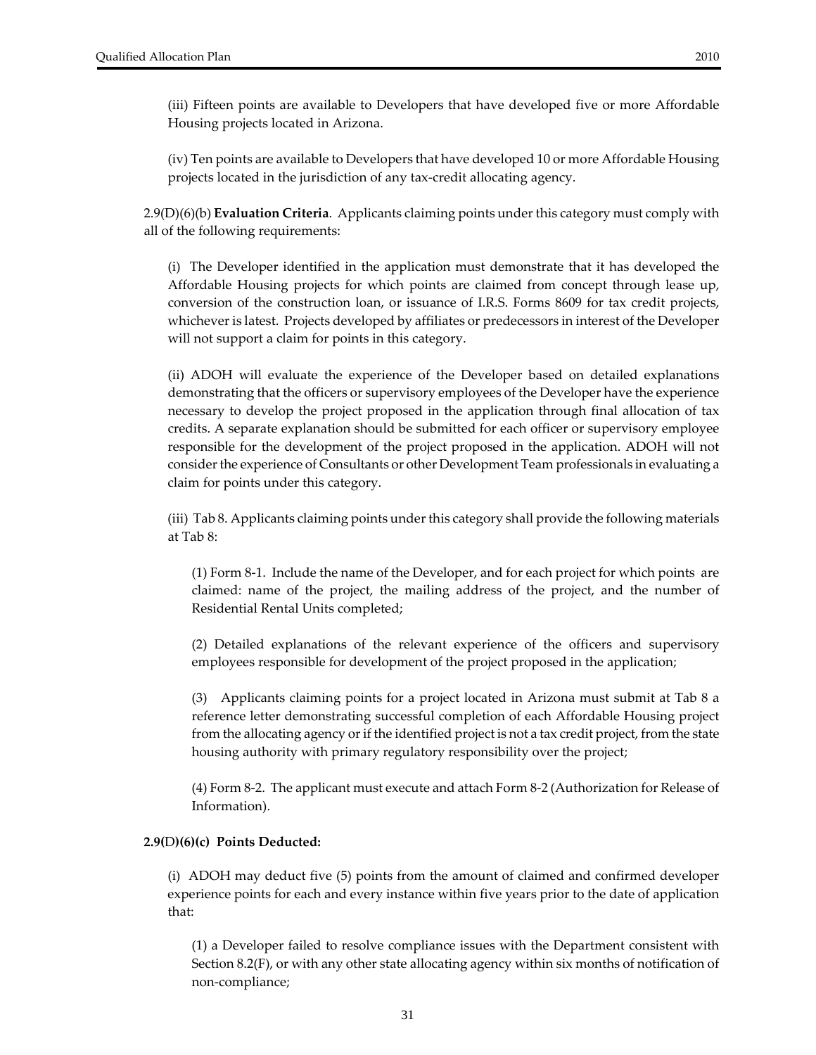(iii) Fifteen points are available to Developers that have developed five or more Affordable Housing projects located in Arizona.

(iv) Ten points are available to Developers that have developed 10 or more Affordable Housing projects located in the jurisdiction of any tax‐credit allocating agency.

2.9(D)(6)(b) **Evaluation Criteria**. Applicants claiming points under this category must comply with all of the following requirements:

(i) The Developer identified in the application must demonstrate that it has developed the Affordable Housing projects for which points are claimed from concept through lease up, conversion of the construction loan, or issuance of I.R.S. Forms 8609 for tax credit projects, whichever is latest. Projects developed by affiliates or predecessors in interest of the Developer will not support a claim for points in this category.

(ii) ADOH will evaluate the experience of the Developer based on detailed explanations demonstrating that the officers or supervisory employees of the Developer have the experience necessary to develop the project proposed in the application through final allocation of tax credits. A separate explanation should be submitted for each officer or supervisory employee responsible for the development of the project proposed in the application. ADOH will not consider the experience of Consultants or other Development Team professionals in evaluating a claim for points under this category.

(iii) Tab 8. Applicants claiming points under this category shall provide the following materials at Tab 8:

(1) Form 8‐1. Include the name of the Developer, and for each project for which points are claimed: name of the project, the mailing address of the project, and the number of Residential Rental Units completed;

(2) Detailed explanations of the relevant experience of the officers and supervisory employees responsible for development of the project proposed in the application;

(3) Applicants claiming points for a project located in Arizona must submit at Tab 8 a reference letter demonstrating successful completion of each Affordable Housing project from the allocating agency or if the identified project is not a tax credit project, from the state housing authority with primary regulatory responsibility over the project;

(4) Form 8‐2. The applicant must execute and attach Form 8‐2 (Authorization for Release of Information).

#### **2.9(**D**)(6)(c) Points Deducted:**

(i)ADOH may deduct five (5) points from the amount of claimed and confirmed developer experience points for each and every instance within five years prior to the date of application that:

(1) a Developer failed to resolve compliance issues with the Department consistent with Section 8.2(F), or with any other state allocating agency within six months of notification of non‐compliance;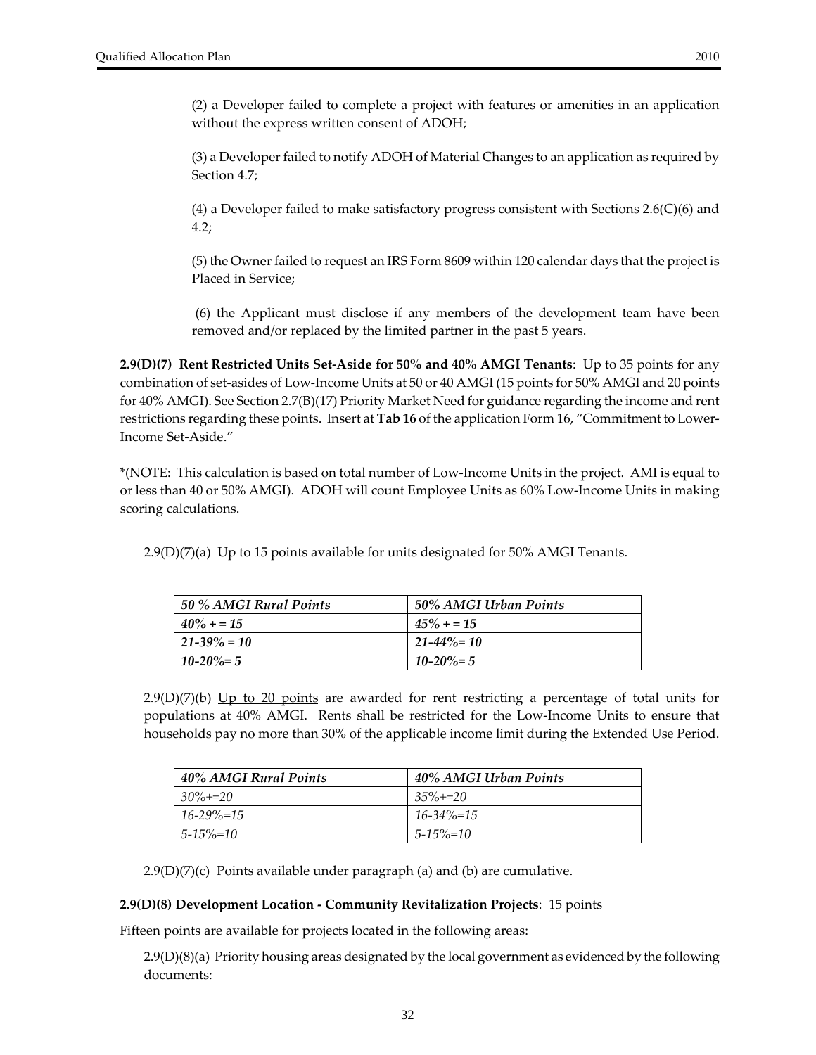(2) a Developer failed to complete a project with features or amenities in an application without the express written consent of ADOH;

(3) a Developer failed to notify ADOH of Material Changes to an application as required by Section 4.7;

(4) a Developer failed to make satisfactory progress consistent with Sections 2.6(C)(6) and 4.2;

(5) the Owner failed to request an IRS Form 8609 within 120 calendar days that the project is Placed in Service;

(6) the Applicant must disclose if any members of the development team have been removed and/or replaced by the limited partner in the past 5 years.

**2.9(D)(7) Rent Restricted Units Set‐Aside for 50% and 40% AMGI Tenants**: Up to 35 points for any combination of set‐asides of Low‐Income Units at 50 or 40 AMGI (15 points for 50% AMGI and 20 points for 40% AMGI). See Section 2.7(B)(17) Priority Market Need for guidance regarding the income and rent restrictions regarding these points. Insert at **Tab 16** of the application Form 16, "Commitment to Lower‐ Income Set‐Aside."

\*(NOTE: This calculation is based on total number of Low‐Income Units in the project. AMI is equal to or less than 40 or 50% AMGI). ADOH will count Employee Units as 60% Low‐Income Units in making scoring calculations.

 $2.9(D)(7)(a)$  Up to 15 points available for units designated for 50% AMGI Tenants.

| 50 % AMGI Rural Points | 50% AMGI Urban Points |
|------------------------|-----------------------|
| $40\% + 15$            | $45\% + 15$           |
| $21 - 39\% = 10$       | $21 - 44\% = 10$      |
| $10 - 20\% = 5$        | $10 - 20\% = 5$       |

 $2.9(D)(7)(b)$  Up to 20 points are awarded for rent restricting a percentage of total units for populations at 40% AMGI. Rents shall be restricted for the Low‐Income Units to ensure that households pay no more than 30% of the applicable income limit during the Extended Use Period.

| 40% AMGI Rural Points | 40% AMGI Urban Points |
|-----------------------|-----------------------|
| $30\% + 20$           | $35\% + 20$           |
| $16 - 29\% = 15$      | $16 - 34\% = 15$      |
| $5 - 15\% = 10$       | $5 - 15\% = 10$       |

 $2.9(D)(7)(c)$  Points available under paragraph (a) and (b) are cumulative.

#### **2.9(D)(8) Development Location ‐ Community Revitalization Projects**: 15 points

Fifteen points are available for projects located in the following areas:

2.9(D)(8)(a) Priority housing areas designated by the local government as evidenced by the following documents: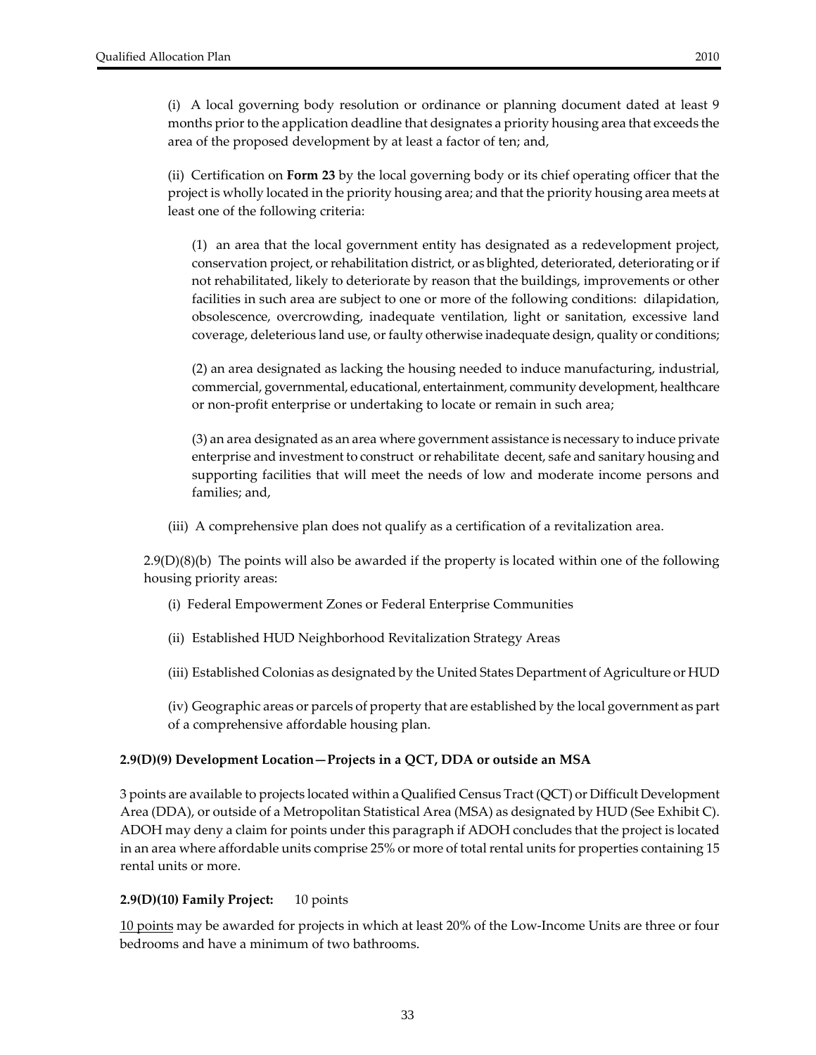(i) A local governing body resolution or ordinance or planning document dated at least 9 months prior to the application deadline that designates a priority housing area that exceeds the area of the proposed development by at least a factor of ten; and,

(ii) Certification on **Form 23** by the local governing body or its chief operating officer that the project is wholly located in the priority housing area; and that the priority housing area meets at least one of the following criteria:

(1) an area that the local government entity has designated as a redevelopment project, conservation project, orrehabilitation district, or as blighted, deteriorated, deteriorating orif not rehabilitated, likely to deteriorate by reason that the buildings, improvements or other facilities in such area are subject to one or more of the following conditions: dilapidation, obsolescence, overcrowding, inadequate ventilation, light or sanitation, excessive land coverage, deleterious land use, orfaulty otherwise inadequate design, quality or conditions;

(2) an area designated as lacking the housing needed to induce manufacturing, industrial, commercial, governmental, educational, entertainment, community development, healthcare or non‐profit enterprise or undertaking to locate or remain in such area;

(3) an area designated as an area where government assistance is necessary to induce private enterprise and investment to construct orrehabilitate decent, safe and sanitary housing and supporting facilities that will meet the needs of low and moderate income persons and families; and,

(iii) A comprehensive plan does not qualify as a certification of a revitalization area.

2.9(D)(8)(b) The points will also be awarded if the property is located within one of the following housing priority areas:

- (i) Federal Empowerment Zones or Federal Enterprise Communities
- (ii) Established HUD Neighborhood Revitalization Strategy Areas
- (iii) Established Colonias as designated by the United States Department of Agriculture or HUD

(iv) Geographic areas or parcels of property that are established by the local government as part of a comprehensive affordable housing plan.

#### **2.9(D)(9) Development Location—Projects in a QCT, DDA or outside an MSA**

3 points are available to projects located within a Qualified Census Tract (QCT) or Difficult Development Area (DDA), or outside of a Metropolitan Statistical Area (MSA) as designated by HUD (See Exhibit C). ADOH may deny a claim for points under this paragraph if ADOH concludes that the project is located in an area where affordable units comprise 25% or more of total rental units for properties containing 15 rental units or more.

#### **2.9(D)(10) Family Project:** 10 points

10 points may be awarded for projects in which at least 20% of the Low‐Income Units are three or four bedrooms and have a minimum of two bathrooms.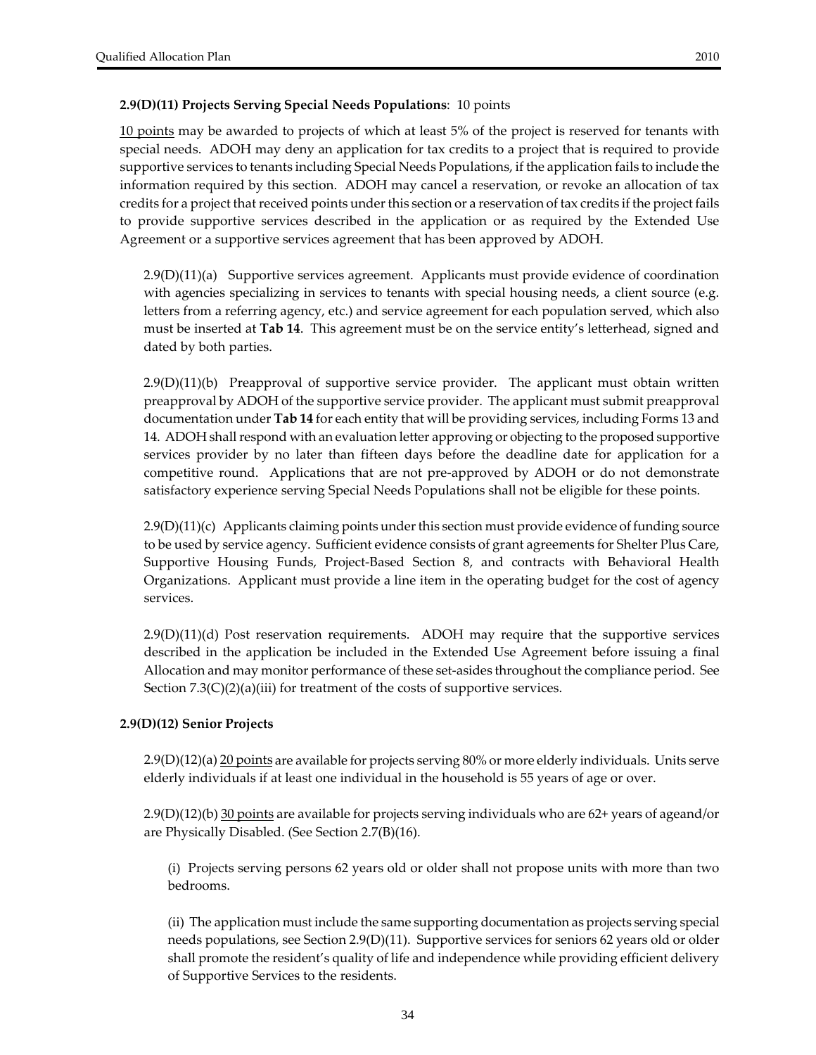## **2.9(D)(11) Projects Serving Special Needs Populations**: 10 points

10 points may be awarded to projects of which at least 5% of the project is reserved for tenants with special needs. ADOH may deny an application for tax credits to a project that is required to provide supportive services to tenants including Special Needs Populations, if the application fails to include the information required by this section. ADOH may cancel a reservation, or revoke an allocation of tax credits for a project that received points under this section or a reservation of tax credits if the project fails to provide supportive services described in the application or as required by the Extended Use Agreement or a supportive services agreement that has been approved by ADOH.

2.9(D)(11)(a) Supportive services agreement. Applicants must provide evidence of coordination with agencies specializing in services to tenants with special housing needs, a client source (e.g. letters from a referring agency, etc.) and service agreement for each population served, which also must be inserted at **Tab 14**. This agreement must be on the service entity's letterhead, signed and dated by both parties.

 $2.9(D)(11)$ (b) Preapproval of supportive service provider. The applicant must obtain written preapproval by ADOH of the supportive service provider. The applicant must submit preapproval documentation under **Tab 14** for each entity that will be providing services, including Forms 13 and 14. ADOH shallrespond with an evaluation letter approving or objecting to the proposed supportive services provider by no later than fifteen days before the deadline date for application for a competitive round. Applications that are not pre‐approved by ADOH or do not demonstrate satisfactory experience serving Special Needs Populations shall not be eligible for these points.

2.9(D)(11)(c) Applicants claiming points under this section must provide evidence of funding source to be used by service agency. Sufficient evidence consists of grant agreements for Shelter Plus Care, Supportive Housing Funds, Project-Based Section 8, and contracts with Behavioral Health Organizations. Applicant must provide a line item in the operating budget for the cost of agency services.

2.9(D)(11)(d) Post reservation requirements. ADOH may require that the supportive services described in the application be included in the Extended Use Agreement before issuing a final Allocation and may monitor performance of these set‐asides throughout the compliance period. See Section 7.3(C)(2)(a)(iii) for treatment of the costs of supportive services.

## **2.9(D)(12) Senior Projects**

2.9(D)(12)(a) 20 points are available for projects serving 80% or more elderly individuals. Units serve elderly individuals if at least one individual in the household is 55 years of age or over.

2.9(D)(12)(b) 30 points are available for projects serving individuals who are 62+ years of ageand/or are Physically Disabled. (See Section 2.7(B)(16).

(i) Projects serving persons 62 years old or older shall not propose units with more than two bedrooms.

(ii) The application must include the same supporting documentation as projects serving special needs populations, see Section 2.9(D)(11). Supportive services for seniors 62 years old or older shall promote the resident's quality of life and independence while providing efficient delivery of Supportive Services to the residents.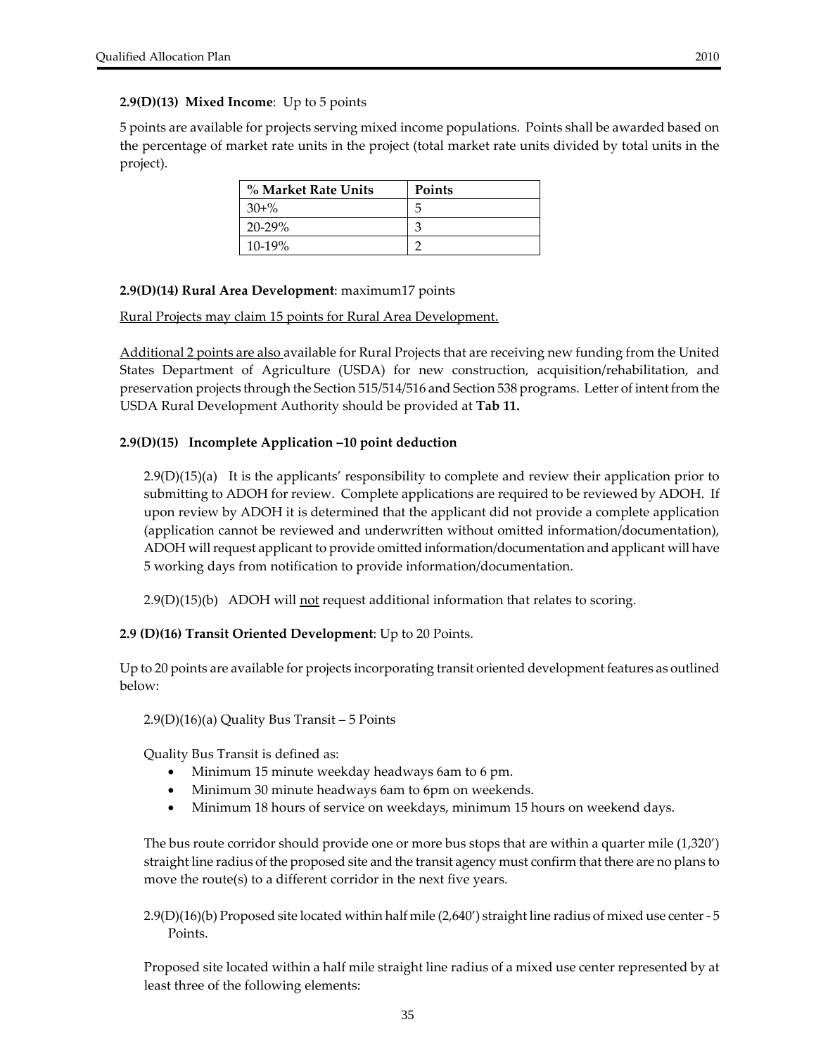#### **2.9(D)(13) Mixed Income**: Up to 5 points

5 points are available for projects serving mixed income populations. Points shall be awarded based on the percentage of market rate units in the project (total market rate units divided by total units in the project).

| % Market Rate Units | <b>Points</b> |
|---------------------|---------------|
| $30 + \%$           | h             |
| $20 - 29%$          |               |
| $10-19%$            |               |

#### **2.9(D)(14) Rural Area Development**: maximum17 points

#### Rural Projects may claim 15 points for Rural Area Development.

Additional 2 points are also available for Rural Projects that are receiving new funding from the United States Department of Agriculture (USDA) for new construction, acquisition/rehabilitation, and preservation projects through the Section 515/514/516 and Section 538 programs. Letter of intent from the USDA Rural Development Authority should be provided at **Tab 11.** 

#### **2.9(D)(15) Incomplete Application –10 point deduction**

2.9(D)(15)(a) It is the applicants' responsibility to complete and review their application prior to submitting to ADOH for review. Complete applications are required to be reviewed by ADOH. If upon review by ADOH it is determined that the applicant did not provide a complete application (application cannot be reviewed and underwritten without omitted information/documentation), ADOH will request applicant to provide omitted information/documentation and applicant will have 5 working days from notification to provide information/documentation.

 $2.9(D)(15)(b)$  ADOH will not request additional information that relates to scoring.

#### **2.9 (D)(16) Transit Oriented Development**: Up to 20 Points.

Up to 20 points are available for projects incorporating transit oriented development features as outlined below:

#### 2.9(D)(16)(a) Quality Bus Transit – 5 Points

Quality Bus Transit is defined as:

- Minimum 15 minute weekday headways 6am to 6 pm.
- Minimum 30 minute headways 6am to 6pm on weekends.
- Minimum 18 hours of service on weekdays, minimum 15 hours on weekend days.

The bus route corridor should provide one or more bus stops that are within a quarter mile (1,320') straight line radius of the proposed site and the transit agency must confirm that there are no plans to move the route(s) to a different corridor in the next five years.

2.9(D)(16)(b) Proposed site located within half mile (2,640') straight line radius of mixed use center ‐ 5 Points.

Proposed site located within a half mile straight line radius of a mixed use center represented by at least three of the following elements: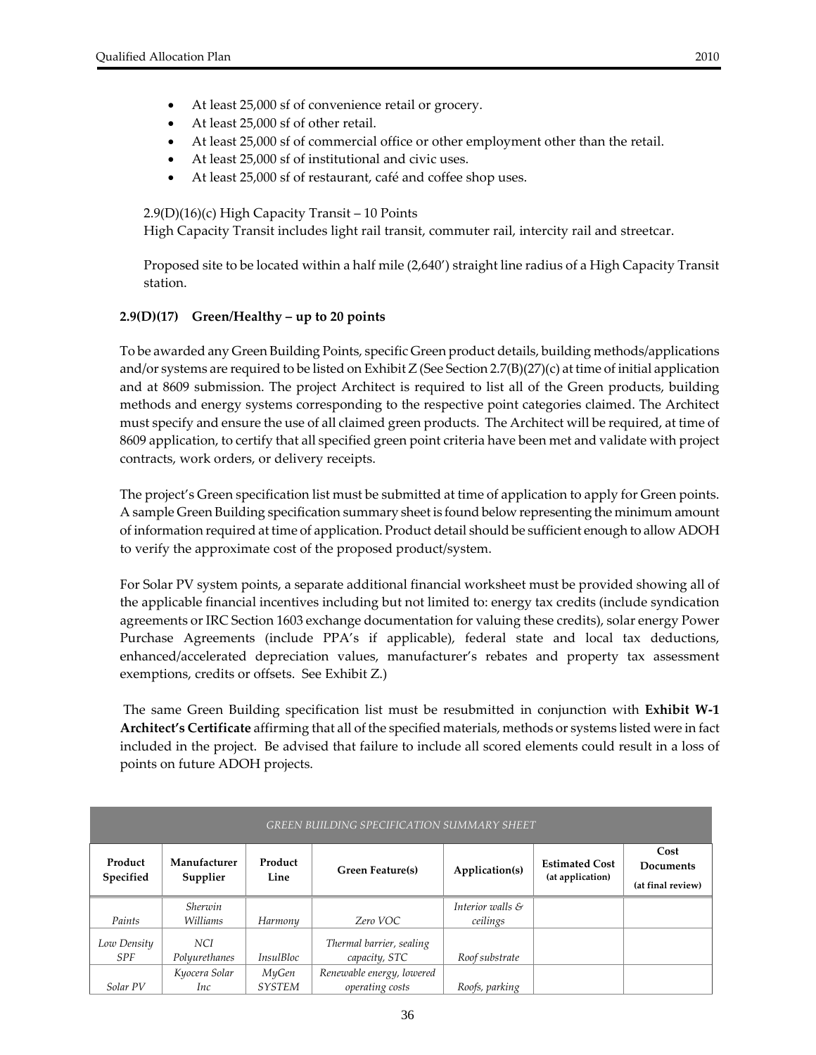- At least 25,000 sf of convenience retail or grocery.
- At least 25,000 sf of other retail.
- At least 25,000 sf of commercial office or other employment other than the retail.
- At least 25,000 sf of institutional and civic uses.
- At least 25,000 sf of restaurant, café and coffee shop uses.

#### 2.9(D)(16)(c) High Capacity Transit – 10 Points

High Capacity Transit includes light rail transit, commuter rail, intercity rail and streetcar.

Proposed site to be located within a half mile (2,640') straight line radius of a High Capacity Transit station.

## **2.9(D)(17) Green/Healthy – up to 20 points**

To be awarded any Green Building Points, specific Green product details, building methods/applications and/or systems are required to be listed on Exhibit Z (See Section 2.7(B)(27)(c) at time of initial application and at 8609 submission. The project Architect is required to list all of the Green products, building methods and energy systems corresponding to the respective point categories claimed. The Architect must specify and ensure the use of all claimed green products. The Architect will be required, at time of 8609 application, to certify that all specified green point criteria have been met and validate with project contracts, work orders, or delivery receipts.

The project's Green specification list must be submitted at time of application to apply for Green points. A sample Green Building specification summary sheetis found below representing the minimum amount of information required at time of application. Product detail should be sufficient enough to allow ADOH to verify the approximate cost of the proposed product/system.

For Solar PV system points, a separate additional financial worksheet must be provided showing all of the applicable financial incentives including but not limited to: energy tax credits (include syndication agreements or IRC Section 1603 exchange documentation for valuing these credits), solar energy Power Purchase Agreements (include PPA's if applicable), federal state and local tax deductions, enhanced/accelerated depreciation values, manufacturer's rebates and property tax assessment exemptions, credits or offsets. See Exhibit Z.)

The same Green Building specification list must be resubmitted in conjunction with **Exhibit W‐1 Architect's Certificate** affirming that all of the specified materials, methods or systems listed were in fact included in the project. Be advised that failure to include all scored elements could result in a loss of points on future ADOH projects.

| GREEN BUILDING SPECIFICATION SUMMARY SHEET |                          |                  |                                           |                             |                                           |                                               |
|--------------------------------------------|--------------------------|------------------|-------------------------------------------|-----------------------------|-------------------------------------------|-----------------------------------------------|
| Product<br>Specified                       | Manufacturer<br>Supplier | Product<br>Line  | <b>Green Feature(s)</b>                   | Application(s)              | <b>Estimated Cost</b><br>(at application) | Cost<br><b>Documents</b><br>(at final review) |
|                                            | Sherwin                  |                  |                                           | Interior walls $\mathcal S$ |                                           |                                               |
| Paints                                     | Williams                 | Harmony          | Zero VOC                                  | ceilings                    |                                           |                                               |
| Low Density<br><b>SPF</b>                  | NCI.<br>Polyurethanes    | <i>InsulBloc</i> | Thermal barrier, sealing<br>capacity, STC | Roof substrate              |                                           |                                               |
|                                            | Kyocera Solar            | MyGen            | Renewable energy, lowered                 |                             |                                           |                                               |
| Solar PV                                   | Inc                      | <b>SYSTEM</b>    | operating costs                           | Roofs, parking              |                                           |                                               |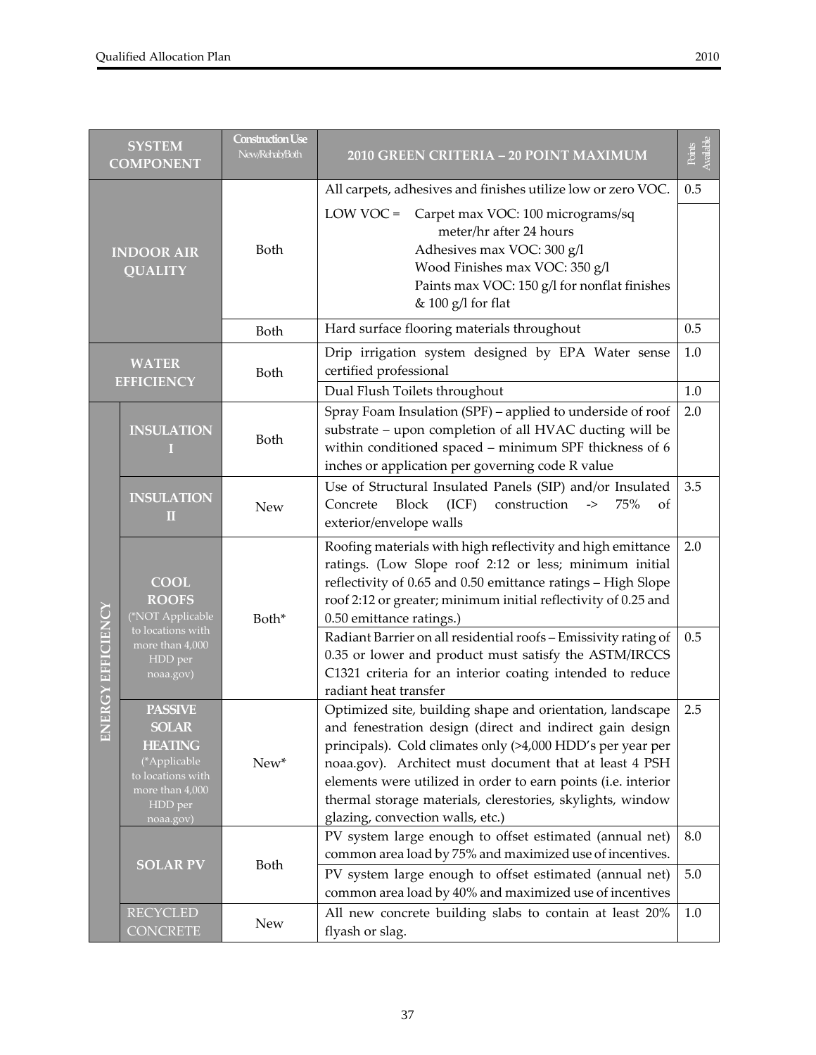| <b>SYSTEM</b><br><b>COMPONENT</b>   |                                                                                                                                  | <b>Construction Use</b><br>New/Rehab/Both | 2010 GREEN CRITERIA - 20 POINT MAXIMUM                                                                                                                                                                                                                                                                                                                                                                           | Available<br>Points |
|-------------------------------------|----------------------------------------------------------------------------------------------------------------------------------|-------------------------------------------|------------------------------------------------------------------------------------------------------------------------------------------------------------------------------------------------------------------------------------------------------------------------------------------------------------------------------------------------------------------------------------------------------------------|---------------------|
| <b>INDOOR AIR</b><br><b>QUALITY</b> |                                                                                                                                  | Both                                      | All carpets, adhesives and finishes utilize low or zero VOC.<br>LOW VOC = Carpet max VOC: 100 micrograms/sq<br>meter/hr after 24 hours<br>Adhesives max VOC: 300 g/l<br>Wood Finishes max VOC: 350 g/l<br>Paints max VOC: 150 g/l for nonflat finishes<br>& 100 g/l for flat                                                                                                                                     | 0.5                 |
|                                     |                                                                                                                                  | Both                                      | Hard surface flooring materials throughout                                                                                                                                                                                                                                                                                                                                                                       | 0.5                 |
| <b>WATER</b><br><b>EFFICIENCY</b>   |                                                                                                                                  | Both                                      | Drip irrigation system designed by EPA Water sense<br>certified professional                                                                                                                                                                                                                                                                                                                                     | 1.0                 |
| <b>ERGY EFFICIENCY</b><br>旨         | <b>INSULATION</b>                                                                                                                | Both                                      | Dual Flush Toilets throughout<br>Spray Foam Insulation (SPF) - applied to underside of roof<br>substrate - upon completion of all HVAC ducting will be<br>within conditioned spaced - minimum SPF thickness of 6<br>inches or application per governing code R value                                                                                                                                             | 1.0<br>2.0          |
|                                     | <b>INSULATION</b><br>Ш                                                                                                           | <b>New</b>                                | Use of Structural Insulated Panels (SIP) and/or Insulated<br><b>Block</b><br>Concrete<br>(ICF)<br>construction<br>75%<br>$\boldsymbol{\rightarrow}$<br><sub>of</sub><br>exterior/envelope walls                                                                                                                                                                                                                  | 3.5                 |
|                                     | <b>COOL</b><br><b>ROOFS</b><br>(*NOT Applicable<br>to locations with<br>more than 4,000                                          | Both*                                     | Roofing materials with high reflectivity and high emittance<br>ratings. (Low Slope roof 2:12 or less; minimum initial<br>reflectivity of 0.65 and 0.50 emittance ratings - High Slope<br>roof 2:12 or greater; minimum initial reflectivity of 0.25 and<br>0.50 emittance ratings.)<br>Radiant Barrier on all residential roofs - Emissivity rating of                                                           | 2.0<br>0.5          |
|                                     | HDD per<br>noaa.gov)                                                                                                             |                                           | 0.35 or lower and product must satisfy the ASTM/IRCCS<br>C1321 criteria for an interior coating intended to reduce<br>radiant heat transfer                                                                                                                                                                                                                                                                      |                     |
|                                     | <b>PASSIVE</b><br><b>SOLAR</b><br><b>HEATING</b><br>(*Applicable<br>to locations with<br>more than 4,000<br>HDD per<br>noaa.gov) | New*                                      | Optimized site, building shape and orientation, landscape<br>and fenestration design (direct and indirect gain design<br>principals). Cold climates only (>4,000 HDD's per year per<br>noaa.gov). Architect must document that at least 4 PSH<br>elements were utilized in order to earn points (i.e. interior<br>thermal storage materials, clerestories, skylights, window<br>glazing, convection walls, etc.) | 2.5                 |
|                                     | <b>SOLAR PV</b>                                                                                                                  | Both                                      | PV system large enough to offset estimated (annual net)<br>common area load by 75% and maximized use of incentives.<br>PV system large enough to offset estimated (annual net)                                                                                                                                                                                                                                   | 8.0<br>5.0          |
|                                     |                                                                                                                                  |                                           | common area load by 40% and maximized use of incentives                                                                                                                                                                                                                                                                                                                                                          |                     |
|                                     | <b>RECYCLED</b><br><b>CONCRETE</b>                                                                                               | New                                       | All new concrete building slabs to contain at least 20%<br>flyash or slag.                                                                                                                                                                                                                                                                                                                                       | 1.0                 |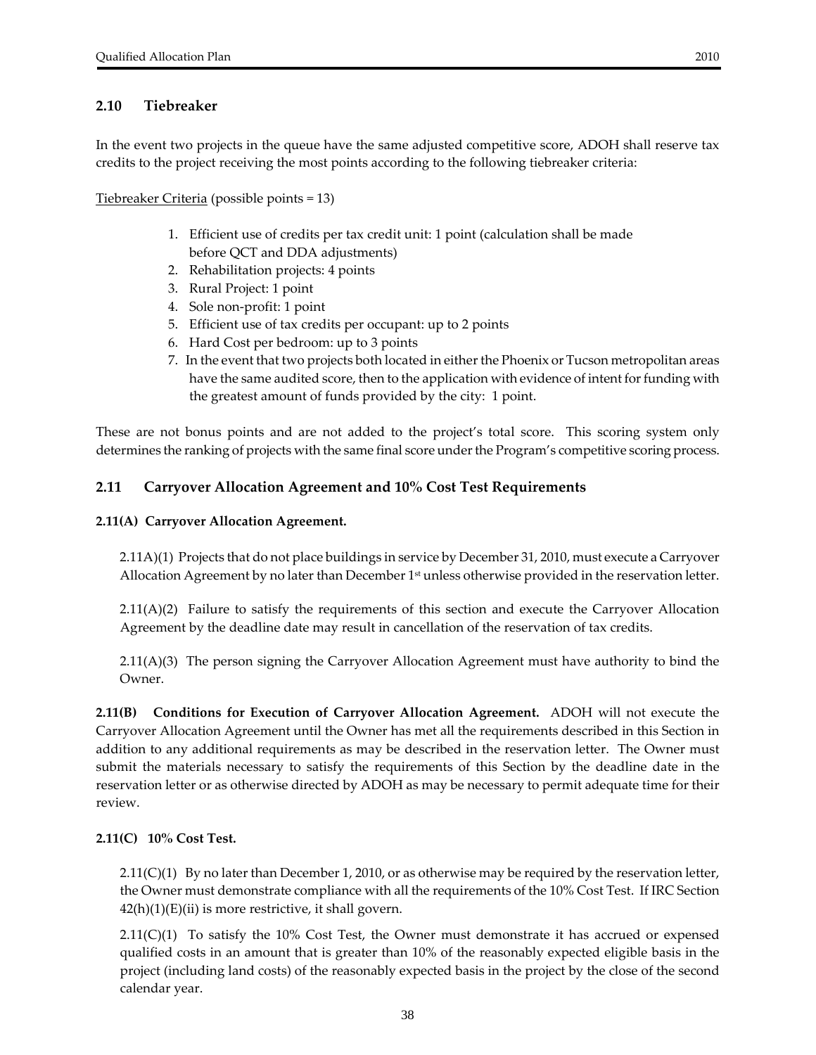In the event two projects in the queue have the same adjusted competitive score, ADOH shall reserve tax credits to the project receiving the most points according to the following tiebreaker criteria:

Tiebreaker Criteria (possible points = 13)

- 1. Efficient use of credits per tax credit unit: 1 point (calculation shall be made before QCT and DDA adjustments)
- 2. Rehabilitation projects: 4 points
- 3. Rural Project: 1 point
- 4. Sole non‐profit: 1 point
- 5. Efficient use of tax credits per occupant: up to 2 points
- 6. Hard Cost per bedroom: up to 3 points
- 7. In the event that two projects both located in either the Phoenix or Tucson metropolitan areas have the same audited score, then to the application with evidence of intent for funding with the greatest amount of funds provided by the city: 1 point.

These are not bonus points and are not added to the project's total score. This scoring system only determines the ranking of projects with the same final score under the Program's competitive scoring process.

#### **2.11 Carryover Allocation Agreement and 10% Cost Test Requirements**

#### **2.11(A) Carryover Allocation Agreement.**

2.11A)(1) Projects that do not place buildings in service by December 31, 2010, must execute a Carryover Allocation Agreement by no later than December 1<sup>st</sup> unless otherwise provided in the reservation letter.

2.11(A)(2) Failure to satisfy the requirements of this section and execute the Carryover Allocation Agreement by the deadline date may result in cancellation of the reservation of tax credits.

2.11(A)(3) The person signing the Carryover Allocation Agreement must have authority to bind the Owner.

**2.11(B) Conditions for Execution of Carryover Allocation Agreement.**  ADOH will not execute the Carryover Allocation Agreement until the Owner has met all the requirements described in this Section in addition to any additional requirements as may be described in the reservation letter. The Owner must submit the materials necessary to satisfy the requirements of this Section by the deadline date in the reservation letter or as otherwise directed by ADOH as may be necessary to permit adequate time for their review.

#### **2.11(C) 10% Cost Test.**

 $2.11(C)(1)$  By no later than December 1, 2010, or as otherwise may be required by the reservation letter, the Owner must demonstrate compliance with all the requirements of the 10% Cost Test. If IRC Section  $42(h)(1)(E)(ii)$  is more restrictive, it shall govern.

 $2.11(C)(1)$  To satisfy the 10% Cost Test, the Owner must demonstrate it has accrued or expensed qualified costs in an amount that is greater than 10% of the reasonably expected eligible basis in the project (including land costs) of the reasonably expected basis in the project by the close of the second calendar year.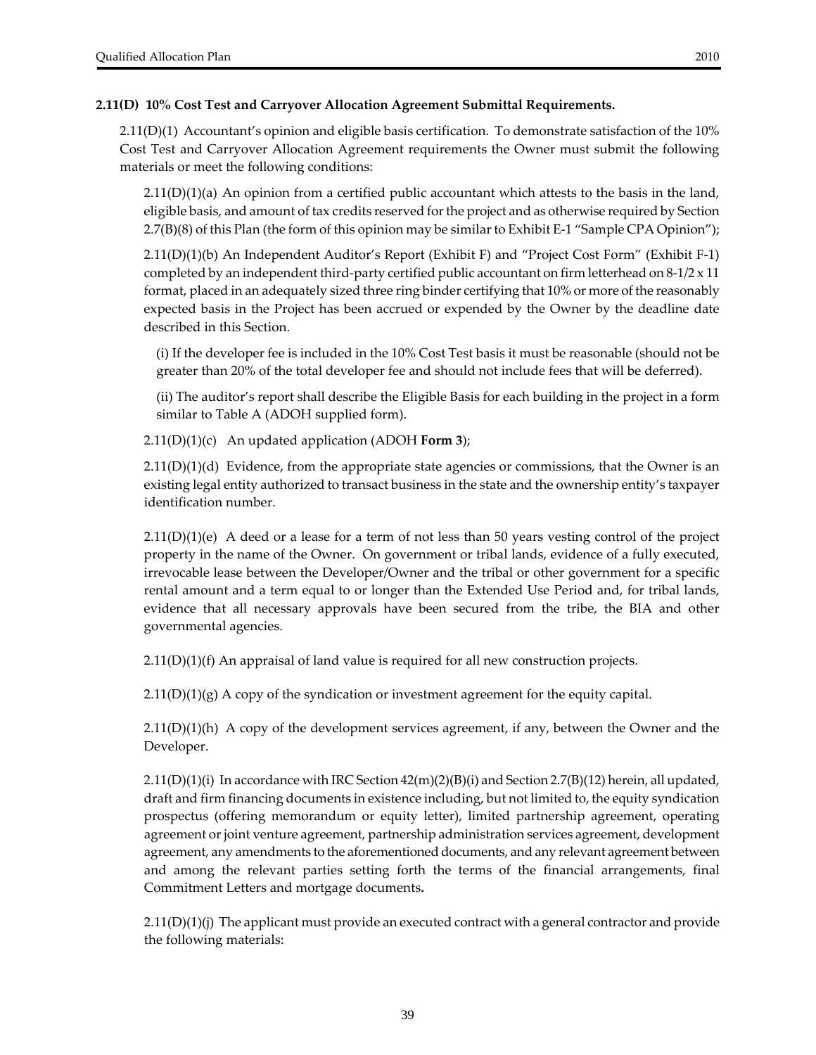#### **2.11(D) 10% Cost Test and Carryover Allocation Agreement Submittal Requirements.**

2.11(D)(1) Accountant's opinion and eligible basis certification. To demonstrate satisfaction of the 10% Cost Test and Carryover Allocation Agreement requirements the Owner must submit the following materials or meet the following conditions:

 $2.11(D)(1)(a)$  An opinion from a certified public accountant which attests to the basis in the land, eligible basis, and amount of tax credits reserved forthe project and as otherwise required by Section 2.7(B)(8) of this Plan (the form of this opinion may be similarto Exhibit E‐1 "Sample CPA Opinion");

2.11(D)(1)(b) An Independent Auditor's Report (Exhibit F) and "Project Cost Form" (Exhibit F‐1) completed by an independent third-party certified public accountant on firm letterhead on  $8-1/2 \times 11$ format, placed in an adequately sized three ring binder certifying that 10% or more of the reasonably expected basis in the Project has been accrued or expended by the Owner by the deadline date described in this Section.

(i) If the developer fee is included in the 10% Cost Test basis it must be reasonable (should not be greater than 20% of the total developer fee and should not include fees that will be deferred).

(ii) The auditor's report shall describe the Eligible Basis for each building in the project in a form similar to Table A (ADOH supplied form).

2.11(D)(1)(c) An updated application (ADOH **Form 3**);

2.11(D)(1)(d) Evidence, from the appropriate state agencies or commissions, that the Owner is an existing legal entity authorized to transact business in the state and the ownership entity's taxpayer identification number.

 $2.11(D)(1)(e)$  A deed or a lease for a term of not less than 50 years vesting control of the project property in the name of the Owner. On government or tribal lands, evidence of a fully executed, irrevocable lease between the Developer/Owner and the tribal or other government for a specific rental amount and a term equal to or longer than the Extended Use Period and, for tribal lands, evidence that all necessary approvals have been secured from the tribe, the BIA and other governmental agencies.

 $2.11(D)(1)(f)$  An appraisal of land value is required for all new construction projects.

 $2.11(D)(1)(g)$  A copy of the syndication or investment agreement for the equity capital.

 $2.11(D)(1)(h)$  A copy of the development services agreement, if any, between the Owner and the Developer.

 $2.11(D)(1)(i)$  In accordance with IRC Section  $42(m)(2)(B)(i)$  and Section  $2.7(B)(12)$  herein, all updated, draft and firm financing documents in existence including, but not limited to, the equity syndication prospectus (offering memorandum or equity letter), limited partnership agreement, operating agreement or joint venture agreement, partnership administration services agreement, development agreement, any amendments to the aforementioned documents, and any relevant agreement between and among the relevant parties setting forth the terms of the financial arrangements, final Commitment Letters and mortgage documents**.**

 $2.11(D)(1)(j)$  The applicant must provide an executed contract with a general contractor and provide the following materials: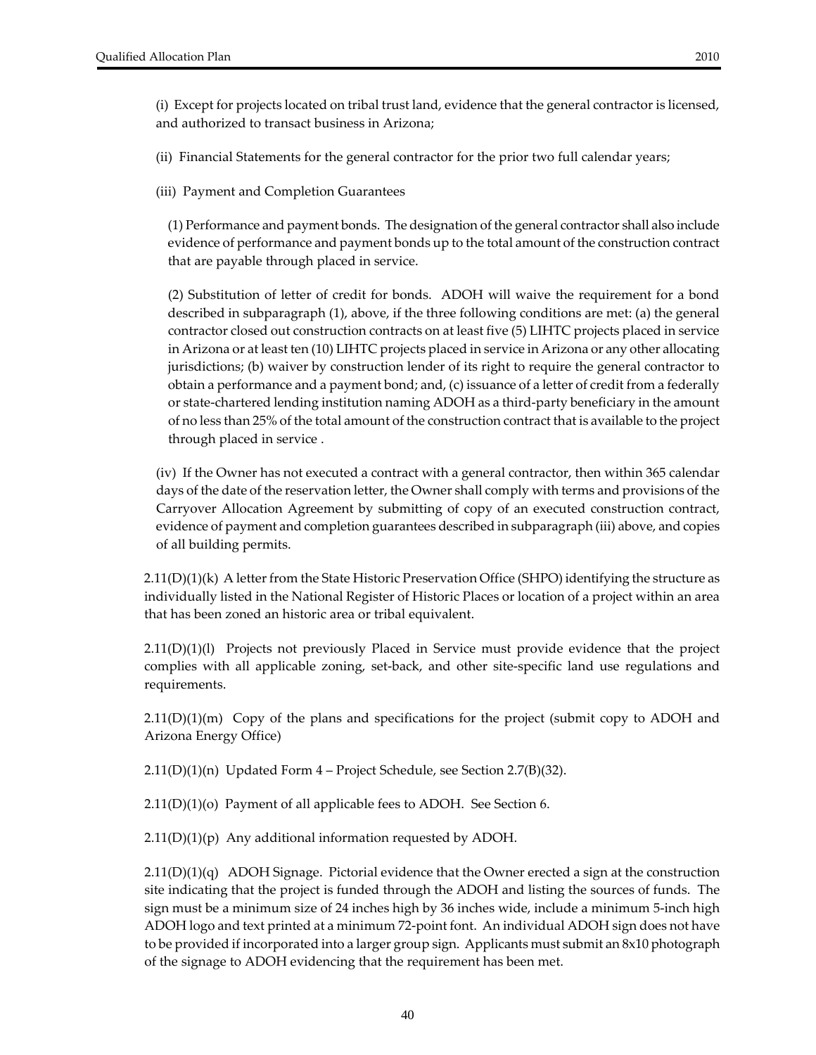(ii) Financial Statements for the general contractor for the prior two full calendar years;

(iii) Payment and Completion Guarantees

(1) Performance and payment bonds. The designation of the general contractor shall also include evidence of performance and payment bonds up to the total amount of the construction contract that are payable through placed in service.

(2) Substitution of letter of credit for bonds. ADOH will waive the requirement for a bond described in subparagraph (1), above, if the three following conditions are met: (a) the general contractor closed out construction contracts on at least five (5) LIHTC projects placed in service in Arizona or at least ten (10) LIHTC projects placed in service in Arizona or any other allocating jurisdictions; (b) waiver by construction lender of its right to require the general contractor to obtain a performance and a payment bond; and, (c) issuance of a letter of credit from a federally or state-chartered lending institution naming ADOH as a third-party beneficiary in the amount of no less than 25% of the total amount of the construction contract that is available to the project through placed in service .

(iv) If the Owner has not executed a contract with a general contractor, then within 365 calendar days of the date of the reservation letter, the Owner shall comply with terms and provisions of the Carryover Allocation Agreement by submitting of copy of an executed construction contract, evidence of payment and completion guarantees described in subparagraph (iii) above, and copies of all building permits.

 $2.11(D)(1)(k)$  A letter from the State Historic Preservation Office (SHPO) identifying the structure as individually listed in the National Register of Historic Places or location of a project within an area that has been zoned an historic area or tribal equivalent.

2.11(D)(1)(l) Projects not previously Placed in Service must provide evidence that the project complies with all applicable zoning, set-back, and other site-specific land use regulations and requirements.

 $2.11(D)(1)(m)$  Copy of the plans and specifications for the project (submit copy to ADOH and Arizona Energy Office)

2.11(D)(1)(n) Updated Form 4 – Project Schedule, see Section 2.7(B)(32).

2.11(D)(1)(o) Payment of all applicable fees to ADOH. See Section 6.

 $2.11(D)(1)(p)$  Any additional information requested by ADOH.

 $2.11(D)(1)(q)$  ADOH Signage. Pictorial evidence that the Owner erected a sign at the construction site indicating that the project is funded through the ADOH and listing the sources of funds. The sign must be a minimum size of 24 inches high by 36 inches wide, include a minimum 5-inch high ADOH logo and text printed at a minimum 72‐point font. An individual ADOH sign does not have to be provided if incorporated into a larger group sign. Applicants must submit an 8x10 photograph of the signage to ADOH evidencing that the requirement has been met.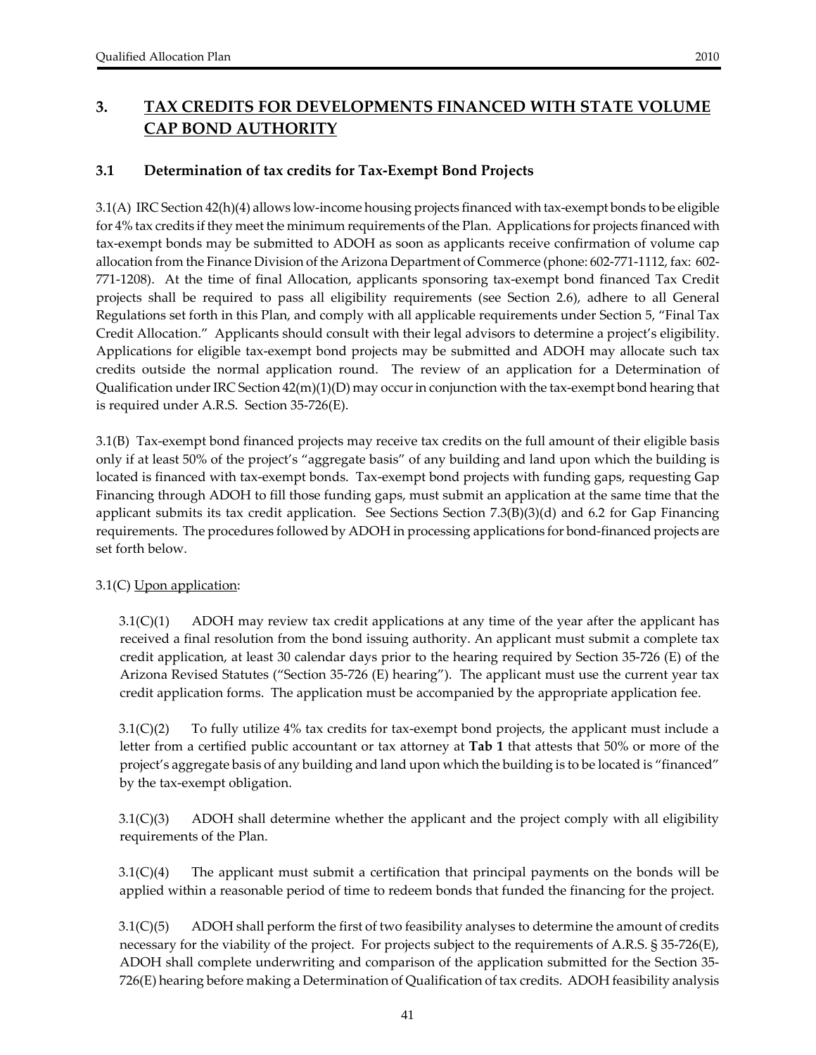# **3. TAX CREDITS FOR DEVELOPMENTS FINANCED WITH STATE VOLUME CAP BOND AUTHORITY**

### **3.1 Determination of tax credits for Tax‐Exempt Bond Projects**

3.1(A) IRC Section 42(h)(4) allows low‐income housing projects financed with tax‐exempt bonds to be eligible for 4% tax credits if they meet the minimum requirements of the Plan. Applications for projects financed with tax‐exempt bonds may be submitted to ADOH as soon as applicants receive confirmation of volume cap allocation from the Finance Division of the Arizona Department of Commerce (phone: 602‐771‐1112, fax: 602‐ 771‐1208). At the time of final Allocation, applicants sponsoring tax‐exempt bond financed Tax Credit projects shall be required to pass all eligibility requirements (see Section 2.6), adhere to all General Regulations set forth in this Plan, and comply with all applicable requirements under Section 5, "Final Tax Credit Allocation." Applicants should consult with their legal advisors to determine a project's eligibility. Applications for eligible tax‐exempt bond projects may be submitted and ADOH may allocate such tax credits outside the normal application round. The review of an application for a Determination of Qualification under IRC Section  $42(m)(1)(D)$  may occur in conjunction with the tax-exempt bond hearing that is required under A.R.S. Section 35‐726(E).

3.1(B) Tax‐exempt bond financed projects may receive tax credits on the full amount of their eligible basis only if at least 50% of the project's "aggregate basis" of any building and land upon which the building is located is financed with tax‐exempt bonds. Tax‐exempt bond projects with funding gaps, requesting Gap Financing through ADOH to fill those funding gaps, must submit an application at the same time that the applicant submits its tax credit application. See Sections Section  $7.3(B)(3)(d)$  and 6.2 for Gap Financing requirements. The procedures followed by ADOH in processing applications for bond‐financed projects are set forth below.

### 3.1(C) Upon application:

3.1(C)(1) ADOH may review tax credit applications at any time of the year after the applicant has received a final resolution from the bond issuing authority. An applicant must submit a complete tax credit application, at least 30 calendar days prior to the hearing required by Section 35‐726 (E) of the Arizona Revised Statutes ("Section 35‐726 (E) hearing"). The applicant must use the current year tax credit application forms. The application must be accompanied by the appropriate application fee.

3.1(C)(2) To fully utilize 4% tax credits for tax‐exempt bond projects, the applicant must include a letter from a certified public accountant or tax attorney at **Tab 1** that attests that 50% or more of the project's aggregate basis of any building and land upon which the building is to be located is "financed" by the tax‐exempt obligation.

3.1(C)(3) ADOH shall determine whether the applicant and the project comply with all eligibility requirements of the Plan.

3.1(C)(4) The applicant must submit a certification that principal payments on the bonds will be applied within a reasonable period of time to redeem bonds that funded the financing for the project.

3.1(C)(5) ADOH shall perform the first of two feasibility analyses to determine the amount of credits necessary for the viability of the project. For projects subject to the requirements of A.R.S. § 35‐726(E), ADOH shall complete underwriting and comparison of the application submitted for the Section 35‐ 726(E) hearing before making a Determination of Qualification of tax credits. ADOH feasibility analysis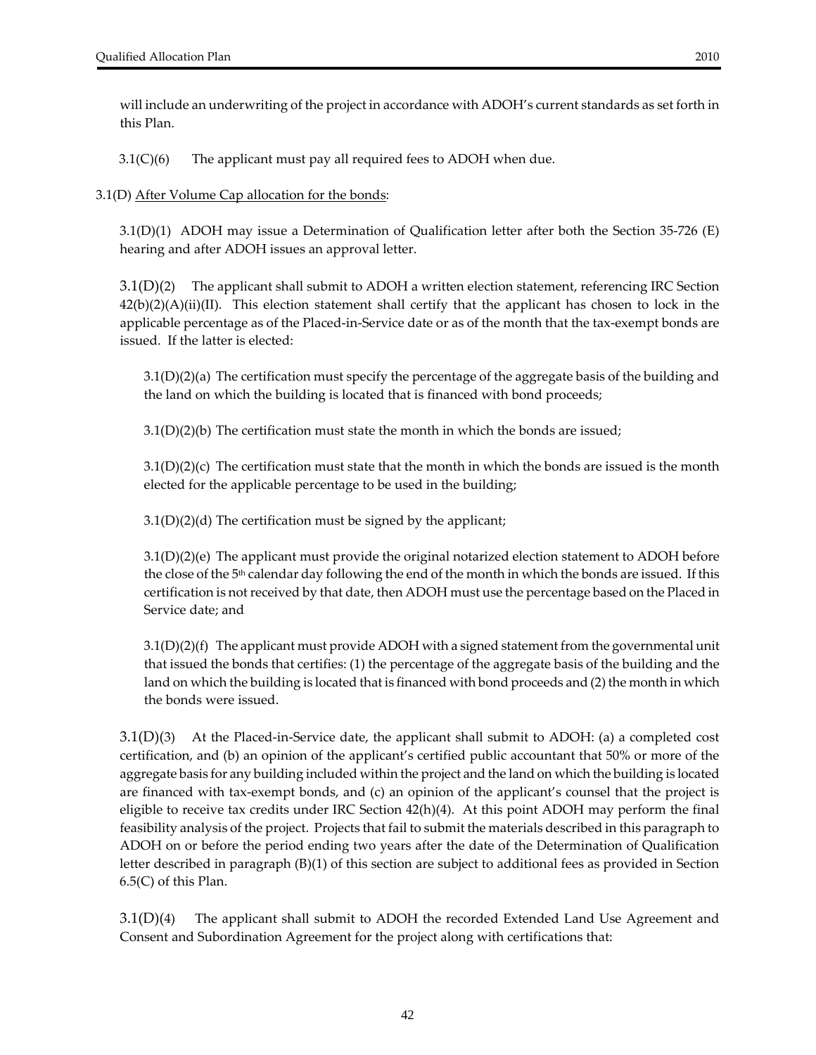will include an underwriting of the project in accordance with ADOH's current standards as set forth in this Plan.

3.1(C)(6) The applicant must pay all required fees to ADOH when due.

#### 3.1(D) After Volume Cap allocation for the bonds:

3.1(D)(1) ADOH may issue a Determination of Qualification letter after both the Section 35‐726 (E) hearing and after ADOH issues an approval letter.

3.1(D)(2) The applicant shall submit to ADOH a written election statement, referencing IRC Section  $42(b)(2)(A)(ii)(II)$ . This election statement shall certify that the applicant has chosen to lock in the applicable percentage as of the Placed‐in‐Service date or as of the month that the tax‐exempt bonds are issued. If the latter is elected:

3.1(D)(2)(a) The certification must specify the percentage of the aggregate basis of the building and the land on which the building is located that is financed with bond proceeds;

 $3.1(D)(2)(b)$  The certification must state the month in which the bonds are issued;

 $3.1(D)(2)(c)$  The certification must state that the month in which the bonds are issued is the month elected for the applicable percentage to be used in the building;

3.1(D)(2)(d) The certification must be signed by the applicant;

3.1(D)(2)(e) The applicant must provide the original notarized election statement to ADOH before the close of the 5th calendar day following the end of the month in which the bonds are issued. If this certification is not received by that date, then ADOH must use the percentage based on the Placed in Service date; and

3.1(D)(2)(f) The applicant must provide ADOH with a signed statement from the governmental unit that issued the bonds that certifies: (1) the percentage of the aggregate basis of the building and the land on which the building is located that is financed with bond proceeds and (2) the month in which the bonds were issued.

3.1(D)(3) At the Placed‐in‐Service date, the applicant shall submit to ADOH: (a) a completed cost certification, and (b) an opinion of the applicant's certified public accountant that 50% or more of the aggregate basis for any building included within the project and the land on which the building is located are financed with tax‐exempt bonds, and (c) an opinion of the applicant's counsel that the project is eligible to receive tax credits under IRC Section 42(h)(4). At this point ADOH may perform the final feasibility analysis of the project. Projects that fail to submit the materials described in this paragraph to ADOH on or before the period ending two years after the date of the Determination of Qualification letter described in paragraph (B)(1) of this section are subject to additional fees as provided in Section 6.5(C) of this Plan.

3.1(D)(4) The applicant shall submit to ADOH the recorded Extended Land Use Agreement and Consent and Subordination Agreement for the project along with certifications that: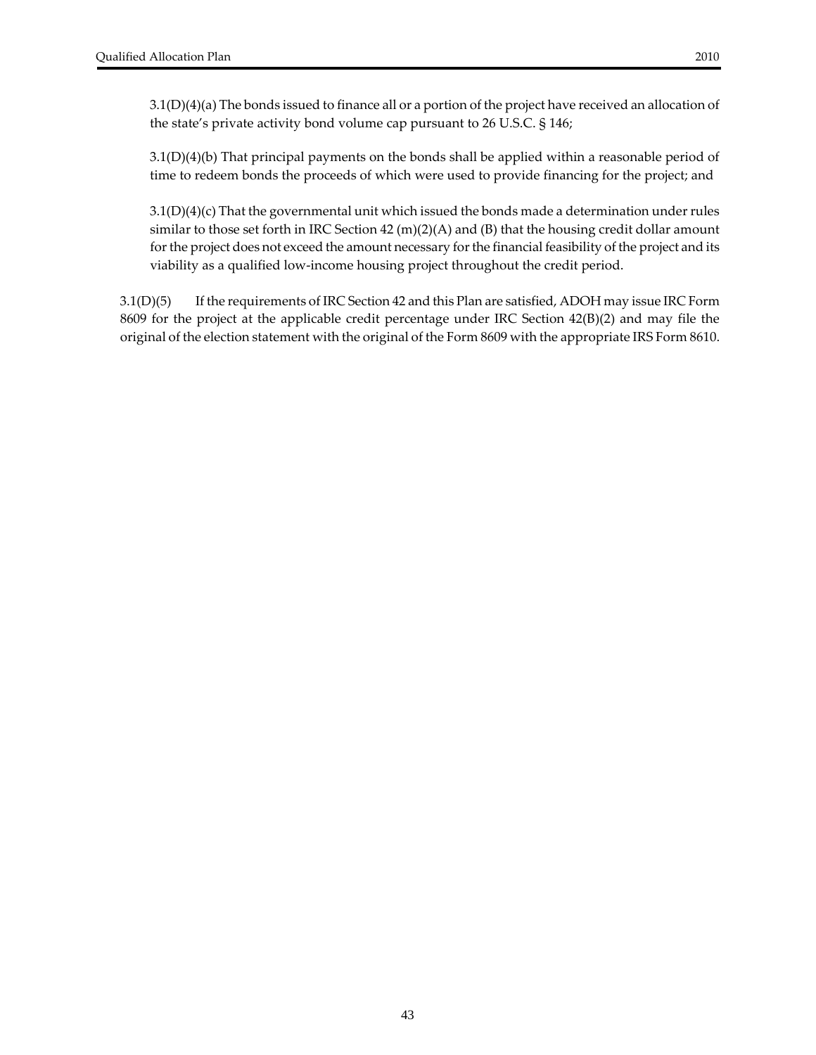3.1(D)(4)(a) The bonds issued to finance all or a portion of the project have received an allocation of the state's private activity bond volume cap pursuant to 26 U.S.C. § 146;

3.1(D)(4)(b) That principal payments on the bonds shall be applied within a reasonable period of time to redeem bonds the proceeds of which were used to provide financing for the project; and

3.1(D)(4)(c) That the governmental unit which issued the bonds made a determination under rules similar to those set forth in IRC Section 42  $(m)(2)(A)$  and  $(B)$  that the housing credit dollar amount for the project does not exceed the amount necessary for the financial feasibility of the project and its viability as a qualified low‐income housing project throughout the credit period.

3.1(D)(5) If the requirements of IRC Section 42 and this Plan are satisfied, ADOH may issue IRC Form 8609 for the project at the applicable credit percentage under IRC Section 42(B)(2) and may file the original of the election statement with the original of the Form 8609 with the appropriate IRS Form 8610.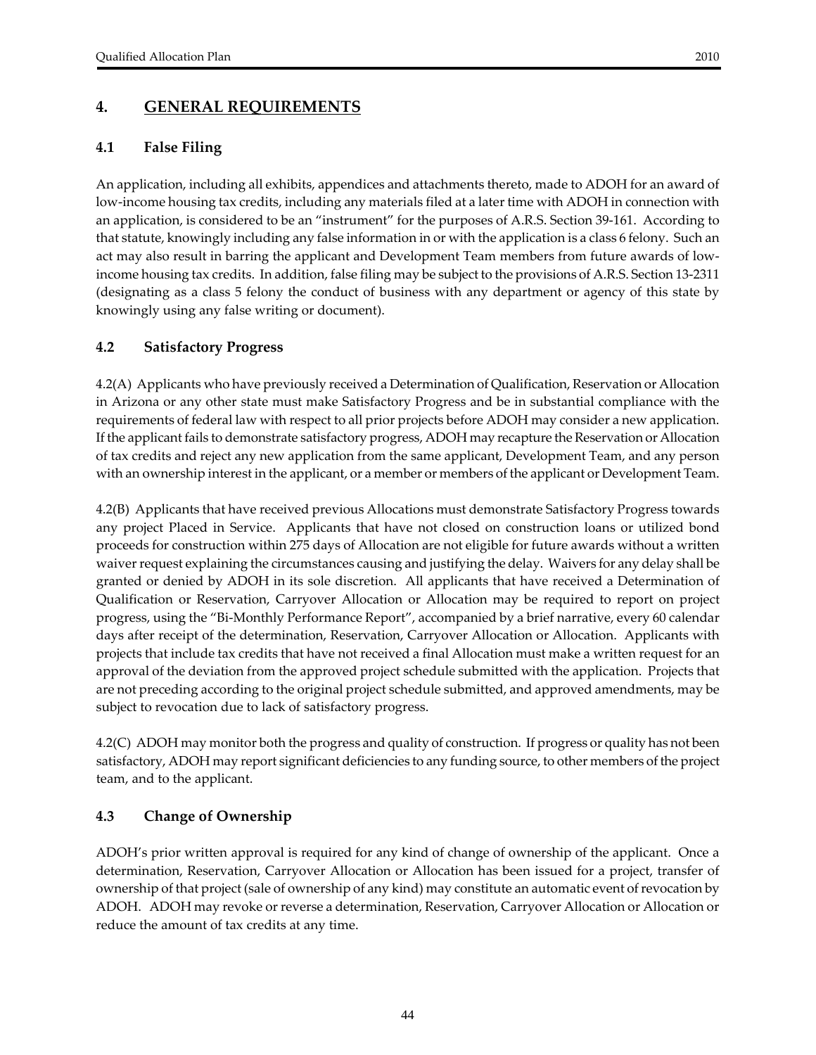# **4. GENERAL REQUIREMENTS**

### **4.1 False Filing**

An application, including all exhibits, appendices and attachments thereto, made to ADOH for an award of low-income housing tax credits, including any materials filed at a later time with ADOH in connection with an application, is considered to be an "instrument" for the purposes of A.R.S. Section 39‐161. According to that statute, knowingly including any false information in or with the application is a class 6 felony. Such an act may also result in barring the applicant and Development Team members from future awards of low‐ income housing tax credits. In addition, false filing may be subject to the provisions of A.R.S. Section 13‐2311 (designating as a class 5 felony the conduct of business with any department or agency of this state by knowingly using any false writing or document).

### **4.2 Satisfactory Progress**

4.2(A) Applicants who have previously received a Determination of Qualification, Reservation or Allocation in Arizona or any other state must make Satisfactory Progress and be in substantial compliance with the requirements of federal law with respect to all prior projects before ADOH may consider a new application. If the applicant fails to demonstrate satisfactory progress, ADOH may recapture theReservation or Allocation of tax credits and reject any new application from the same applicant, Development Team, and any person with an ownership interest in the applicant, or a member or members of the applicant or Development Team.

4.2(B) Applicants that have received previous Allocations must demonstrate Satisfactory Progress towards any project Placed in Service. Applicants that have not closed on construction loans or utilized bond proceeds for construction within 275 days of Allocation are not eligible for future awards without a written waiver request explaining the circumstances causing and justifying the delay. Waivers for any delay shall be granted or denied by ADOH in its sole discretion. All applicants that have received a Determination of Qualification or Reservation, Carryover Allocation or Allocation may be required to report on project progress, using the "Bi‐Monthly Performance Report", accompanied by a brief narrative, every 60 calendar days after receipt of the determination, Reservation, Carryover Allocation or Allocation. Applicants with projects that include tax credits that have not received a final Allocation must make a written request for an approval of the deviation from the approved project schedule submitted with the application. Projects that are not preceding according to the original project schedule submitted, and approved amendments, may be subject to revocation due to lack of satisfactory progress.

4.2(C) ADOH may monitor both the progress and quality of construction. If progress or quality has not been satisfactory, ADOH may report significant deficiencies to any funding source, to other members of the project team, and to the applicant.

### **4.3 Change of Ownership**

ADOH's prior written approval is required for any kind of change of ownership of the applicant. Once a determination, Reservation, Carryover Allocation or Allocation has been issued for a project, transfer of ownership of that project (sale of ownership of any kind) may constitute an automatic event of revocation by ADOH. ADOH may revoke or reverse a determination, Reservation, Carryover Allocation or Allocation or reduce the amount of tax credits at any time.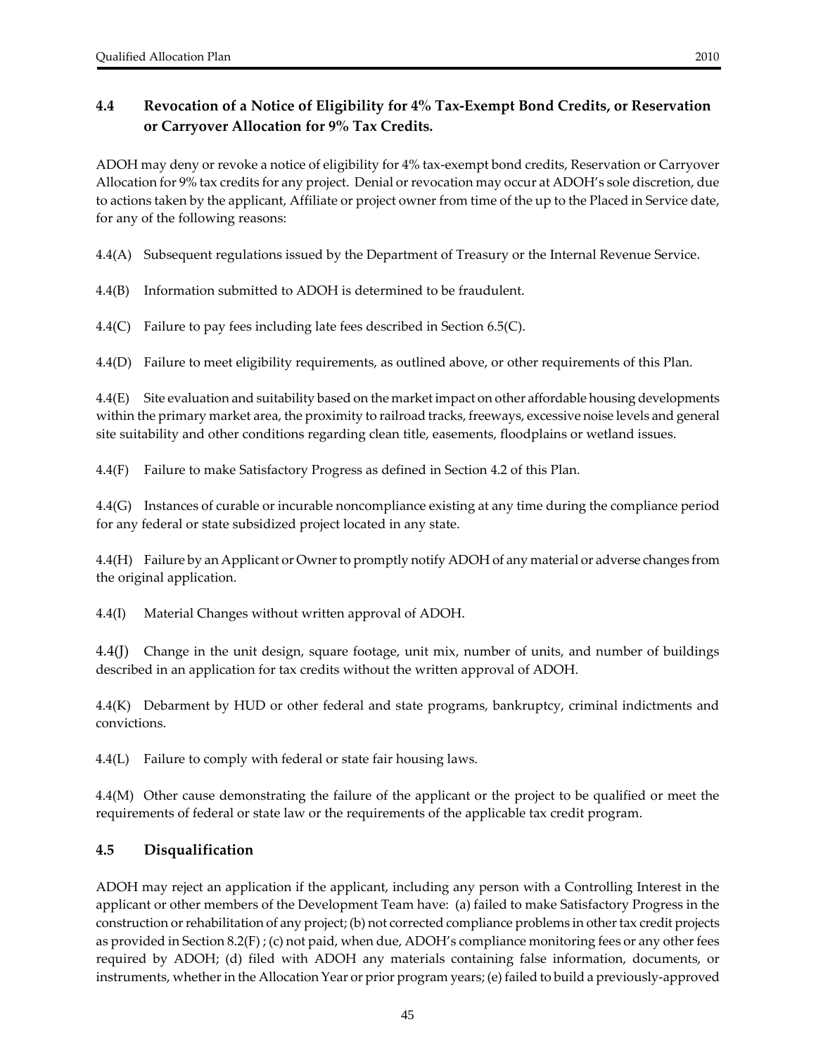### **4.4 Revocation of a Notice of Eligibility for 4% Tax‐Exempt Bond Credits, or Reservation or Carryover Allocation for 9% Tax Credits.**

ADOH may deny or revoke a notice of eligibility for 4% tax‐exempt bond credits, Reservation or Carryover Allocation for 9% tax credits for any project. Denial or revocation may occur at ADOH's sole discretion, due to actions taken by the applicant, Affiliate or project owner from time of the up to the Placed in Service date, for any of the following reasons:

4.4(A) Subsequent regulations issued by the Department of Treasury or the Internal Revenue Service.

4.4(B) Information submitted to ADOH is determined to be fraudulent.

4.4(C) Failure to pay fees including late fees described in Section  $6.5(C)$ .

4.4(D) Failure to meet eligibility requirements, as outlined above, or other requirements of this Plan.

4.4(E) Site evaluation and suitability based on the market impact on other affordable housing developments within the primary market area, the proximity to railroad tracks, freeways, excessive noise levels and general site suitability and other conditions regarding clean title, easements, floodplains or wetland issues.

4.4(F) Failure to make Satisfactory Progress as defined in Section 4.2 of this Plan.

4.4(G) Instances of curable or incurable noncompliance existing at any time during the compliance period for any federal or state subsidized project located in any state.

4.4(H) Failure by an Applicant or Ownerto promptly notify ADOH of any material or adverse changes from the original application.

4.4(I) Material Changes without written approval of ADOH.

4.4(J) Change in the unit design, square footage, unit mix, number of units, and number of buildings described in an application for tax credits without the written approval of ADOH.

4.4(K) Debarment by HUD or other federal and state programs, bankruptcy, criminal indictments and convictions.

4.4(L) Failure to comply with federal or state fair housing laws.

4.4(M) Other cause demonstrating the failure of the applicant or the project to be qualified or meet the requirements of federal or state law or the requirements of the applicable tax credit program.

#### **4.5 Disqualification**

ADOH may reject an application if the applicant, including any person with a Controlling Interest in the applicant or other members of the Development Team have: (a) failed to make Satisfactory Progress in the construction orrehabilitation of any project; (b) not corrected compliance problems in othertax credit projects as provided in Section 8.2(F) ; (c) not paid, when due, ADOH's compliance monitoring fees or any other fees required by ADOH; (d) filed with ADOH any materials containing false information, documents, or instruments, whether in the Allocation Year or prior program years; (e) failed to build a previously-approved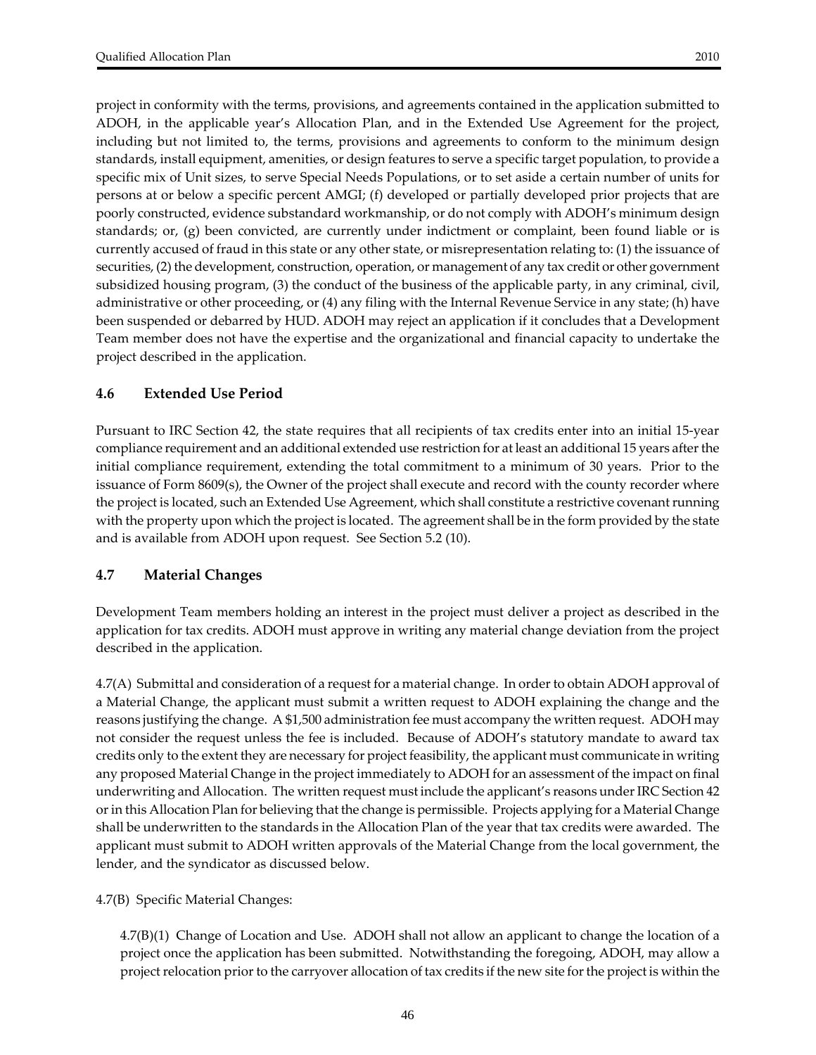project in conformity with the terms, provisions, and agreements contained in the application submitted to ADOH, in the applicable year's Allocation Plan, and in the Extended Use Agreement for the project, including but not limited to, the terms, provisions and agreements to conform to the minimum design standards, install equipment, amenities, or design features to serve a specific target population, to provide a specific mix of Unit sizes, to serve Special Needs Populations, or to set aside a certain number of units for persons at or below a specific percent AMGI; (f) developed or partially developed prior projects that are poorly constructed, evidence substandard workmanship, or do not comply with ADOH's minimum design standards; or, (g) been convicted, are currently under indictment or complaint, been found liable or is currently accused of fraud in this state or any other state, or misrepresentation relating to: (1) the issuance of securities, (2) the development, construction, operation, or management of any tax credit or other government subsidized housing program, (3) the conduct of the business of the applicable party, in any criminal, civil, administrative or other proceeding, or (4) any filing with the Internal Revenue Service in any state; (h) have been suspended or debarred by HUD. ADOH may reject an application if it concludes that a Development Team member does not have the expertise and the organizational and financial capacity to undertake the project described in the application.

#### **4.6 Extended Use Period**

Pursuant to IRC Section 42, the state requires that all recipients of tax credits enter into an initial 15‐year compliance requirement and an additional extended use restriction for at least an additional 15 years afterthe initial compliance requirement, extending the total commitment to a minimum of 30 years. Prior to the issuance of Form 8609(s), the Owner of the project shall execute and record with the county recorder where the project is located, such an Extended Use Agreement, which shall constitute a restrictive covenantrunning with the property upon which the project is located. The agreement shall be in the form provided by the state and is available from ADOH upon request. See Section 5.2 (10).

### **4.7 Material Changes**

Development Team members holding an interest in the project must deliver a project as described in the application for tax credits. ADOH must approve in writing any material change deviation from the project described in the application.

4.7(A) Submittal and consideration of a request for a material change. In orderto obtain ADOH approval of a Material Change, the applicant must submit a written request to ADOH explaining the change and the reasons justifying the change. A \$1,500 administration fee must accompany the written request. ADOH may not consider the request unless the fee is included. Because of ADOH's statutory mandate to award tax credits only to the extent they are necessary for project feasibility, the applicant must communicate in writing any proposed Material Change in the project immediately to ADOH for an assessment of the impact on final underwriting and Allocation. The written request must include the applicant's reasons under IRC Section 42 orin this Allocation Plan for believing that the change is permissible. Projects applying for a Material Change shall be underwritten to the standards in the Allocation Plan of the year that tax credits were awarded. The applicant must submit to ADOH written approvals of the Material Change from the local government, the lender, and the syndicator as discussed below.

4.7(B) Specific Material Changes:

4.7(B)(1) Change of Location and Use. ADOH shall not allow an applicant to change the location of a project once the application has been submitted. Notwithstanding the foregoing, ADOH, may allow a project relocation prior to the carryover allocation of tax credits if the new site for the project is within the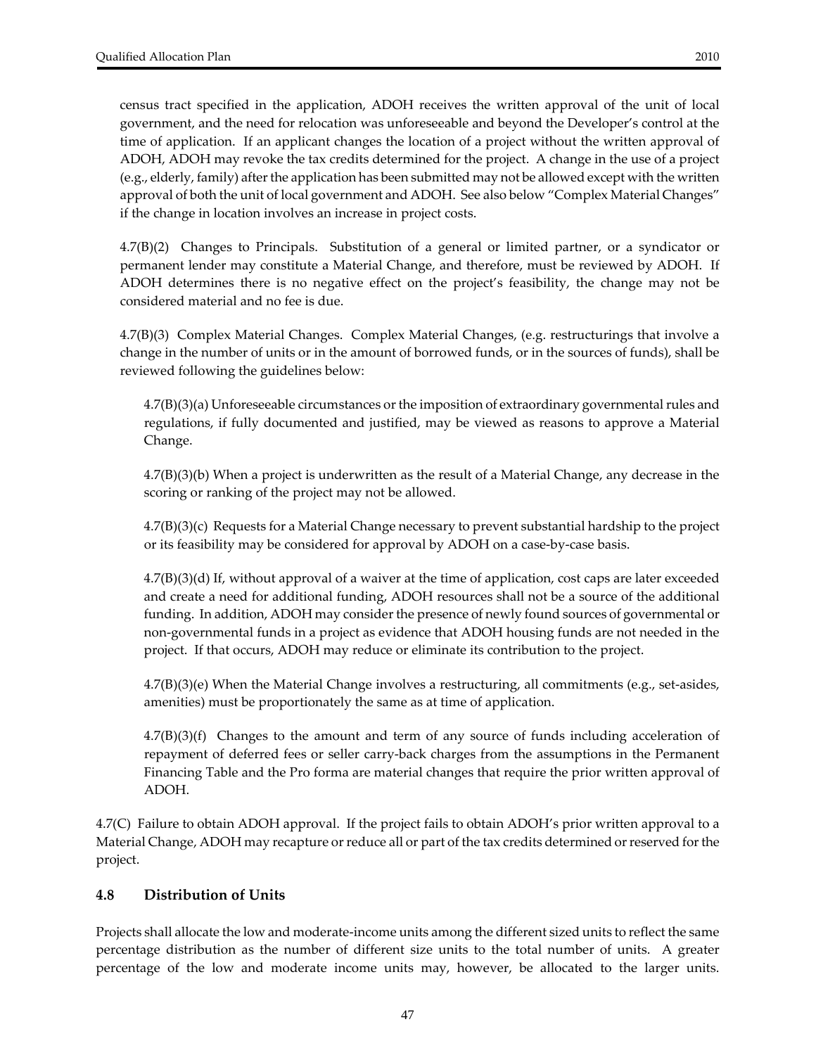census tract specified in the application, ADOH receives the written approval of the unit of local government, and the need for relocation was unforeseeable and beyond the Developer's control at the time of application. If an applicant changes the location of a project without the written approval of ADOH, ADOH may revoke the tax credits determined for the project. A change in the use of a project (e.g., elderly, family) afterthe application has been submitted may not be allowed except with the written approval of both the unit of local government and ADOH. See also below "Complex Material Changes" if the change in location involves an increase in project costs.

4.7(B)(2) Changes to Principals. Substitution of a general or limited partner, or a syndicator or permanent lender may constitute a Material Change, and therefore, must be reviewed by ADOH. If ADOH determines there is no negative effect on the project's feasibility, the change may not be considered material and no fee is due.

4.7(B)(3) Complex Material Changes. Complex Material Changes, (e.g. restructurings that involve a change in the number of units or in the amount of borrowed funds, or in the sources of funds), shall be reviewed following the guidelines below:

 $4.7(B)(3)(a)$  Unforeseeable circumstances or the imposition of extraordinary governmental rules and regulations, if fully documented and justified, may be viewed as reasons to approve a Material Change.

4.7(B)(3)(b) When a project is underwritten as the result of a Material Change, any decrease in the scoring or ranking of the project may not be allowed.

4.7(B)(3)(c) Requests for a Material Change necessary to prevent substantial hardship to the project or its feasibility may be considered for approval by ADOH on a case-by-case basis.

4.7(B)(3)(d) If, without approval of a waiver at the time of application, cost caps are later exceeded and create a need for additional funding, ADOH resources shall not be a source of the additional funding. In addition, ADOH may consider the presence of newly found sources of governmental or non‐governmental funds in a project as evidence that ADOH housing funds are not needed in the project. If that occurs, ADOH may reduce or eliminate its contribution to the project.

4.7(B)(3)(e) When the Material Change involves a restructuring, all commitments (e.g., set‐asides, amenities) must be proportionately the same as at time of application.

 $4.7(B)(3)(f)$  Changes to the amount and term of any source of funds including acceleration of repayment of deferred fees or seller carry‐back charges from the assumptions in the Permanent Financing Table and the Pro forma are material changes that require the prior written approval of ADOH.

4.7(C) Failure to obtain ADOH approval. If the project fails to obtain ADOH's prior written approval to a Material Change, ADOH may recapture or reduce all or part of the tax credits determined or reserved for the project.

### **4.8 Distribution of Units**

Projects shall allocate the low and moderate‐income units among the different sized units to reflect the same percentage distribution as the number of different size units to the total number of units. A greater percentage of the low and moderate income units may, however, be allocated to the larger units.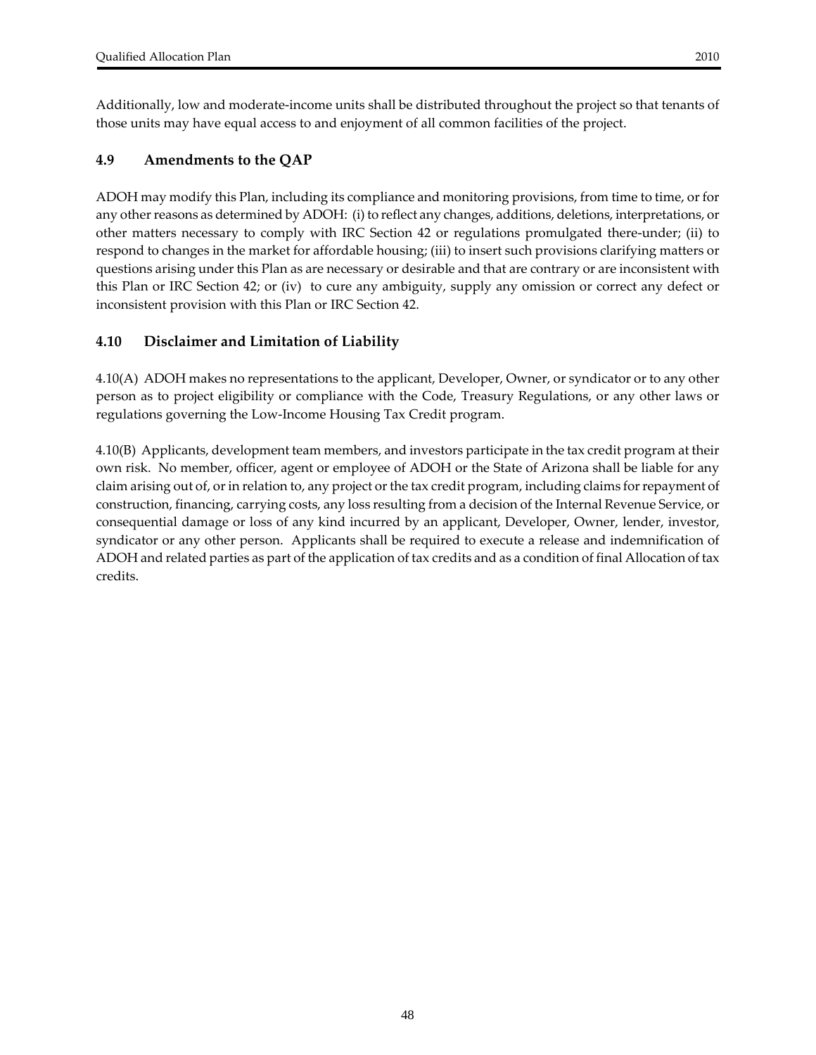Additionally, low and moderate‐income units shall be distributed throughout the project so that tenants of those units may have equal access to and enjoyment of all common facilities of the project.

#### **4.9 Amendments to the QAP**

ADOH may modify this Plan, including its compliance and monitoring provisions, from time to time, or for any other reasons as determined by ADOH: (i) to reflect any changes, additions, deletions, interpretations, or other matters necessary to comply with IRC Section 42 or regulations promulgated there‐under; (ii) to respond to changes in the market for affordable housing; (iii) to insert such provisions clarifying matters or questions arising under this Plan as are necessary or desirable and that are contrary or are inconsistent with this Plan or IRC Section 42; or (iv) to cure any ambiguity, supply any omission or correct any defect or inconsistent provision with this Plan or IRC Section 42.

### **4.10 Disclaimer and Limitation of Liability**

4.10(A) ADOH makes no representations to the applicant, Developer, Owner, or syndicator or to any other person as to project eligibility or compliance with the Code, Treasury Regulations, or any other laws or regulations governing the Low‐Income Housing Tax Credit program.

4.10(B) Applicants, development team members, and investors participate in the tax credit program at their own risk. No member, officer, agent or employee of ADOH or the State of Arizona shall be liable for any claim arising out of, or in relation to, any project or the tax credit program, including claims for repayment of construction, financing, carrying costs, any loss resulting from a decision of the Internal Revenue Service, or consequential damage or loss of any kind incurred by an applicant, Developer, Owner, lender, investor, syndicator or any other person. Applicants shall be required to execute a release and indemnification of ADOH and related parties as part of the application of tax credits and as a condition of final Allocation of tax credits.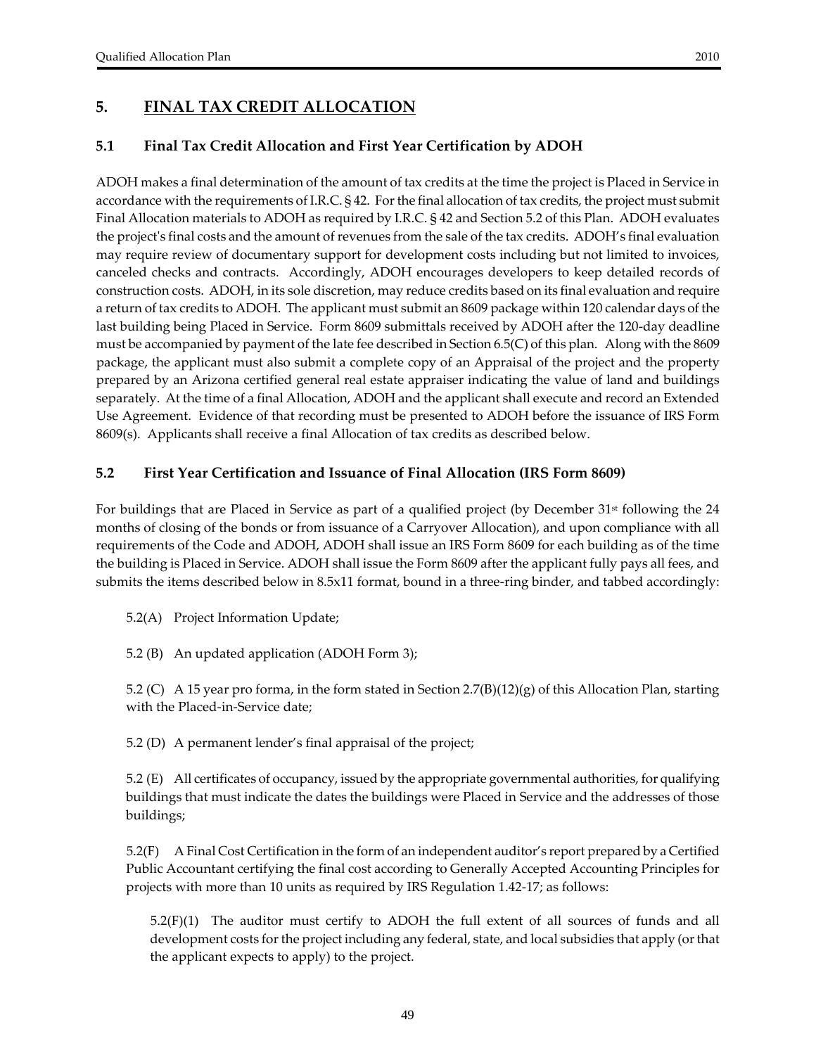# **5. FINAL TAX CREDIT ALLOCATION**

### **5.1 Final Tax Credit Allocation and First Year Certification by ADOH**

ADOH makes a final determination of the amount of tax credits at the time the project is Placed in Service in accordance with the requirements of I.R.C. § 42. For the final allocation of tax credits, the project must submit Final Allocation materials to ADOH as required by I.R.C. § 42 and Section 5.2 of this Plan. ADOH evaluates the projectʹs final costs and the amount ofrevenues from the sale of the tax credits. ADOH's final evaluation may require review of documentary support for development costs including but not limited to invoices, canceled checks and contracts. Accordingly, ADOH encourages developers to keep detailed records of construction costs. ADOH, in its sole discretion, may reduce credits based on its final evaluation and require a return of tax credits to ADOH. The applicant must submit an 8609 package within 120 calendar days of the last building being Placed in Service. Form 8609 submittals received by ADOH after the 120‐day deadline must be accompanied by payment of the late fee described in Section 6.5(C) of this plan. Along with the 8609 package, the applicant must also submit a complete copy of an Appraisal of the project and the property prepared by an Arizona certified general real estate appraiser indicating the value of land and buildings separately. At the time of a final Allocation, ADOH and the applicant shall execute and record an Extended Use Agreement. Evidence of that recording must be presented to ADOH before the issuance of IRS Form 8609(s). Applicants shall receive a final Allocation of tax credits as described below.

### **5.2 First Year Certification and Issuance of Final Allocation (IRS Form 8609)**

For buildings that are Placed in Service as part of a qualified project (by December 31<sup>st</sup> following the 24 months of closing of the bonds or from issuance of a Carryover Allocation), and upon compliance with all requirements of the Code and ADOH, ADOH shall issue an IRS Form 8609 for each building as of the time the building is Placed in Service. ADOH shall issue the Form 8609 after the applicant fully pays all fees, and submits the items described below in 8.5x11 format, bound in a three-ring binder, and tabbed accordingly:

5.2(A) Project Information Update;

5.2 (B) An updated application (ADOH Form 3);

5.2 (C) A 15 year pro forma, in the form stated in Section 2.7(B)(12)(g) of this Allocation Plan, starting with the Placed-in-Service date;

5.2 (D) A permanent lender's final appraisal of the project;

5.2 (E) All certificates of occupancy, issued by the appropriate governmental authorities, for qualifying buildings that must indicate the dates the buildings were Placed in Service and the addresses of those buildings;

5.2(F) A Final Cost Certification in the form of an independent auditor's report prepared by a Certified Public Accountant certifying the final cost according to Generally Accepted Accounting Principles for projects with more than 10 units as required by IRS Regulation 1.42‐17; as follows:

 $5.2(F)(1)$  The auditor must certify to ADOH the full extent of all sources of funds and all development costs for the project including any federal, state, and local subsidies that apply (or that the applicant expects to apply) to the project.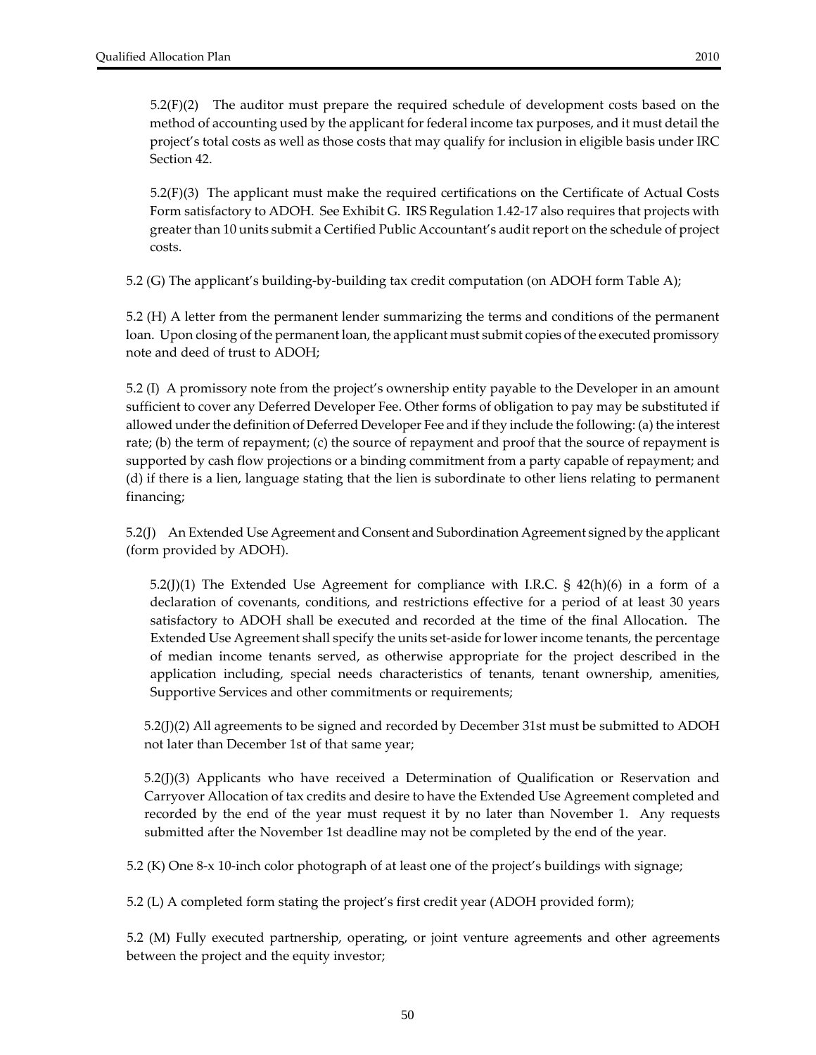$5.2(F)(2)$  The auditor must prepare the required schedule of development costs based on the method of accounting used by the applicant for federal income tax purposes, and it must detail the project's total costs as well as those costs that may qualify for inclusion in eligible basis under IRC Section 42.

5.2(F)(3) The applicant must make the required certifications on the Certificate of Actual Costs Form satisfactory to ADOH. See Exhibit G. IRS Regulation 1.42‐17 also requires that projects with greater than 10 units submit a Certified Public Accountant's audit report on the schedule of project costs.

5.2 (G) The applicant's building-by-building tax credit computation (on ADOH form Table A);

5.2 (H) A letter from the permanent lender summarizing the terms and conditions of the permanent loan. Upon closing of the permanent loan, the applicant must submit copies of the executed promissory note and deed of trust to ADOH;

5.2 (I) A promissory note from the project's ownership entity payable to the Developer in an amount sufficient to cover any Deferred Developer Fee. Other forms of obligation to pay may be substituted if allowed under the definition of Deferred Developer Fee and if they include the following: (a) the interest rate; (b) the term of repayment; (c) the source of repayment and proof that the source of repayment is supported by cash flow projections or a binding commitment from a party capable of repayment; and (d) if there is a lien, language stating that the lien is subordinate to other liens relating to permanent financing;

5.2(J) An Extended Use Agreement and Consent and Subordination Agreement signed by the applicant (form provided by ADOH).

5.2(J)(1) The Extended Use Agreement for compliance with I.R.C.  $\S$  42(h)(6) in a form of a declaration of covenants, conditions, and restrictions effective for a period of at least 30 years satisfactory to ADOH shall be executed and recorded at the time of the final Allocation. The Extended Use Agreement shall specify the units set‐aside forlowerincome tenants, the percentage of median income tenants served, as otherwise appropriate for the project described in the application including, special needs characteristics of tenants, tenant ownership, amenities, Supportive Services and other commitments or requirements;

5.2(J)(2) All agreements to be signed and recorded by December 31st must be submitted to ADOH not later than December 1st of that same year;

 $5.2$ (J)(3) Applicants who have received a Determination of Qualification or Reservation and Carryover Allocation of tax credits and desire to have the Extended Use Agreement completed and recorded by the end of the year must request it by no later than November 1. Any requests submitted after the November 1st deadline may not be completed by the end of the year.

5.2 (K) One 8-x 10-inch color photograph of at least one of the project's buildings with signage;

5.2 (L) A completed form stating the project's first credit year (ADOH provided form);

5.2 (M) Fully executed partnership, operating, or joint venture agreements and other agreements between the project and the equity investor;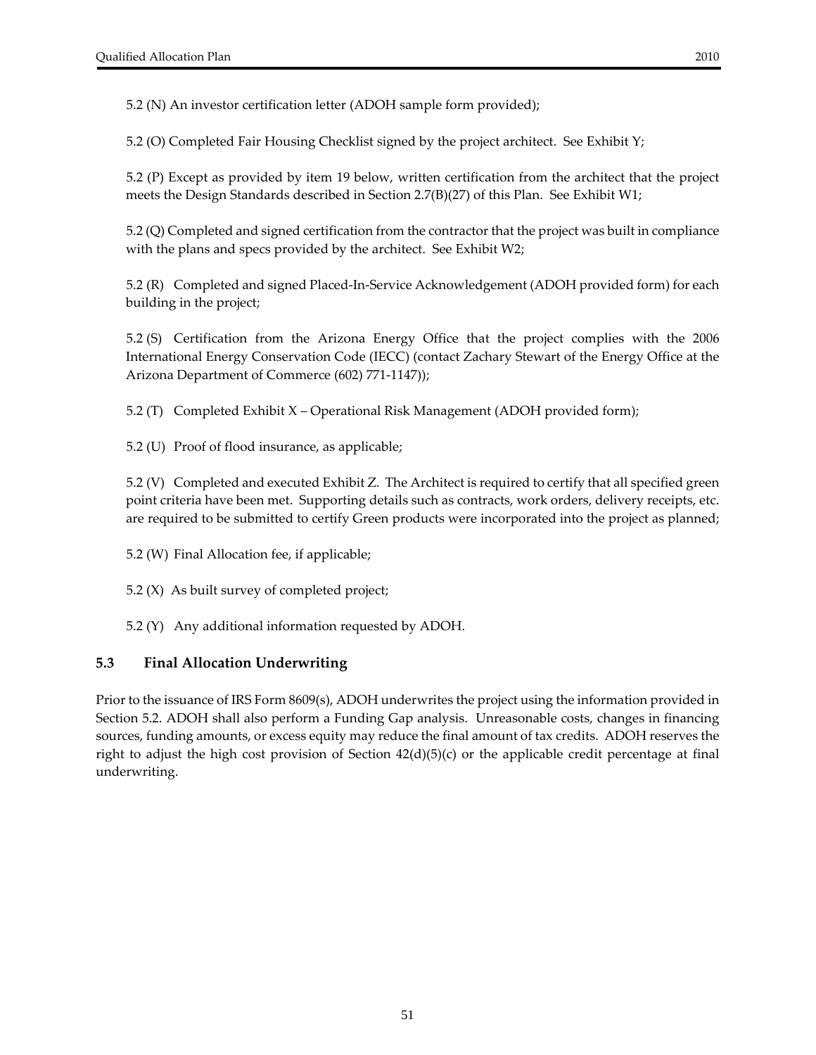5.2 (N) An investor certification letter (ADOH sample form provided);

5.2 (O) Completed Fair Housing Checklist signed by the project architect. See Exhibit Y;

5.2 (P) Except as provided by item 19 below, written certification from the architect that the project meets the Design Standards described in Section 2.7(B)(27) of this Plan. See Exhibit W1;

5.2 (Q) Completed and signed certification from the contractor that the project was built in compliance with the plans and specs provided by the architect. See Exhibit W2;

5.2 (R) Completed and signed Placed‐In‐Service Acknowledgement (ADOH provided form) for each building in the project;

5.2 (S) Certification from the Arizona Energy Office that the project complies with the 2006 International Energy Conservation Code (IECC) (contact Zachary Stewart of the Energy Office at the Arizona Department of Commerce (602) 771‐1147));

5.2 (T) Completed Exhibit X – Operational Risk Management (ADOH provided form);

5.2 (U) Proof of flood insurance, as applicable;

5.2 (V) Completed and executed Exhibit Z. The Architect is required to certify that all specified green point criteria have been met. Supporting details such as contracts, work orders, delivery receipts, etc. are required to be submitted to certify Green products were incorporated into the project as planned;

5.2 (W) Final Allocation fee, if applicable;

5.2 (X) As built survey of completed project;

5.2 (Y) Any additional information requested by ADOH.

# **5.3 Final Allocation Underwriting**

Prior to the issuance of IRS Form 8609(s), ADOH underwrites the project using the information provided in Section 5.2. ADOH shall also perform a Funding Gap analysis. Unreasonable costs, changes in financing sources, funding amounts, or excess equity may reduce the final amount of tax credits. ADOH reserves the right to adjust the high cost provision of Section 42(d)(5)(c) or the applicable credit percentage at final underwriting.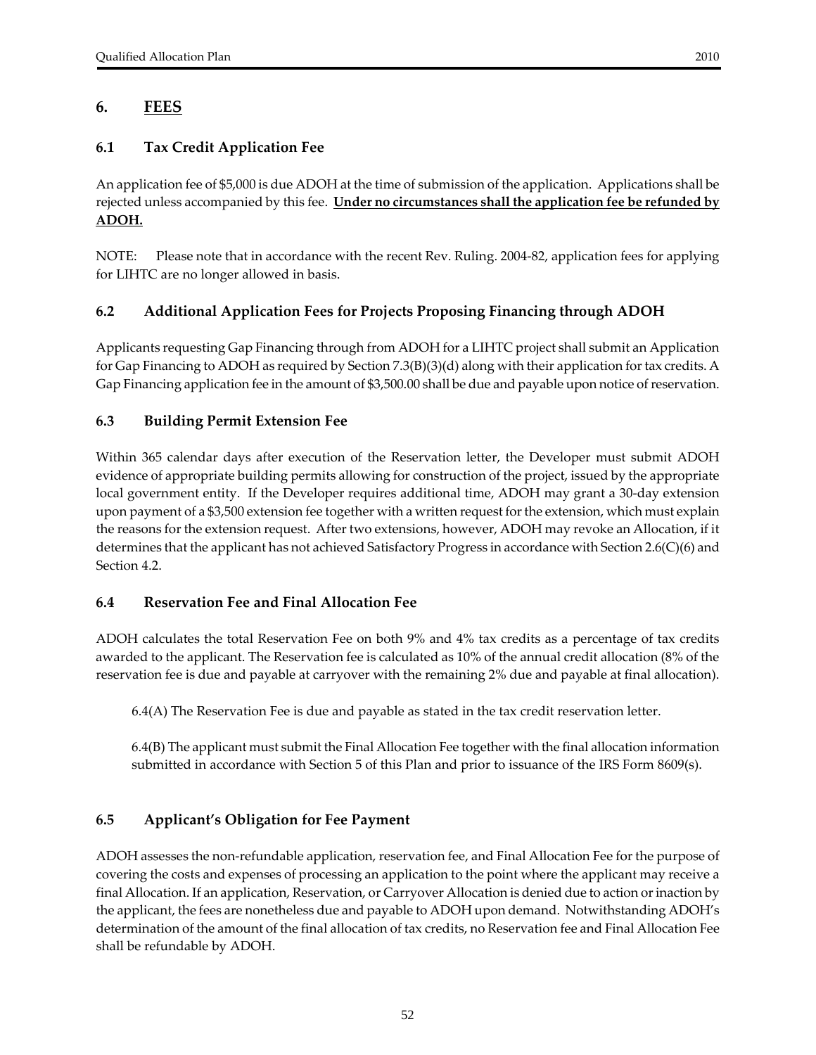# **6. FEES**

### **6.1 Tax Credit Application Fee**

An application fee of \$5,000 is due ADOH at the time of submission of the application. Applications shall be rejected unless accompanied by this fee. **Under no circumstances shall the application fee be refunded by ADOH.**

NOTE: Please note that in accordance with the recent Rev. Ruling. 2004‐82, application fees for applying for LIHTC are no longer allowed in basis.

### **6.2 Additional Application Fees for Projects Proposing Financing through ADOH**

Applicants requesting Gap Financing through from ADOH for a LIHTC project shall submit an Application for Gap Financing to ADOH as required by Section 7.3(B)(3)(d) along with their application fortax credits. A Gap Financing application fee in the amount of \$3,500.00 shall be due and payable upon notice ofreservation.

### **6.3 Building Permit Extension Fee**

Within 365 calendar days after execution of the Reservation letter, the Developer must submit ADOH evidence of appropriate building permits allowing for construction of the project, issued by the appropriate local government entity. If the Developer requires additional time, ADOH may grant a 30‐day extension upon payment of a \$3,500 extension fee together with a written request forthe extension, which must explain the reasons for the extension request. After two extensions, however, ADOH may revoke an Allocation, if it determines that the applicant has not achieved Satisfactory Progress in accordance with Section 2.6(C)(6) and Section 4.2.

### **6.4 Reservation Fee and Final Allocation Fee**

ADOH calculates the total Reservation Fee on both 9% and 4% tax credits as a percentage of tax credits awarded to the applicant. The Reservation fee is calculated as 10% of the annual credit allocation (8% of the reservation fee is due and payable at carryover with the remaining 2% due and payable at final allocation).

6.4(A) The Reservation Fee is due and payable as stated in the tax credit reservation letter.

6.4(B) The applicant must submit the Final Allocation Fee together with the final allocation information submitted in accordance with Section 5 of this Plan and prior to issuance of the IRS Form 8609(s).

### **6.5 Applicant's Obligation for Fee Payment**

ADOH assesses the non‐refundable application, reservation fee, and Final Allocation Fee for the purpose of covering the costs and expenses of processing an application to the point where the applicant may receive a final Allocation. If an application, Reservation, or Carryover Allocation is denied due to action orinaction by the applicant, the fees are nonetheless due and payable to ADOH upon demand. Notwithstanding ADOH's determination of the amount of the final allocation of tax credits, no Reservation fee and Final Allocation Fee shall be refundable by ADOH.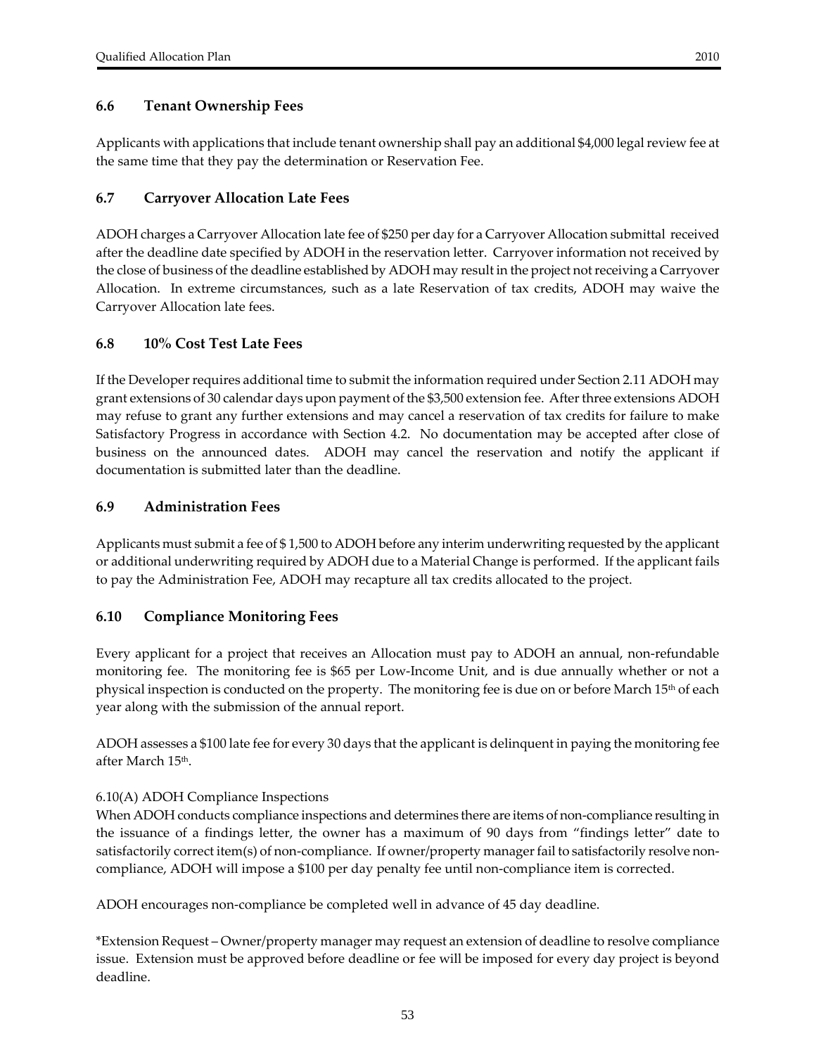### **6.6 Tenant Ownership Fees**

Applicants with applications that include tenant ownership shall pay an additional \$4,000 legalreview fee at the same time that they pay the determination or Reservation Fee.

#### **6.7 Carryover Allocation Late Fees**

ADOH charges a Carryover Allocation late fee of \$250 per day for a Carryover Allocation submittal received after the deadline date specified by ADOH in the reservation letter. Carryover information not received by the close of business of the deadline established by ADOH may result in the project notreceiving a Carryover Allocation. In extreme circumstances, such as a late Reservation of tax credits, ADOH may waive the Carryover Allocation late fees.

#### **6.8 10% Cost Test Late Fees**

If the Developer requires additional time to submit the information required under Section 2.11 ADOH may grant extensions of 30 calendar days upon payment of the \$3,500 extension fee. Afterthree extensions ADOH may refuse to grant any further extensions and may cancel a reservation of tax credits for failure to make Satisfactory Progress in accordance with Section 4.2.No documentation may be accepted after close of business on the announced dates. ADOH may cancel the reservation and notify the applicant if documentation is submitted later than the deadline.

#### **6.9 Administration Fees**

Applicants must submit a fee of \$ 1,500 to ADOH before any interim underwriting requested by the applicant or additional underwriting required by ADOH due to a Material Change is performed. If the applicant fails to pay the Administration Fee, ADOH may recapture all tax credits allocated to the project.

#### **6.10 Compliance Monitoring Fees**

Every applicant for a project that receives an Allocation must pay to ADOH an annual, non-refundable monitoring fee. The monitoring fee is \$65 per Low‐Income Unit, and is due annually whether or not a physical inspection is conducted on the property. The monitoring fee is due on or before March 15th of each year along with the submission of the annual report.

ADOH assesses a \$100 late fee for every 30 days that the applicant is delinquent in paying the monitoring fee after March 15th.

#### 6.10(A) ADOH Compliance Inspections

When ADOH conducts compliance inspections and determines there are items of non-compliance resulting in the issuance of a findings letter, the owner has a maximum of 90 days from "findings letter" date to satisfactorily correct item(s) of non-compliance. If owner/property manager fail to satisfactorily resolve noncompliance, ADOH will impose a \$100 per day penalty fee until non‐compliance item is corrected.

ADOH encourages non‐compliance be completed well in advance of 45 day deadline.

\*Extension Request – Owner/property manager may request an extension of deadline to resolve compliance issue. Extension must be approved before deadline or fee will be imposed for every day project is beyond deadline.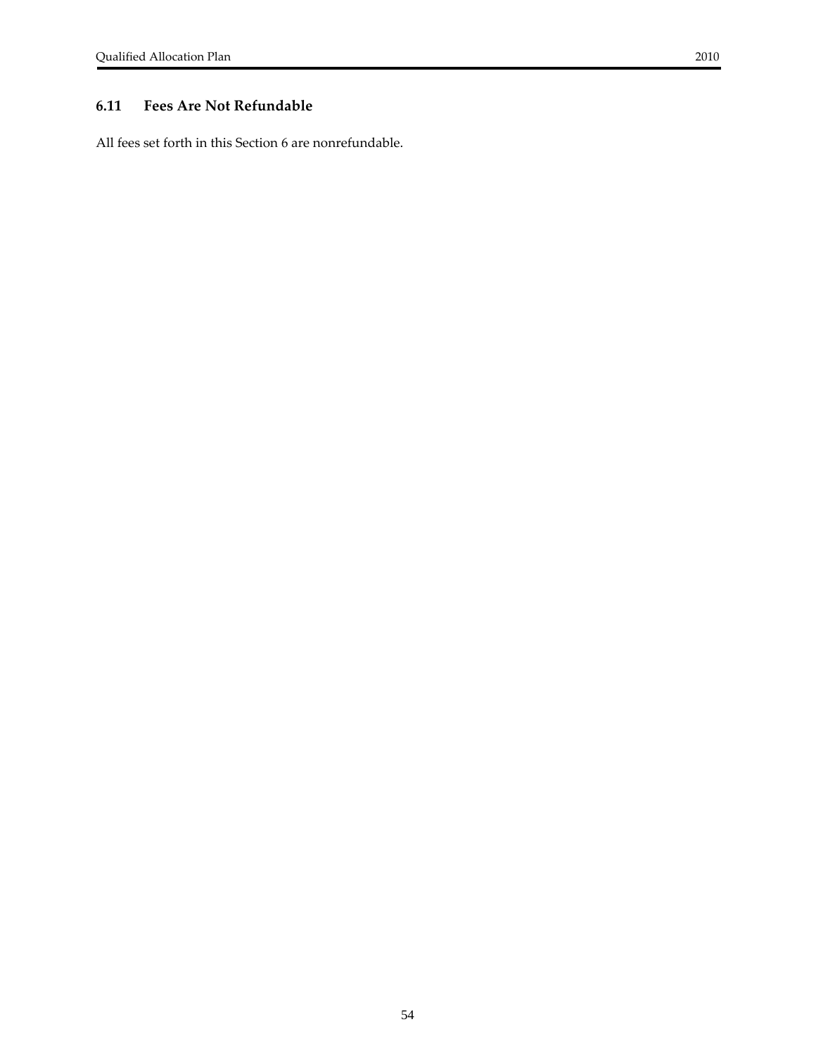All fees set forth in this Section 6 are nonrefundable.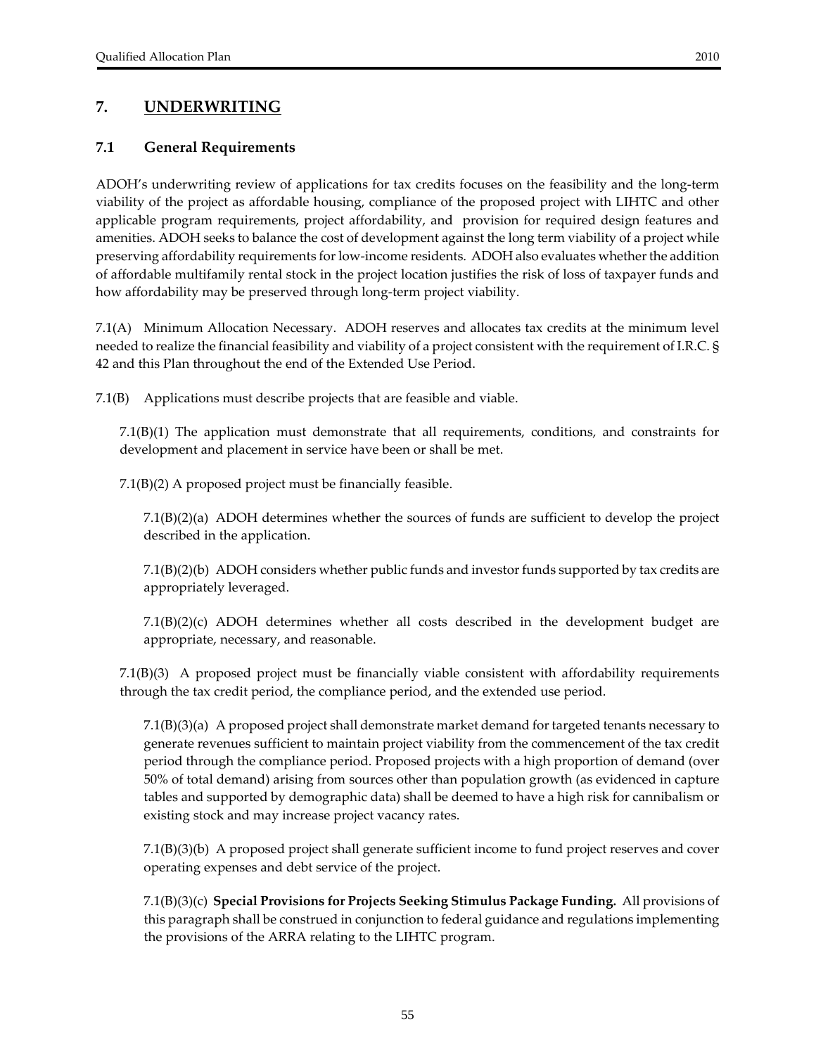# **7. UNDERWRITING**

#### **7.1 General Requirements**

ADOH's underwriting review of applications for tax credits focuses on the feasibility and the long‐term viability of the project as affordable housing, compliance of the proposed project with LIHTC and other applicable program requirements, project affordability, and provision for required design features and amenities. ADOH seeks to balance the cost of development against the long term viability of a project while preserving affordability requirements for low-income residents. ADOH also evaluates whether the addition of affordable multifamily rental stock in the project location justifies the risk of loss of taxpayer funds and how affordability may be preserved through long-term project viability.

7.1(A) Minimum Allocation Necessary. ADOH reserves and allocates tax credits at the minimum level needed to realize the financial feasibility and viability of a project consistent with the requirement of I.R.C. § 42 and this Plan throughout the end of the Extended Use Period.

7.1(B) Applications must describe projects that are feasible and viable.

7.1(B)(1) The application must demonstrate that all requirements, conditions, and constraints for development and placement in service have been or shall be met.

7.1(B)(2) A proposed project must be financially feasible.

7.1(B)(2)(a) ADOH determines whether the sources of funds are sufficient to develop the project described in the application.

7.1(B)(2)(b) ADOH considers whether public funds and investorfunds supported by tax credits are appropriately leveraged.

7.1(B)(2)(c) ADOH determines whether all costs described in the development budget are appropriate, necessary, and reasonable.

7.1(B)(3) A proposed project must be financially viable consistent with affordability requirements through the tax credit period, the compliance period, and the extended use period.

7.1(B)(3)(a) A proposed project shall demonstrate market demand fortargeted tenants necessary to generate revenues sufficient to maintain project viability from the commencement of the tax credit period through the compliance period. Proposed projects with a high proportion of demand (over 50% of total demand) arising from sources other than population growth (as evidenced in capture tables and supported by demographic data) shall be deemed to have a high risk for cannibalism or existing stock and may increase project vacancy rates.

7.1(B)(3)(b) A proposed project shall generate sufficient income to fund project reserves and cover operating expenses and debt service of the project.

7.1(B)(3)(c) **Special Provisions for Projects Seeking Stimulus Package Funding.** All provisions of this paragraph shall be construed in conjunction to federal guidance and regulations implementing the provisions of the ARRA relating to the LIHTC program.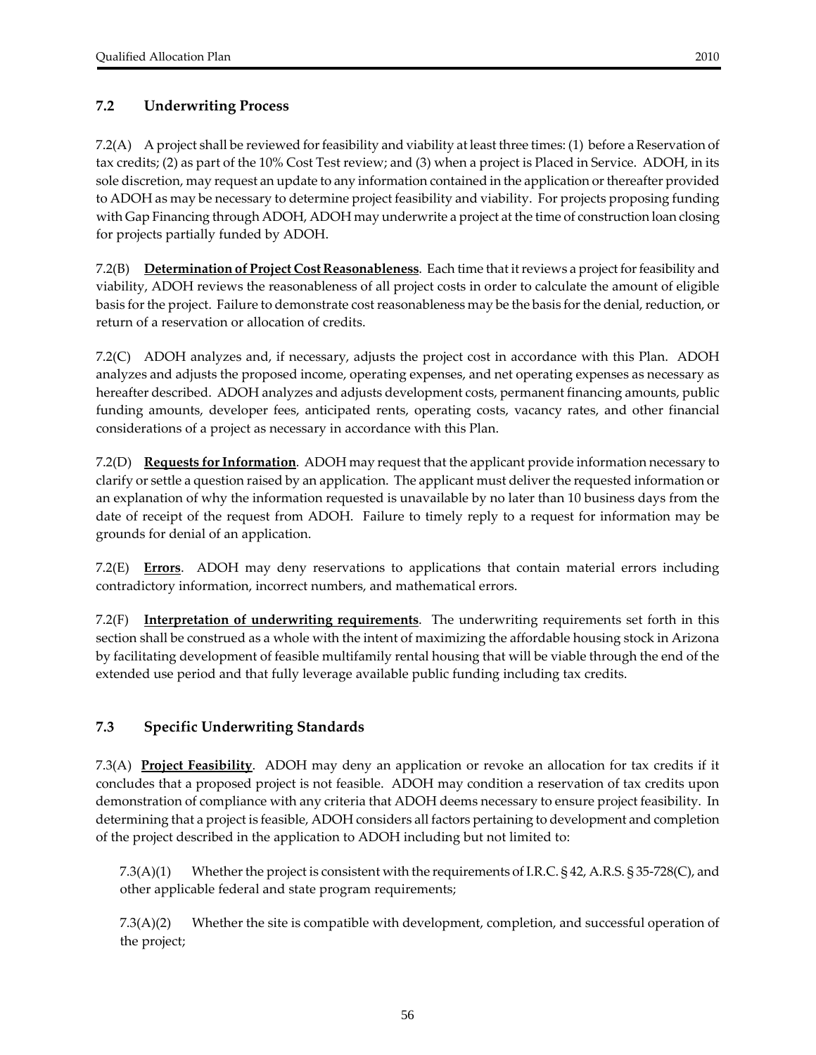### **7.2 Underwriting Process**

7.2(A) A project shall be reviewed for feasibility and viability at least three times: (1) before a Reservation of tax credits; (2) as part of the 10% Cost Test review; and (3) when a project is Placed in Service. ADOH, in its sole discretion, may request an update to any information contained in the application orthereafter provided to ADOH as may be necessary to determine project feasibility and viability. For projects proposing funding with Gap Financing through ADOH, ADOH may underwrite a project at the time of construction loan closing for projects partially funded by ADOH.

7.2(B) **Determination of Project Cost Reasonableness**. Each time that itreviews a project forfeasibility and viability, ADOH reviews the reasonableness of all project costs in order to calculate the amount of eligible basis for the project. Failure to demonstrate cost reasonableness may be the basis for the denial, reduction, or return of a reservation or allocation of credits.

7.2(C) ADOH analyzes and, if necessary, adjusts the project cost in accordance with this Plan. ADOH analyzes and adjusts the proposed income, operating expenses, and net operating expenses as necessary as hereafter described. ADOH analyzes and adjusts development costs, permanent financing amounts, public funding amounts, developer fees, anticipated rents, operating costs, vacancy rates, and other financial considerations of a project as necessary in accordance with this Plan.

7.2(D) **Requests for Information**. ADOH may request that the applicant provide information necessary to clarify or settle a question raised by an application. The applicant must deliverthe requested information or an explanation of why the information requested is unavailable by no later than 10 business days from the date of receipt of the request from ADOH. Failure to timely reply to a request for information may be grounds for denial of an application.

7.2(E) **Errors**. ADOH may deny reservations to applications that contain material errors including contradictory information, incorrect numbers, and mathematical errors.

7.2(F) **Interpretation of underwriting requirements**. The underwriting requirements set forth in this section shall be construed as a whole with the intent of maximizing the affordable housing stock in Arizona by facilitating development of feasible multifamily rental housing that will be viable through the end of the extended use period and that fully leverage available public funding including tax credits.

### **7.3 Specific Underwriting Standards**

7.3(A) **Project Feasibility**. ADOH may deny an application or revoke an allocation for tax credits if it concludes that a proposed project is not feasible. ADOH may condition a reservation of tax credits upon demonstration of compliance with any criteria that ADOH deems necessary to ensure project feasibility. In determining that a project is feasible, ADOH considers all factors pertaining to development and completion of the project described in the application to ADOH including but not limited to:

 $7.3(A)(1)$  Whether the project is consistent with the requirements of I.R.C. § 42, A.R.S. § 35-728(C), and other applicable federal and state program requirements;

7.3(A)(2) Whether the site is compatible with development, completion, and successful operation of the project;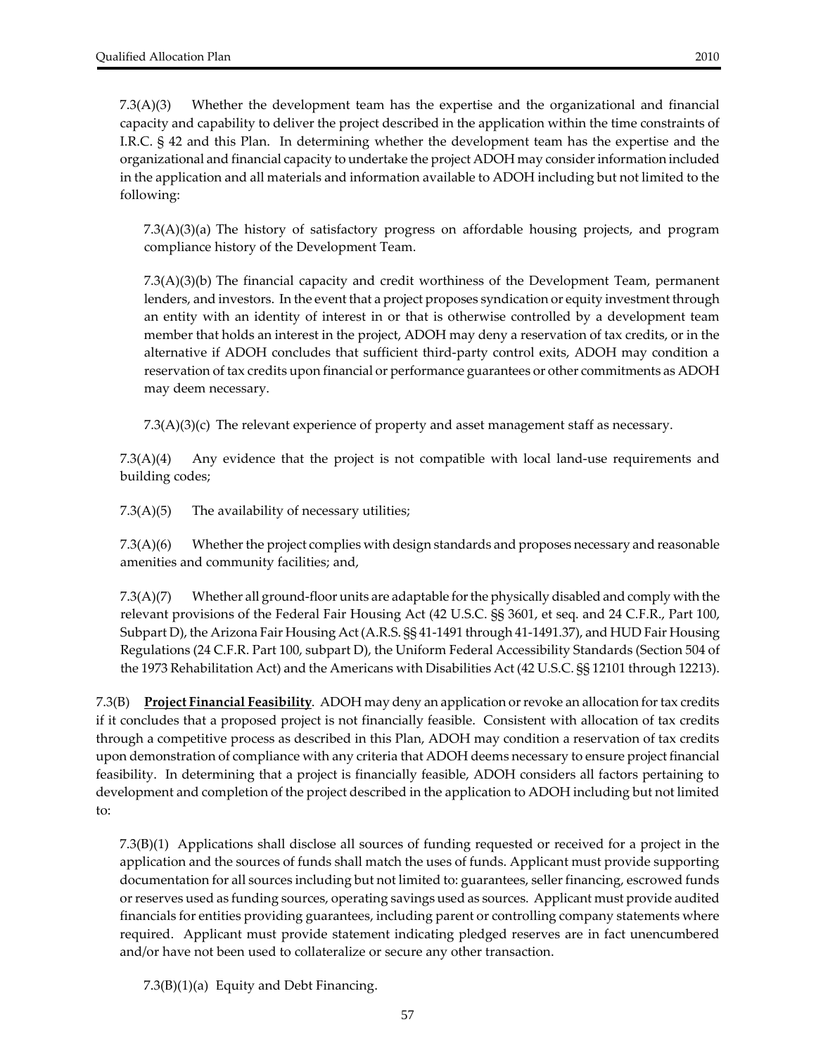7.3(A)(3) Whether the development team has the expertise and the organizational and financial capacity and capability to deliver the project described in the application within the time constraints of I.R.C. § 42 and this Plan. In determining whether the development team has the expertise and the organizational and financial capacity to undertake the project ADOH may considerinformation included in the application and all materials and information available to ADOH including but not limited to the following:

7.3(A)(3)(a) The history of satisfactory progress on affordable housing projects, and program compliance history of the Development Team.

7.3(A)(3)(b) The financial capacity and credit worthiness of the Development Team, permanent lenders, and investors. In the event that a project proposes syndication or equity investment through an entity with an identity of interest in or that is otherwise controlled by a development team member that holds an interest in the project, ADOH may deny a reservation of tax credits, or in the alternative if ADOH concludes that sufficient third‐party control exits, ADOH may condition a reservation of tax credits upon financial or performance guarantees or other commitments as ADOH may deem necessary.

 $7.3(A)(3)(c)$  The relevant experience of property and asset management staff as necessary.

7.3(A)(4) Any evidence that the project is not compatible with local land‐use requirements and building codes;

7.3(A)(5) The availability of necessary utilities;

 $7.3(A)(6)$  Whether the project complies with design standards and proposes necessary and reasonable amenities and community facilities; and,

7.3(A)(7) Whether all ground‐floor units are adaptable forthe physically disabled and comply with the relevant provisions of the Federal Fair Housing Act (42 U.S.C. §§ 3601, et seq. and 24 C.F.R., Part 100, Subpart D), the Arizona Fair Housing Act (A.R.S. §§ 41‐1491 through 41‐1491.37), and HUD Fair Housing Regulations (24 C.F.R. Part 100, subpart D), the Uniform Federal Accessibility Standards (Section 504 of the 1973 Rehabilitation Act) and the Americans with Disabilities Act (42 U.S.C. §§ 12101 through 12213).

7.3(B) **Project Financial Feasibility**. ADOH may deny an application orrevoke an allocation fortax credits if it concludes that a proposed project is not financially feasible. Consistent with allocation of tax credits through a competitive process as described in this Plan, ADOH may condition a reservation of tax credits upon demonstration of compliance with any criteria that ADOH deems necessary to ensure project financial feasibility. In determining that a project is financially feasible, ADOH considers all factors pertaining to development and completion of the project described in the application to ADOH including but not limited to:

7.3(B)(1) Applications shall disclose all sources of funding requested or received for a project in the application and the sources of funds shall match the uses of funds. Applicant must provide supporting documentation for all sources including but not limited to: guarantees, seller financing, escrowed funds orreserves used as funding sources, operating savings used as sources. Applicant must provide audited financials for entities providing guarantees, including parent or controlling company statements where required. Applicant must provide statement indicating pledged reserves are in fact unencumbered and/or have not been used to collateralize or secure any other transaction.

7.3(B)(1)(a) Equity and Debt Financing.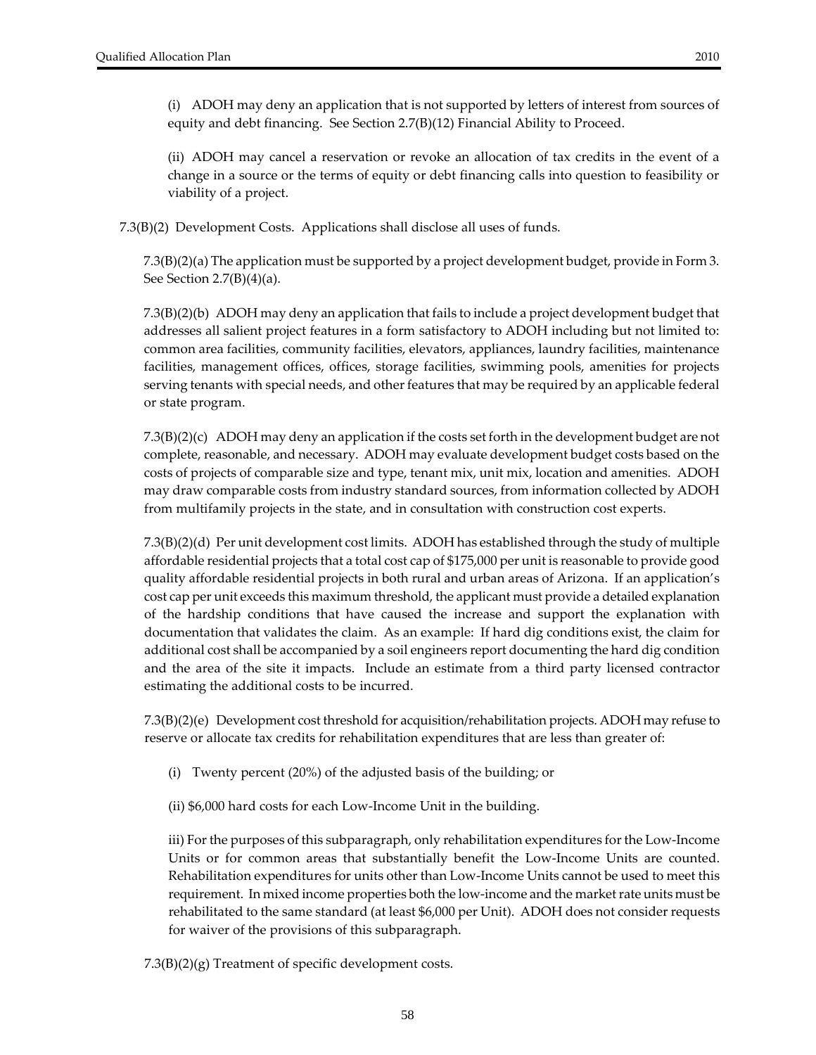(i) ADOH may deny an application that is not supported by letters of interest from sources of equity and debt financing. See Section 2.7(B)(12) Financial Ability to Proceed.

(ii) ADOH may cancel a reservation or revoke an allocation of tax credits in the event of a change in a source or the terms of equity or debt financing calls into question to feasibility or viability of a project.

7.3(B)(2) Development Costs. Applications shall disclose all uses of funds.

7.3(B)(2)(a) The application must be supported by a project development budget, provide in Form 3. See Section  $2.7(B)(4)(a)$ .

7.3(B)(2)(b) ADOH may deny an application that fails to include a project development budget that addresses all salient project features in a form satisfactory to ADOH including but not limited to: common area facilities, community facilities, elevators, appliances, laundry facilities, maintenance facilities, management offices, offices, storage facilities, swimming pools, amenities for projects serving tenants with special needs, and other features that may be required by an applicable federal or state program.

7.3(B)(2)(c) ADOH may deny an application if the costs set forth in the development budget are not complete, reasonable, and necessary. ADOH may evaluate development budget costs based on the costs of projects of comparable size and type, tenant mix, unit mix, location and amenities. ADOH may draw comparable costs from industry standard sources, from information collected by ADOH from multifamily projects in the state, and in consultation with construction cost experts.

7.3(B)(2)(d) Per unit development cost limits. ADOH has established through the study of multiple affordable residential projects that a total cost cap of \$175,000 per unit is reasonable to provide good quality affordable residential projects in both rural and urban areas of Arizona. If an application's cost cap per unit exceeds this maximum threshold, the applicant must provide a detailed explanation of the hardship conditions that have caused the increase and support the explanation with documentation that validates the claim. As an example: If hard dig conditions exist, the claim for additional cost shall be accompanied by a soil engineers report documenting the hard dig condition and the area of the site it impacts. Include an estimate from a third party licensed contractor estimating the additional costs to be incurred.

7.3(B)(2)(e) Development cost threshold for acquisition/rehabilitation projects. ADOH may refuse to reserve or allocate tax credits for rehabilitation expenditures that are less than greater of:

- (i) Twenty percent (20%) of the adjusted basis of the building; or
- (ii) \$6,000 hard costs for each Low‐Income Unit in the building.

iii) For the purposes of this subparagraph, only rehabilitation expenditures for the Low-Income Units or for common areas that substantially benefit the Low‐Income Units are counted. Rehabilitation expenditures for units other than Low‐Income Units cannot be used to meet this requirement. In mixed income properties both the low-income and the market rate units must be rehabilitated to the same standard (at least \$6,000 per Unit). ADOH does not consider requests for waiver of the provisions of this subparagraph.

7.3(B)(2)(g) Treatment of specific development costs.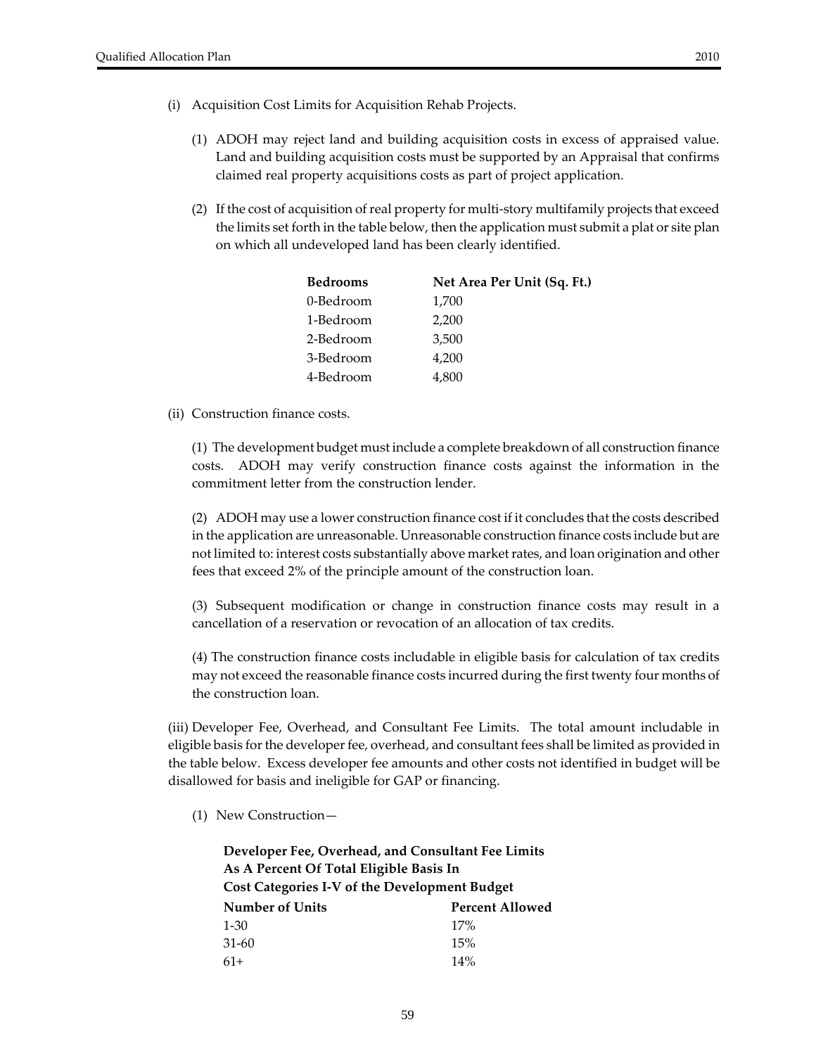- (i) Acquisition Cost Limits for Acquisition Rehab Projects.
	- (1) ADOH may reject land and building acquisition costs in excess of appraised value. Land and building acquisition costs must be supported by an Appraisal that confirms claimed real property acquisitions costs as part of project application.
	- (2) If the cost of acquisition of real property for multi-story multifamily projects that exceed the limits set forth in the table below, then the application must submit a plat or site plan on which all undeveloped land has been clearly identified.

| <b>Bedrooms</b> | Net Area Per Unit (Sq. Ft.) |
|-----------------|-----------------------------|
| 0-Bedroom       | 1,700                       |
| 1-Bedroom       | 2,200                       |
| 2-Bedroom       | 3,500                       |
| 3-Bedroom       | 4,200                       |
| 4-Bedroom       | 4,800                       |

(ii) Construction finance costs.

(1) The development budget must include a complete breakdown of all construction finance costs. ADOH may verify construction finance costs against the information in the commitment letter from the construction lender.

(2) ADOH may use a lower construction finance cost if it concludes that the costs described in the application are unreasonable. Unreasonable construction finance costs include but are not limited to: interest costs substantially above market rates, and loan origination and other fees that exceed 2% of the principle amount of the construction loan.

(3) Subsequent modification or change in construction finance costs may result in a cancellation of a reservation or revocation of an allocation of tax credits.

(4) The construction finance costs includable in eligible basis for calculation of tax credits may not exceed the reasonable finance costs incurred during the first twenty four months of the construction loan.

(iii) Developer Fee, Overhead, and Consultant Fee Limits. The total amount includable in eligible basis for the developer fee, overhead, and consultant fees shall be limited as provided in the table below. Excess developer fee amounts and other costs not identified in budget will be disallowed for basis and ineligible for GAP or financing.

(1) New Construction—

**Developer Fee, Overhead, and Consultant Fee Limits As A Percent Of Total Eligible Basis In Cost Categories I‐V of the Development Budget Number of Units Percent Allowed** 1‐30 31‐60 61+ 17% 15% 14%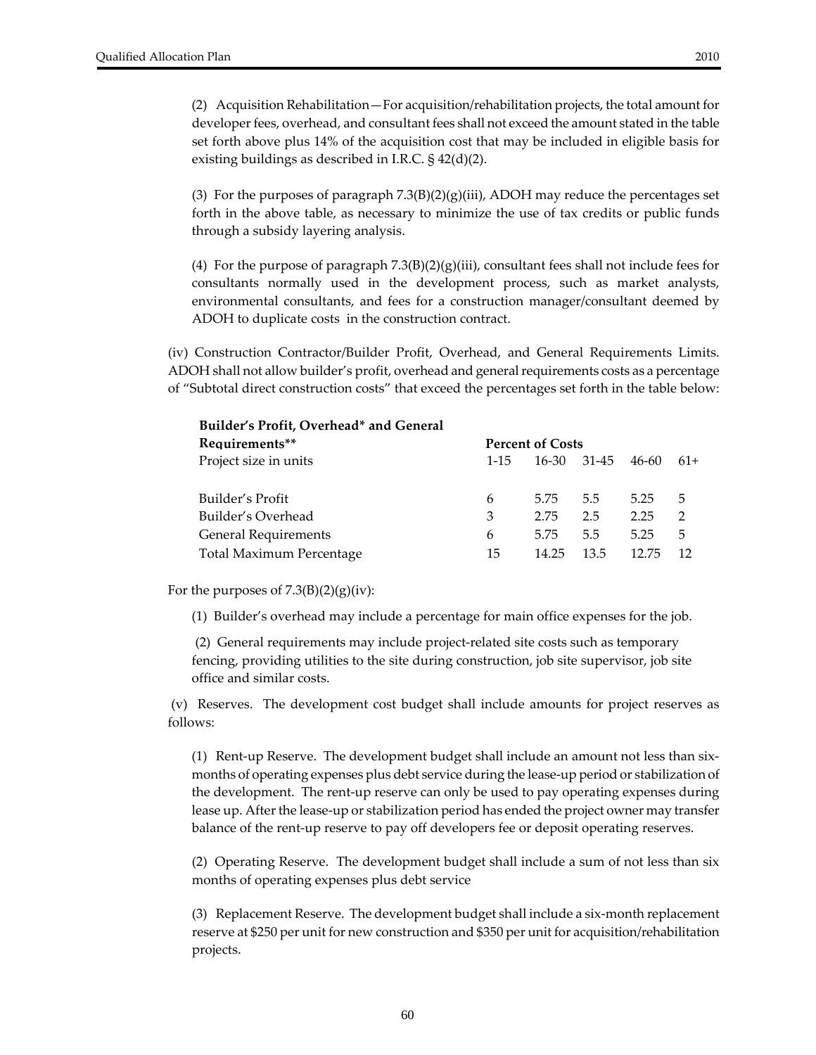(2) Acquisition Rehabilitation—For acquisition/rehabilitation projects, the total amount for developer fees, overhead, and consultant fees shall not exceed the amount stated in the table set forth above plus 14% of the acquisition cost that may be included in eligible basis for existing buildings as described in I.R.C. § 42(d)(2).

(3) For the purposes of paragraph  $7.3(B)(2)(g)(iii)$ , ADOH may reduce the percentages set forth in the above table, as necessary to minimize the use of tax credits or public funds through a subsidy layering analysis.

(4) For the purpose of paragraph  $7.3(B)(2)(g)(iii)$ , consultant fees shall not include fees for consultants normally used in the development process, such as market analysts, environmental consultants, and fees for a construction manager/consultant deemed by ADOH to duplicate costs in the construction contract.

(iv) Construction Contractor/Builder Profit, Overhead, and General Requirements Limits. ADOH shall not allow builder's profit, overhead and general requirements costs as a percentage of "Subtotal direct construction costs" that exceed the percentages set forth in the table below:

| Builder's Profit, Overhead* and General |                         |       |       |       |                |  |  |  |  |
|-----------------------------------------|-------------------------|-------|-------|-------|----------------|--|--|--|--|
| Requirements**                          | <b>Percent of Costs</b> |       |       |       |                |  |  |  |  |
| Project size in units                   | $1 - 1.5$               | 16-30 | 31-45 | 46-60 | $61+$          |  |  |  |  |
|                                         |                         |       |       |       |                |  |  |  |  |
| Builder's Profit                        | 6                       | 5.75  | 5.5   | 5.25  | 5              |  |  |  |  |
| Builder's Overhead                      | 3                       | 2.75  | 2.5   | 2.25  | $\overline{2}$ |  |  |  |  |
| <b>General Requirements</b>             | 6                       | 5.75  | 5.5   | 5.25  | 5              |  |  |  |  |
| Total Maximum Percentage                | 15                      | 14.25 | 13.5  | 12.75 | 12             |  |  |  |  |

For the purposes of  $7.3(B)(2)(g)(iv)$ :

(1) Builder's overhead may include a percentage for main office expenses for the job.

(2) General requirements may include project‐related site costs such as temporary fencing, providing utilities to the site during construction, job site supervisor, job site office and similar costs.

(v) Reserves. The development cost budget shall include amounts for project reserves as follows:

(1) Rent-up Reserve. The development budget shall include an amount not less than sixmonths of operating expenses plus debt service during the lease-up period or stabilization of the development. The rent-up reserve can only be used to pay operating expenses during lease up. After the lease-up or stabilization period has ended the project owner may transfer balance of the rent-up reserve to pay off developers fee or deposit operating reserves.

(2) Operating Reserve. The development budget shall include a sum of not less than six months of operating expenses plus debt service

(3) Replacement Reserve. The development budget shall include a six‐month replacement reserve at \$250 per unit for new construction and \$350 per unit for acquisition/rehabilitation projects.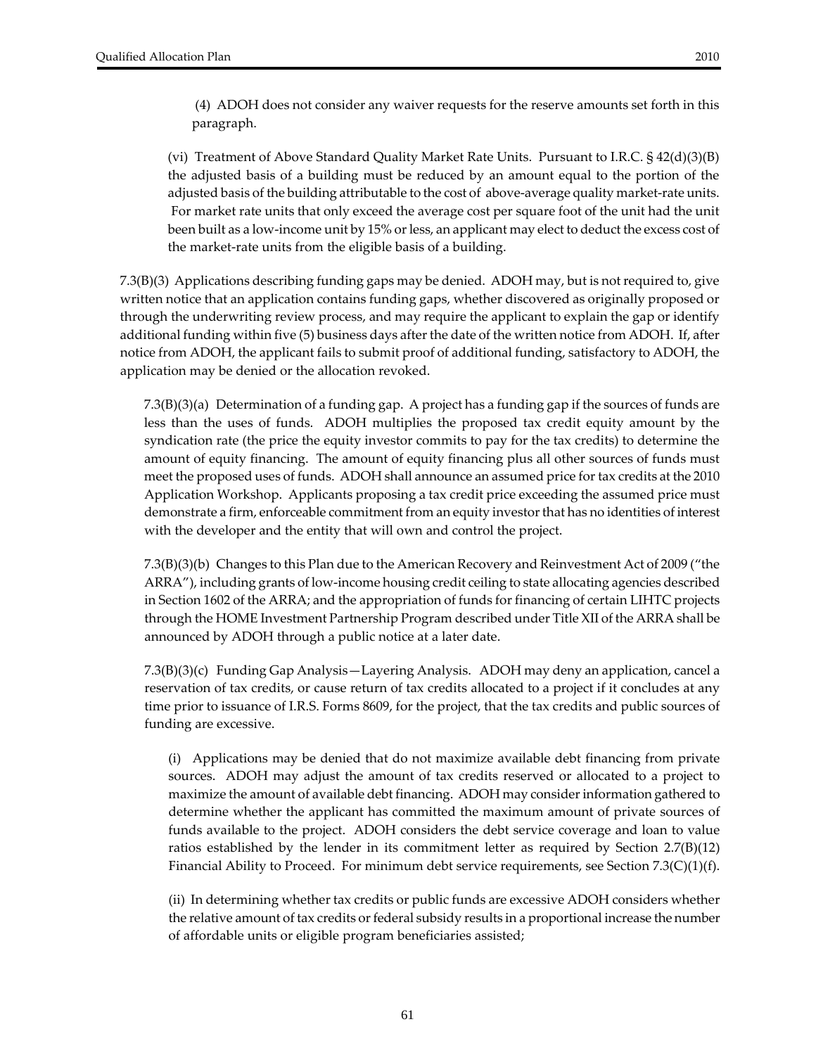(4) ADOH does not consider any waiver requests for the reserve amounts set forth in this paragraph.

(vi) Treatment of Above Standard Quality Market Rate Units. Pursuant to I.R.C. § 42(d)(3)(B) the adjusted basis of a building must be reduced by an amount equal to the portion of the adjusted basis of the building attributable to the cost of above‐average quality market‐rate units. For market rate units that only exceed the average cost per square foot of the unit had the unit been built as a low-income unit by 15% or less, an applicant may elect to deduct the excess cost of the market‐rate units from the eligible basis of a building.

7.3(B)(3) Applications describing funding gaps may be denied. ADOH may, but is notrequired to, give written notice that an application contains funding gaps, whether discovered as originally proposed or through the underwriting review process, and may require the applicant to explain the gap or identify additional funding within five (5) business days after the date of the written notice from ADOH. If, after notice from ADOH, the applicant fails to submit proof of additional funding, satisfactory to ADOH, the application may be denied or the allocation revoked.

7.3(B)(3)(a) Determination of a funding gap. A project has a funding gap if the sources of funds are less than the uses of funds. ADOH multiplies the proposed tax credit equity amount by the syndication rate (the price the equity investor commits to pay for the tax credits) to determine the amount of equity financing. The amount of equity financing plus all other sources of funds must meet the proposed uses of funds. ADOH shall announce an assumed price fortax credits at the 2010 Application Workshop. Applicants proposing a tax credit price exceeding the assumed price must demonstrate a firm, enforceable commitment from an equity investor that has no identities of interest with the developer and the entity that will own and control the project.

7.3(B)(3)(b) Changes to this Plan due to the American Recovery and Reinvestment Act of 2009 ("the ARRA"), including grants of low‐income housing credit ceiling to state allocating agencies described in Section 1602 of the ARRA; and the appropriation of funds for financing of certain LIHTC projects through the HOME Investment Partnership Program described under Title XII of the ARRA shall be announced by ADOH through a public notice at a later date.

7.3(B)(3)(c) Funding Gap Analysis—Layering Analysis. ADOH may deny an application, cancel a reservation of tax credits, or cause return of tax credits allocated to a project if it concludes at any time prior to issuance of I.R.S. Forms 8609, for the project, that the tax credits and public sources of funding are excessive.

(i) Applications may be denied that do not maximize available debt financing from private sources. ADOH may adjust the amount of tax credits reserved or allocated to a project to maximize the amount of available debt financing. ADOH may considerinformation gathered to determine whether the applicant has committed the maximum amount of private sources of funds available to the project. ADOH considers the debt service coverage and loan to value ratios established by the lender in its commitment letter as required by Section 2.7(B)(12) Financial Ability to Proceed. For minimum debt service requirements, see Section  $7.3(C)(1)(f)$ .

(ii) In determining whether tax credits or public funds are excessive ADOH considers whether the relative amount of tax credits or federal subsidy results in a proportional increase the number of affordable units or eligible program beneficiaries assisted;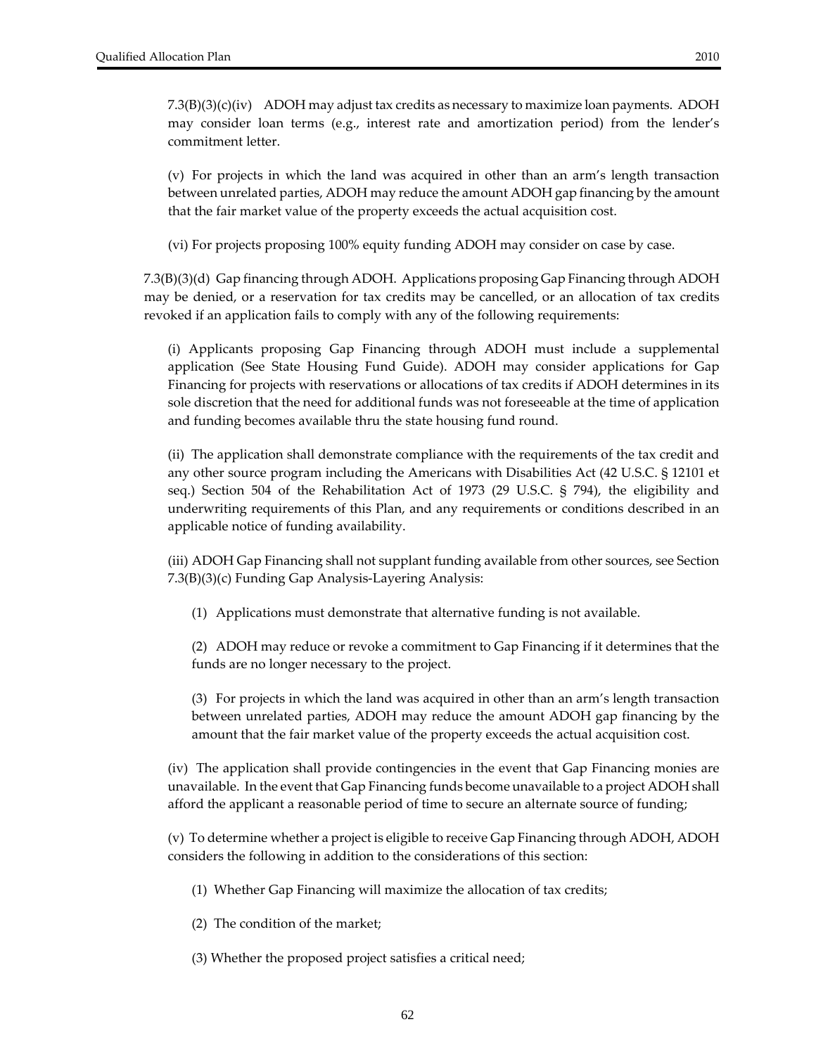7.3(B)(3)(c)(iv) ADOH may adjust tax credits as necessary to maximize loan payments. ADOH may consider loan terms (e.g., interest rate and amortization period) from the lender's commitment letter.

(v) For projects in which the land was acquired in other than an arm's length transaction between unrelated parties, ADOH may reduce the amount ADOH gap financing by the amount that the fair market value of the property exceeds the actual acquisition cost.

(vi) For projects proposing 100% equity funding ADOH may consider on case by case.

7.3(B)(3)(d) Gap financing through ADOH. Applications proposing Gap Financing through ADOH may be denied, or a reservation for tax credits may be cancelled, or an allocation of tax credits revoked if an application fails to comply with any of the following requirements:

(i) Applicants proposing Gap Financing through ADOH must include a supplemental application (See State Housing Fund Guide). ADOH may consider applications for Gap Financing for projects with reservations or allocations of tax credits if ADOH determines in its sole discretion that the need for additional funds was not foreseeable at the time of application and funding becomes available thru the state housing fund round.

(ii) The application shall demonstrate compliance with the requirements of the tax credit and any other source program including the Americans with Disabilities Act (42 U.S.C. § 12101 et seq.) Section 504 of the Rehabilitation Act of 1973 (29 U.S.C. § 794), the eligibility and underwriting requirements of this Plan, and any requirements or conditions described in an applicable notice of funding availability.

(iii) ADOH Gap Financing shall not supplant funding available from other sources, see Section 7.3(B)(3)(c) Funding Gap Analysis‐Layering Analysis:

(1) Applications must demonstrate that alternative funding is not available.

(2) ADOH may reduce or revoke a commitment to Gap Financing if it determines that the funds are no longer necessary to the project.

(3) For projects in which the land was acquired in other than an arm's length transaction between unrelated parties, ADOH may reduce the amount ADOH gap financing by the amount that the fair market value of the property exceeds the actual acquisition cost.

(iv) The application shall provide contingencies in the event that Gap Financing monies are unavailable. In the event that Gap Financing funds become unavailable to a project ADOH shall afford the applicant a reasonable period of time to secure an alternate source of funding;

(v) To determine whether a project is eligible to receive Gap Financing through ADOH, ADOH considers the following in addition to the considerations of this section:

(1) Whether Gap Financing will maximize the allocation of tax credits;

(2) The condition of the market;

(3) Whether the proposed project satisfies a critical need;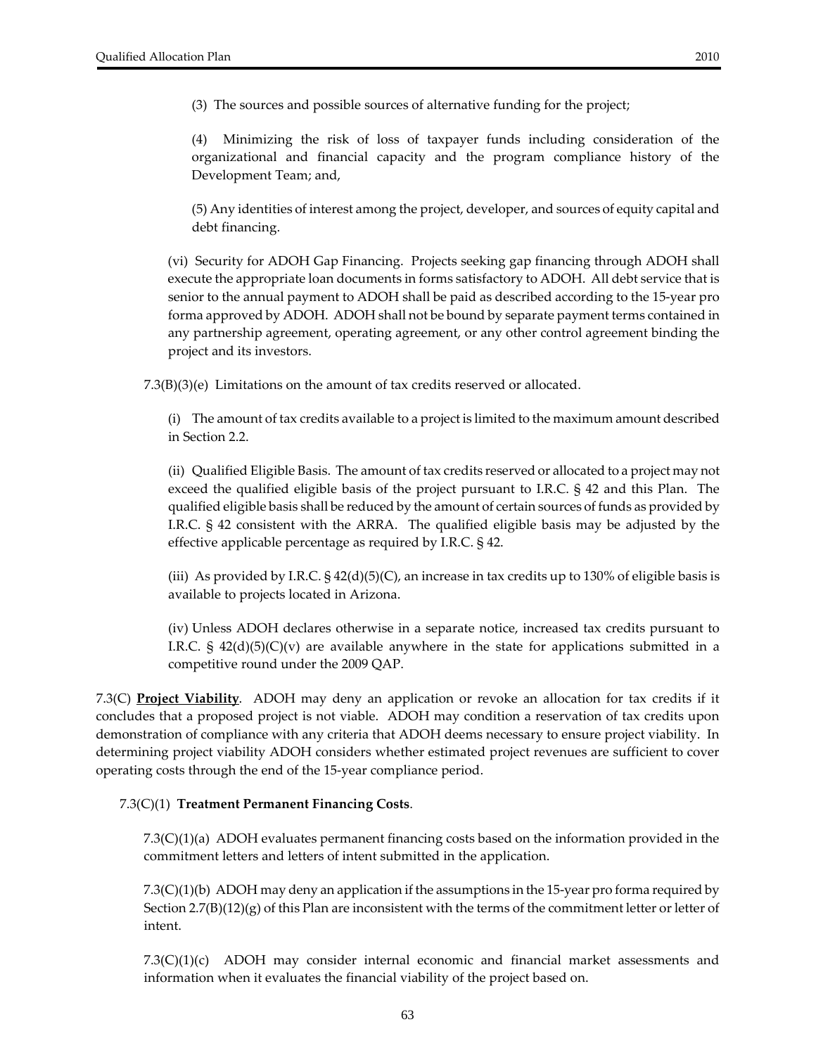Minimizing the risk of loss of taxpayer funds including consideration of the organizational and financial capacity and the program compliance history of the Development Team; and,

(5) Any identities of interest among the project, developer, and sources of equity capital and debt financing.

(vi) Security for ADOH Gap Financing. Projects seeking gap financing through ADOH shall execute the appropriate loan documents in forms satisfactory to ADOH. All debt service that is senior to the annual payment to ADOH shall be paid as described according to the 15‐year pro forma approved by ADOH. ADOH shall not be bound by separate payment terms contained in any partnership agreement, operating agreement, or any other control agreement binding the project and its investors.

7.3(B)(3)(e) Limitations on the amount of tax credits reserved or allocated.

(i) The amount of tax credits available to a project is limited to the maximum amount described in Section 2.2.

(ii) Qualified Eligible Basis. The amount of tax credits reserved or allocated to a project may not exceed the qualified eligible basis of the project pursuant to I.R.C. § 42 and this Plan. The qualified eligible basis shall be reduced by the amount of certain sources of funds as provided by I.R.C. § 42 consistent with the ARRA. The qualified eligible basis may be adjusted by the effective applicable percentage as required by I.R.C. § 42.

(iii) As provided by I.R.C.  $\S 42(d)(5)(C)$ , an increase in tax credits up to 130% of eligible basis is available to projects located in Arizona.

(iv) Unless ADOH declares otherwise in a separate notice, increased tax credits pursuant to I.R.C. §  $42(d)(5)(C)(v)$  are available anywhere in the state for applications submitted in a competitive round under the 2009 QAP.

7.3(C) **Project Viability**. ADOH may deny an application or revoke an allocation for tax credits if it concludes that a proposed project is not viable. ADOH may condition a reservation of tax credits upon demonstration of compliance with any criteria that ADOH deems necessary to ensure project viability. In determining project viability ADOH considers whether estimated project revenues are sufficient to cover operating costs through the end of the 15‐year compliance period.

#### 7.3(C)(1) **Treatment Permanent Financing Costs**.

7.3(C)(1)(a) ADOH evaluates permanent financing costs based on the information provided in the commitment letters and letters of intent submitted in the application.

7.3(C)(1)(b) ADOH may deny an application if the assumptions in the 15-year pro forma required by Section  $2.7(B)(12)(g)$  of this Plan are inconsistent with the terms of the commitment letter or letter of intent.

 $7.3(C)(1)(c)$  ADOH may consider internal economic and financial market assessments and information when it evaluates the financial viability of the project based on.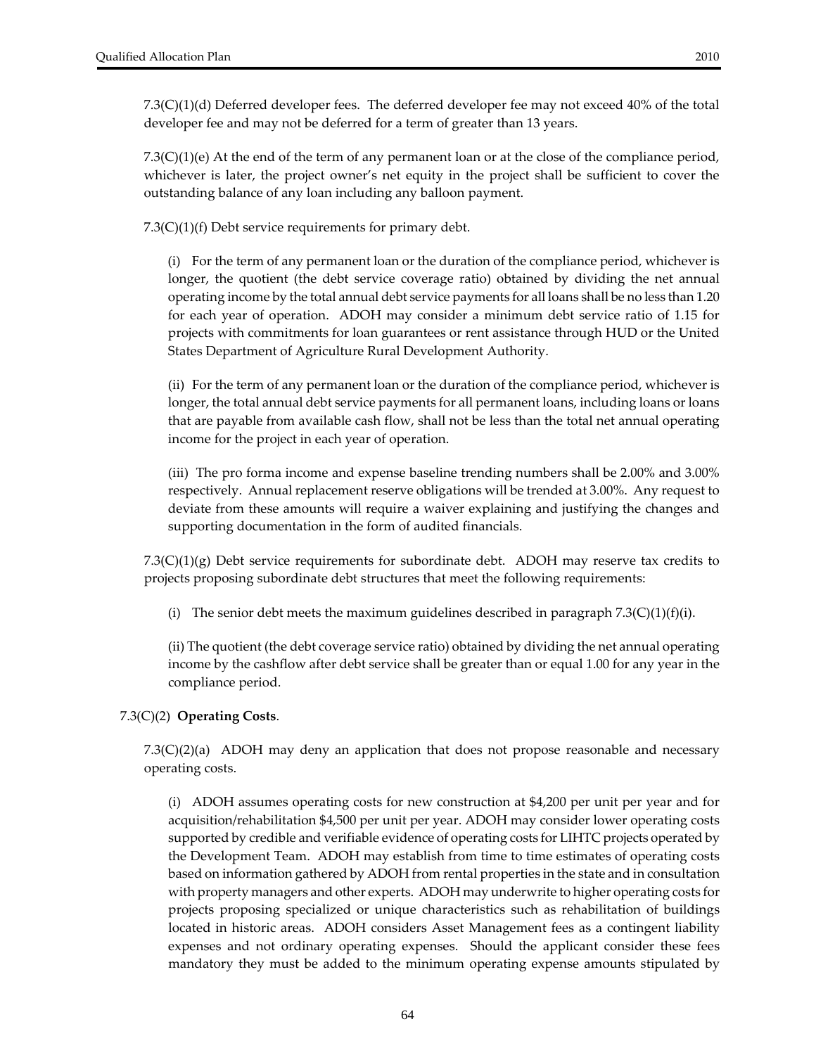7.3(C)(1)(d) Deferred developer fees. The deferred developer fee may not exceed 40% of the total developer fee and may not be deferred for a term of greater than 13 years.

7.3(C)(1)(e) At the end of the term of any permanent loan or at the close of the compliance period, whichever is later, the project owner's net equity in the project shall be sufficient to cover the outstanding balance of any loan including any balloon payment.

7.3(C)(1)(f) Debt service requirements for primary debt.

(i) For the term of any permanent loan or the duration of the compliance period, whichever is longer, the quotient (the debt service coverage ratio) obtained by dividing the net annual operating income by the total annual debt service payments for all loans shall be no less than 1.20 for each year of operation. ADOH may consider a minimum debt service ratio of 1.15 for projects with commitments for loan guarantees or rent assistance through HUD or the United States Department of Agriculture Rural Development Authority.

(ii) For the term of any permanent loan or the duration of the compliance period, whichever is longer, the total annual debt service payments for all permanent loans, including loans or loans that are payable from available cash flow, shall not be less than the total net annual operating income for the project in each year of operation.

(iii) The pro forma income and expense baseline trending numbers shall be 2.00% and 3.00% respectively. Annual replacement reserve obligations will be trended at 3.00%. Any request to deviate from these amounts will require a waiver explaining and justifying the changes and supporting documentation in the form of audited financials.

7.3(C)(1)(g) Debt service requirements for subordinate debt. ADOH may reserve tax credits to projects proposing subordinate debt structures that meet the following requirements:

(i) The senior debt meets the maximum guidelines described in paragraph  $7.3(C)(1)(f)(i)$ .

(ii) The quotient (the debt coverage service ratio) obtained by dividing the net annual operating income by the cashflow after debt service shall be greater than or equal 1.00 for any year in the compliance period.

#### 7.3(C)(2) **Operating Costs**.

7.3(C)(2)(a) ADOH may deny an application that does not propose reasonable and necessary operating costs.

(i) ADOH assumes operating costs for new construction at \$4,200 per unit per year and for acquisition/rehabilitation \$4,500 per unit per year. ADOH may consider lower operating costs supported by credible and verifiable evidence of operating costs for LIHTC projects operated by the Development Team. ADOH may establish from time to time estimates of operating costs based on information gathered by ADOH from rental properties in the state and in consultation with property managers and other experts. ADOH may underwrite to higher operating costs for projects proposing specialized or unique characteristics such as rehabilitation of buildings located in historic areas. ADOH considers Asset Management fees as a contingent liability expenses and not ordinary operating expenses. Should the applicant consider these fees mandatory they must be added to the minimum operating expense amounts stipulated by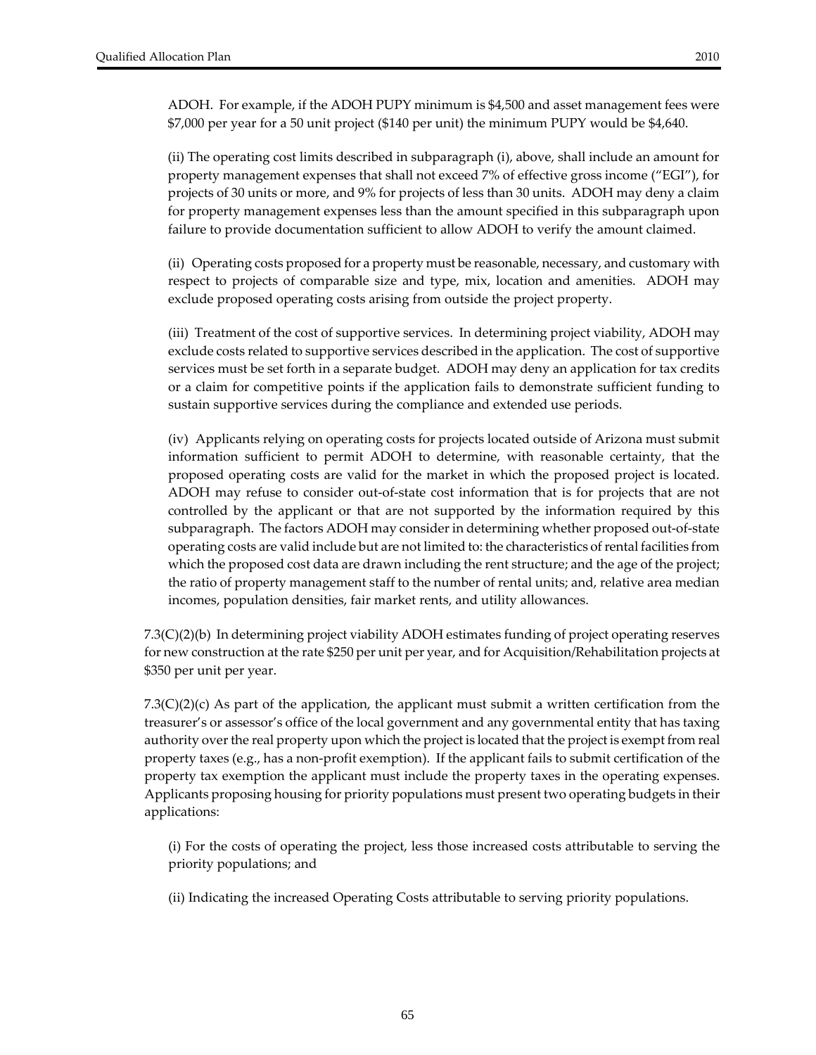(ii) The operating cost limits described in subparagraph (i), above, shall include an amount for property management expenses that shall not exceed 7% of effective gross income ("EGI"), for projects of 30 units or more, and 9% for projects of less than 30 units. ADOH may deny a claim for property management expenses less than the amount specified in this subparagraph upon failure to provide documentation sufficient to allow ADOH to verify the amount claimed.

(ii) Operating costs proposed for a property must be reasonable, necessary, and customary with respect to projects of comparable size and type, mix, location and amenities. ADOH may exclude proposed operating costs arising from outside the project property.

(iii) Treatment of the cost of supportive services. In determining project viability, ADOH may exclude costs related to supportive services described in the application. The cost of supportive services must be set forth in a separate budget. ADOH may deny an application for tax credits or a claim for competitive points if the application fails to demonstrate sufficient funding to sustain supportive services during the compliance and extended use periods.

(iv) Applicants relying on operating costs for projects located outside of Arizona must submit information sufficient to permit ADOH to determine, with reasonable certainty, that the proposed operating costs are valid for the market in which the proposed project is located. ADOH may refuse to consider out‐of‐state cost information that is for projects that are not controlled by the applicant or that are not supported by the information required by this subparagraph. The factors ADOH may consider in determining whether proposed out-of-state operating costs are valid include but are not limited to: the characteristics ofrental facilities from which the proposed cost data are drawn including the rent structure; and the age of the project; the ratio of property management staff to the number of rental units; and, relative area median incomes, population densities, fair market rents, and utility allowances.

7.3(C)(2)(b) In determining project viability ADOH estimates funding of project operating reserves for new construction at the rate \$250 per unit per year, and for Acquisition/Rehabilitation projects at \$350 per unit per year.

7.3(C)(2)(c) As part of the application, the applicant must submit a written certification from the treasurer's or assessor's office of the local government and any governmental entity that has taxing authority over the real property upon which the project is located that the project is exempt from real property taxes (e.g., has a non‐profit exemption). If the applicant fails to submit certification of the property tax exemption the applicant must include the property taxes in the operating expenses. Applicants proposing housing for priority populations must present two operating budgets in their applications:

(i) For the costs of operating the project, less those increased costs attributable to serving the priority populations; and

(ii) Indicating the increased Operating Costs attributable to serving priority populations.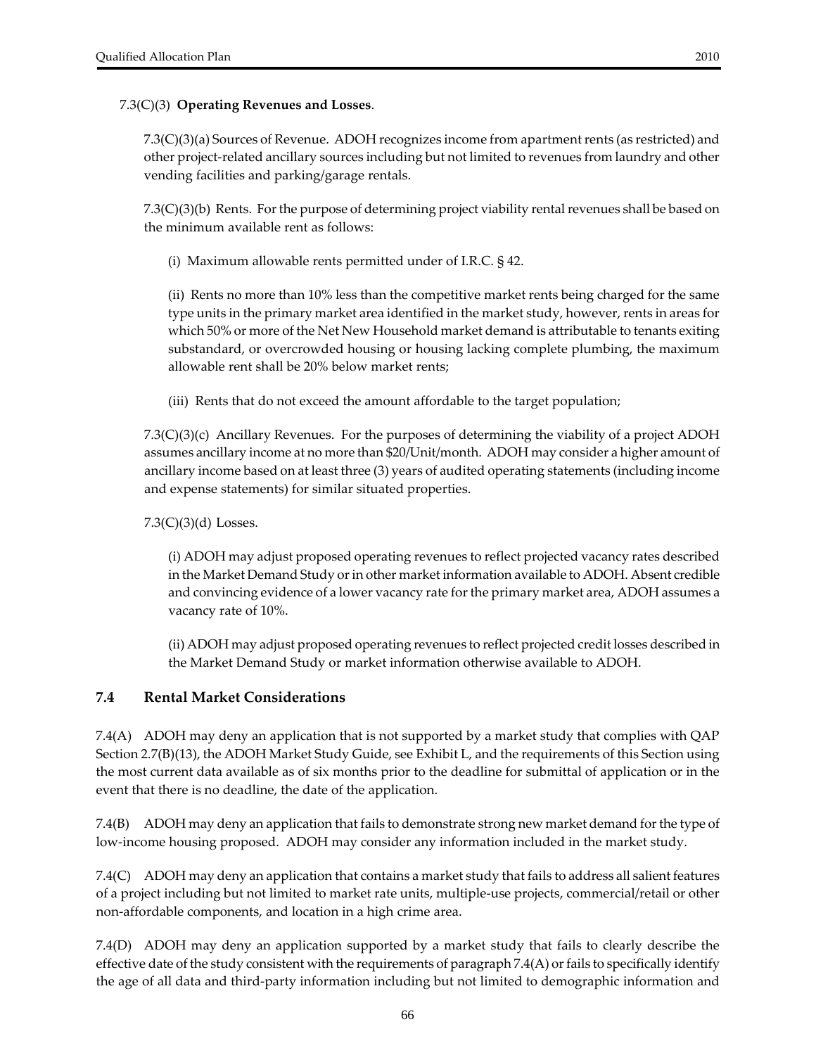#### 7.3(C)(3) **Operating Revenues and Losses**.

7.3(C)(3)(a) Sources of Revenue. ADOH recognizes income from apartmentrents (as restricted) and other project‐related ancillary sources including but not limited to revenues from laundry and other vending facilities and parking/garage rentals.

7.3(C)(3)(b) Rents. For the purpose of determining project viability rental revenues shall be based on the minimum available rent as follows:

(i) Maximum allowable rents permitted under of I.R.C. § 42.

(ii) Rents no more than 10% less than the competitive market rents being charged for the same type units in the primary market area identified in the market study, however, rents in areas for which 50% or more of the Net New Household market demand is attributable to tenants exiting substandard, or overcrowded housing or housing lacking complete plumbing, the maximum allowable rent shall be 20% below market rents;

(iii) Rents that do not exceed the amount affordable to the target population;

7.3(C)(3)(c) Ancillary Revenues. For the purposes of determining the viability of a project ADOH assumes ancillary income at no more than \$20/Unit/month. ADOH may consider a higher amount of ancillary income based on at least three (3) years of audited operating statements (including income and expense statements) for similar situated properties.

7.3(C)(3)(d) Losses.

(i) ADOH may adjust proposed operating revenues to reflect projected vacancy rates described in the Market Demand Study or in other market information available to ADOH. Absent credible and convincing evidence of a lower vacancy rate forthe primary market area, ADOH assumes a vacancy rate of 10%.

(ii) ADOH may adjust proposed operating revenues to reflect projected credit losses described in the Market Demand Study or market information otherwise available to ADOH.

### **7.4 Rental Market Considerations**

7.4(A) ADOH may deny an application that is not supported by a market study that complies with QAP Section 2.7(B)(13), the ADOH Market Study Guide, see Exhibit L, and the requirements of this Section using the most current data available as of six months prior to the deadline for submittal of application or in the event that there is no deadline, the date of the application.

7.4(B) ADOH may deny an application that fails to demonstrate strong new market demand forthe type of low‐income housing proposed. ADOH may consider any information included in the market study.

7.4(C) ADOH may deny an application that contains a market study that fails to address all salient features of a project including but not limited to market rate units, multiple‐use projects, commercial/retail or other non‐affordable components, and location in a high crime area.

7.4(D) ADOH may deny an application supported by a market study that fails to clearly describe the effective date of the study consistent with the requirements of paragraph  $7.4(A)$  or fails to specifically identify the age of all data and third‐party information including but not limited to demographic information and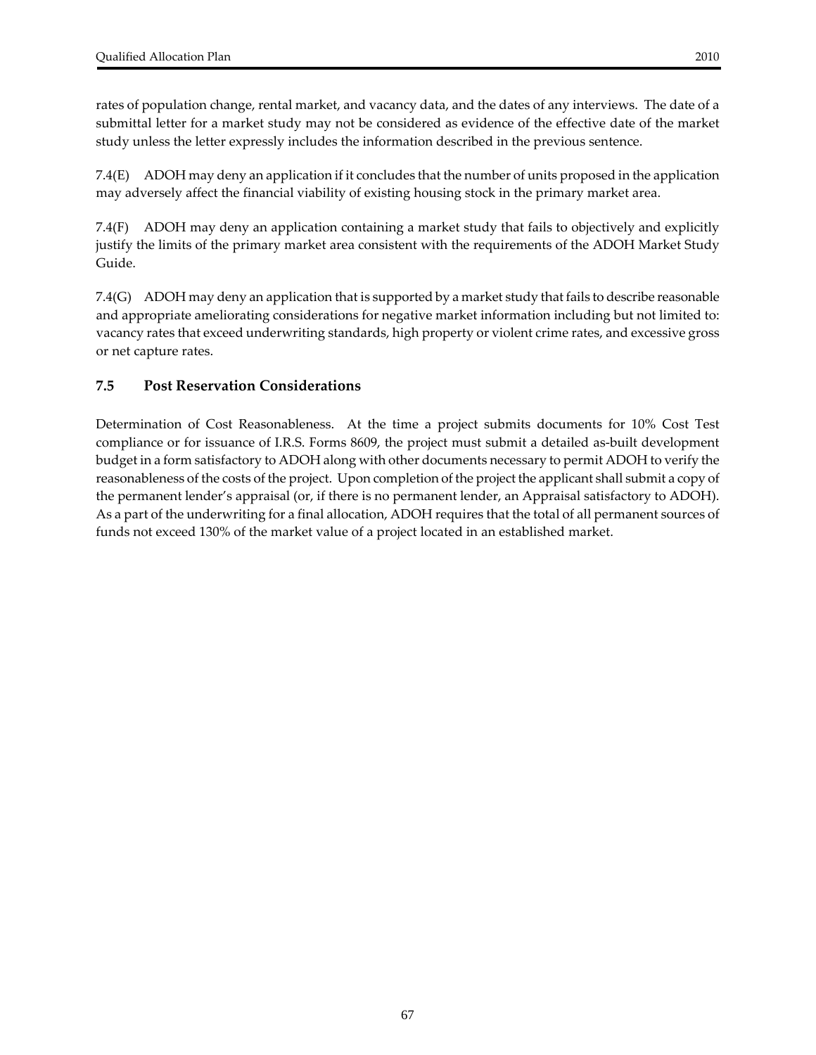rates of population change, rental market, and vacancy data, and the dates of any interviews. The date of a submittal letter for a market study may not be considered as evidence of the effective date of the market study unless the letter expressly includes the information described in the previous sentence.

7.4(E) ADOH may deny an application if it concludes that the number of units proposed in the application may adversely affect the financial viability of existing housing stock in the primary market area.

7.4(F) ADOH may deny an application containing a market study that fails to objectively and explicitly justify the limits of the primary market area consistent with the requirements of the ADOH Market Study Guide.

7.4(G) ADOH may deny an application that is supported by a market study that fails to describe reasonable and appropriate ameliorating considerations for negative market information including but not limited to: vacancy rates that exceed underwriting standards, high property or violent crime rates, and excessive gross or net capture rates.

#### **7.5 Post Reservation Considerations**

Determination of Cost Reasonableness. At the time a project submits documents for 10% Cost Test compliance or for issuance of I.R.S. Forms 8609, the project must submit a detailed as‐built development budget in a form satisfactory to ADOH along with other documents necessary to permit ADOH to verify the reasonableness of the costs of the project. Upon completion of the project the applicant shall submit a copy of the permanent lender's appraisal (or, if there is no permanent lender, an Appraisal satisfactory to ADOH). As a part of the underwriting for a final allocation, ADOH requires that the total of all permanent sources of funds not exceed 130% of the market value of a project located in an established market.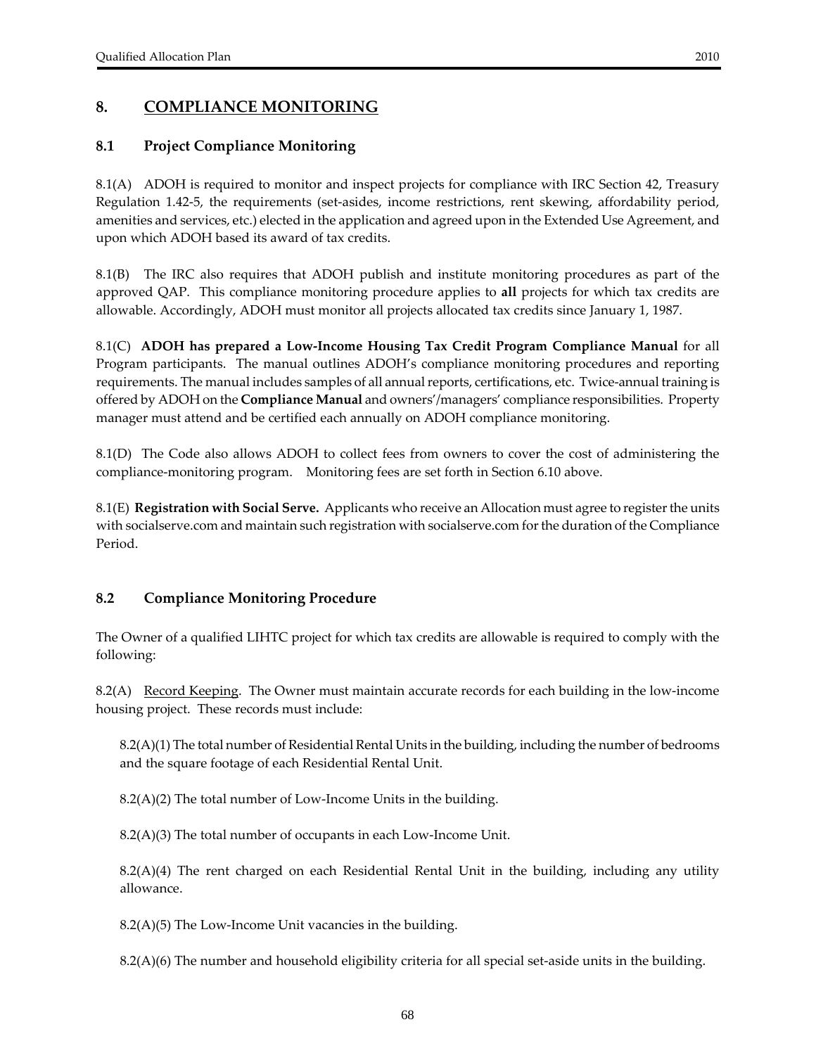# **8. COMPLIANCE MONITORING**

### **8.1 Project Compliance Monitoring**

8.1(A) ADOH is required to monitor and inspect projects for compliance with IRC Section 42, Treasury Regulation 1.42‐5, the requirements (set‐asides, income restrictions, rent skewing, affordability period, amenities and services, etc.) elected in the application and agreed upon in the Extended Use Agreement, and upon which ADOH based its award of tax credits.

8.1(B) The IRC also requires that ADOH publish and institute monitoring procedures as part of the approved QAP. This compliance monitoring procedure applies to **all** projects for which tax credits are allowable. Accordingly, ADOH must monitor all projects allocated tax credits since January 1, 1987.

8.1(C) **ADOH has prepared a Low‐Income Housing Tax Credit Program Compliance Manual** for all Program participants. The manual outlines ADOH's compliance monitoring procedures and reporting requirements. The manual includes samples of all annual reports, certifications, etc. Twice-annual training is offered by ADOH on the **Compliance Manual** and owners'/managers' compliance responsibilities. Property manager must attend and be certified each annually on ADOH compliance monitoring.

8.1(D) The Code also allows ADOH to collect fees from owners to cover the cost of administering the compliance-monitoring program. Monitoring fees are set forth in Section 6.10 above.

8.1(E) **Registration with Social Serve.** Applicants who receive an Allocation must agree to registerthe units with socialserve.com and maintain such registration with socialserve.com forthe duration of the Compliance Period.

### **8.2 Compliance Monitoring Procedure**

The Owner of a qualified LIHTC project for which tax credits are allowable is required to comply with the following:

8.2(A) Record Keeping. The Owner must maintain accurate records for each building in the low-income housing project. These records must include:

8.2(A)(1) The total number of Residential Rental Units in the building, including the number of bedrooms and the square footage of each Residential Rental Unit.

8.2(A)(2) The total number of Low‐Income Units in the building.

8.2(A)(3) The total number of occupants in each Low‐Income Unit.

8.2(A)(4) The rent charged on each Residential Rental Unit in the building, including any utility allowance.

8.2(A)(5) The Low‐Income Unit vacancies in the building.

8.2(A)(6) The number and household eligibility criteria for all special set‐aside units in the building.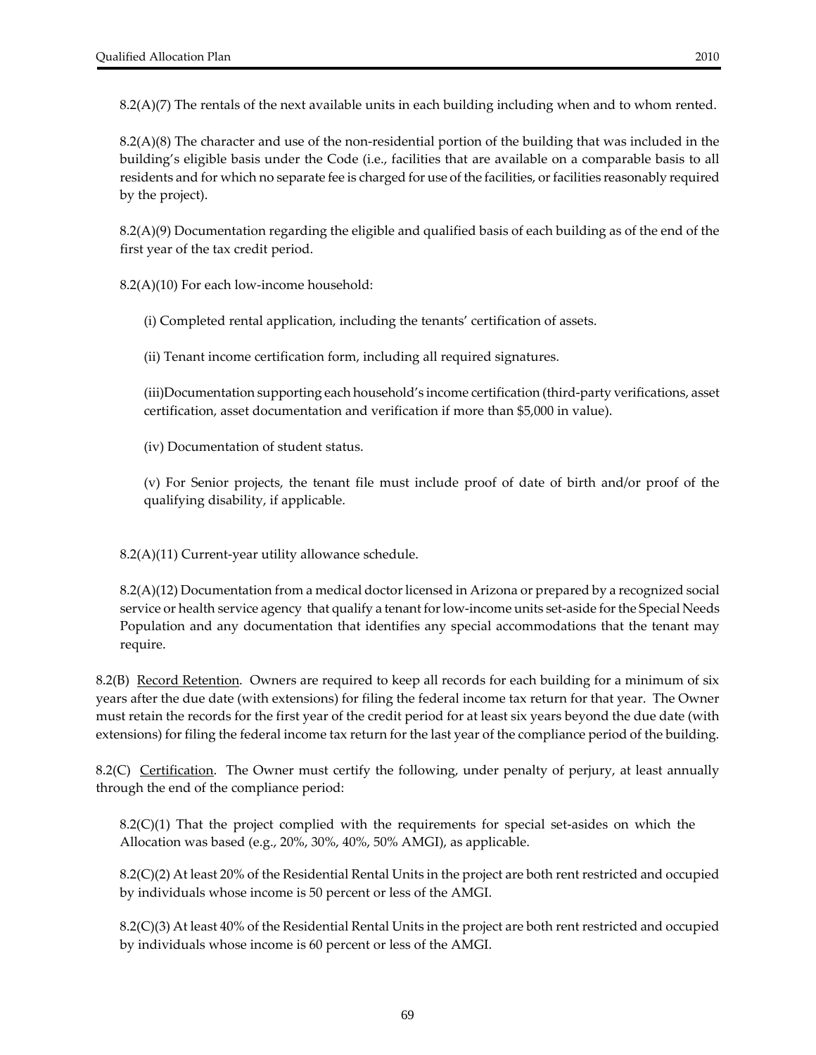8.2(A)(8) The character and use of the non‐residential portion of the building that was included in the building's eligible basis under the Code (i.e., facilities that are available on a comparable basis to all residents and for which no separate fee is charged for use of the facilities, or facilities reasonably required by the project).

8.2(A)(9) Documentation regarding the eligible and qualified basis of each building as of the end of the first year of the tax credit period.

8.2(A)(10) For each low‐income household:

(i) Completed rental application, including the tenants' certification of assets.

(ii) Tenant income certification form, including all required signatures.

(iii)Documentation supporting each household's income certification (third‐party verifications, asset certification, asset documentation and verification if more than \$5,000 in value).

(iv) Documentation of student status.

(v) For Senior projects, the tenant file must include proof of date of birth and/or proof of the qualifying disability, if applicable.

8.2(A)(11) Current‐year utility allowance schedule.

 $8.2(A)(12)$  Documentation from a medical doctor licensed in Arizona or prepared by a recognized social service or health service agency that qualify a tenant for low-income units set-aside for the Special Needs Population and any documentation that identifies any special accommodations that the tenant may require.

8.2(B) Record Retention. Owners are required to keep all records for each building for a minimum of six years after the due date (with extensions) for filing the federal income tax return for that year. The Owner must retain the records for the first year of the credit period for at least six years beyond the due date (with extensions) for filing the federal income tax return for the last year of the compliance period of the building.

8.2(C) Certification. The Owner must certify the following, under penalty of perjury, at least annually through the end of the compliance period:

 $8.2(C)(1)$  That the project complied with the requirements for special set-asides on which the Allocation was based (e.g., 20%, 30%, 40%, 50% AMGI), as applicable.

8.2(C)(2) At least 20% of the Residential Rental Units in the project are both rent restricted and occupied by individuals whose income is 50 percent or less of the AMGI.

8.2(C)(3) At least 40% of the Residential Rental Units in the project are both rent restricted and occupied by individuals whose income is 60 percent or less of the AMGI.

69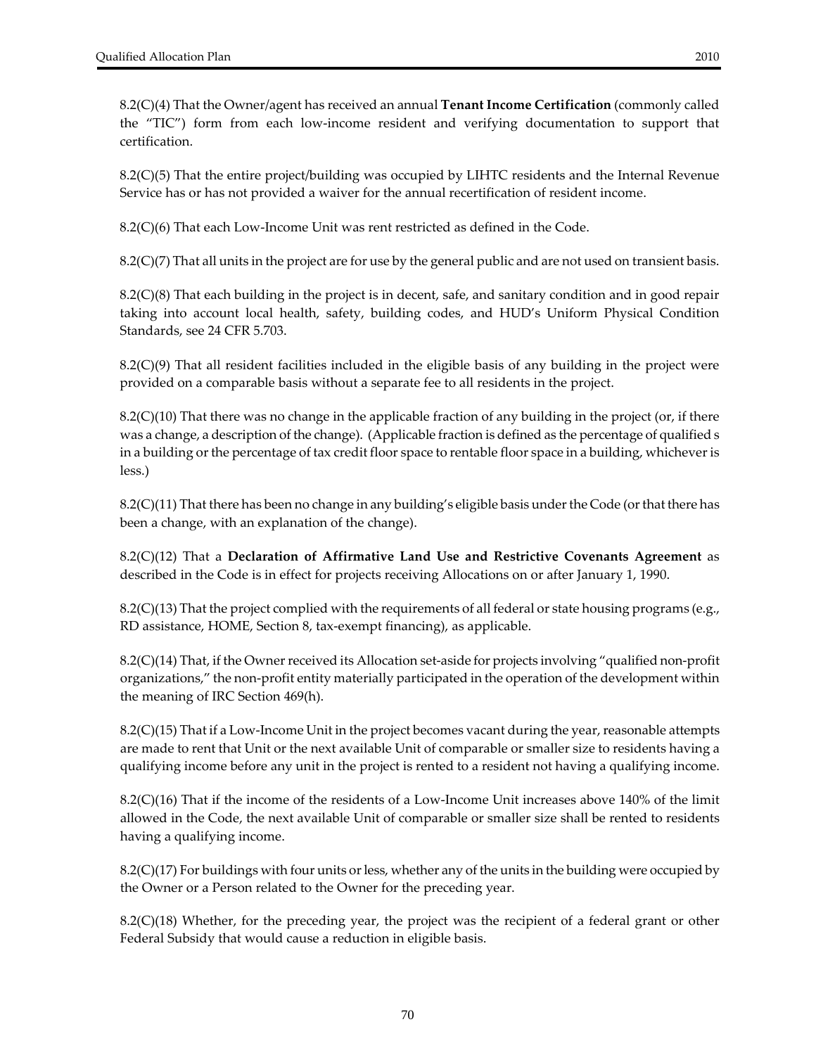8.2(C)(4) That the Owner/agent has received an annual **Tenant Income Certification** (commonly called the "TIC") form from each low‐income resident and verifying documentation to support that certification.

8.2(C)(5) That the entire project/building was occupied by LIHTC residents and the Internal Revenue Service has or has not provided a waiver for the annual recertification of resident income.

8.2(C)(6) That each Low‐Income Unit was rent restricted as defined in the Code.

8.2(C)(7) That all units in the project are for use by the general public and are not used on transient basis.

8.2(C)(8) That each building in the project is in decent, safe, and sanitary condition and in good repair taking into account local health, safety, building codes, and HUD's Uniform Physical Condition Standards, see 24 CFR 5.703.

8.2(C)(9) That all resident facilities included in the eligible basis of any building in the project were provided on a comparable basis without a separate fee to all residents in the project.

8.2(C)(10) That there was no change in the applicable fraction of any building in the project (or, if there was a change, a description of the change). (Applicable fraction is defined as the percentage of qualified s in a building or the percentage of tax credit floor space to rentable floor space in a building, whichever is less.)

8.2(C)(11) That there has been no change in any building's eligible basis under the Code (or that there has been a change, with an explanation of the change).

8.2(C)(12) That a **Declaration of Affirmative Land Use and Restrictive Covenants Agreement** as described in the Code is in effect for projects receiving Allocations on or after January 1, 1990.

 $8.2(C)(13)$  That the project complied with the requirements of all federal or state housing programs (e.g., RD assistance, HOME, Section 8, tax‐exempt financing), as applicable.

8.2(C)(14) That, if the Owner received its Allocation set-aside for projects involving "qualified non-profit organizations," the non‐profit entity materially participated in the operation of the development within the meaning of IRC Section 469(h).

 $8.2(C)(15)$  That if a Low-Income Unit in the project becomes vacant during the year, reasonable attempts are made to rent that Unit or the next available Unit of comparable or smaller size to residents having a qualifying income before any unit in the project is rented to a resident not having a qualifying income.

8.2(C)(16) That if the income of the residents of a Low‐Income Unit increases above 140% of the limit allowed in the Code, the next available Unit of comparable or smaller size shall be rented to residents having a qualifying income.

 $8.2(C)(17)$  For buildings with four units or less, whether any of the units in the building were occupied by the Owner or a Person related to the Owner for the preceding year.

8.2(C)(18) Whether, for the preceding year, the project was the recipient of a federal grant or other Federal Subsidy that would cause a reduction in eligible basis.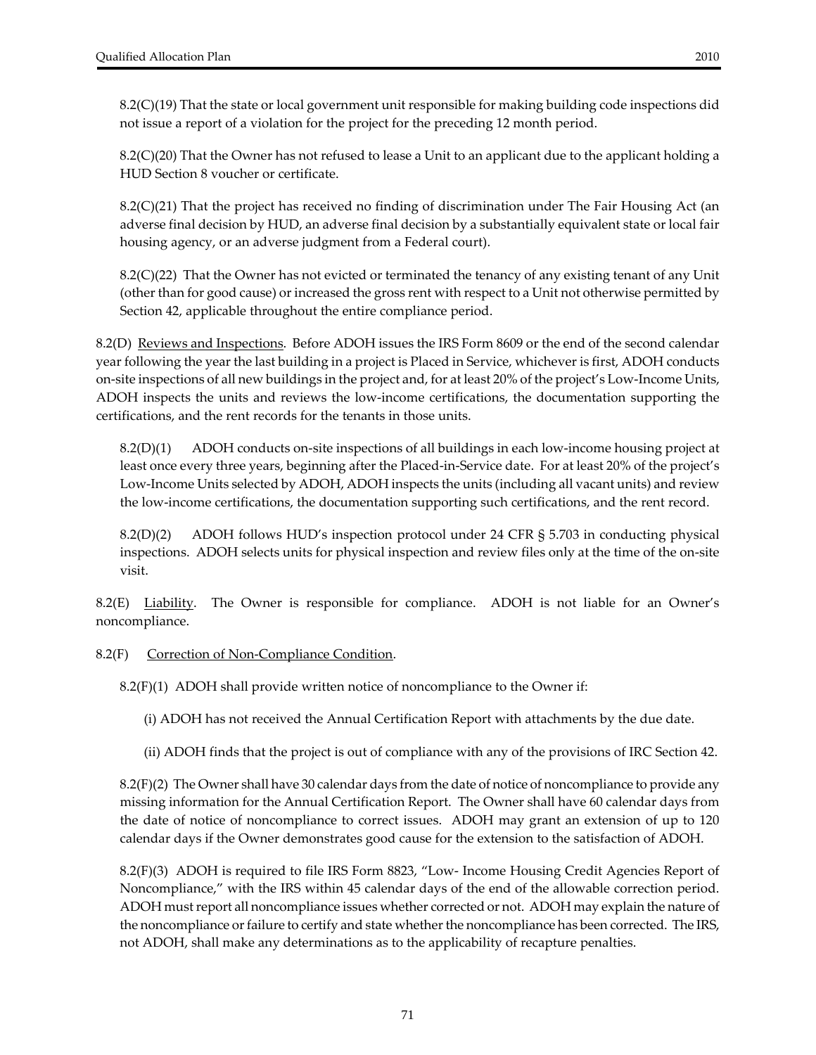8.2(C)(19) That the state or local government unit responsible for making building code inspections did not issue a report of a violation for the project for the preceding 12 month period.

8.2(C)(20) That the Owner has not refused to lease a Unit to an applicant due to the applicant holding a HUD Section 8 voucher or certificate.

8.2(C)(21) That the project has received no finding of discrimination under The Fair Housing Act (an adverse final decision by HUD, an adverse final decision by a substantially equivalent state or local fair housing agency, or an adverse judgment from a Federal court).

8.2(C)(22) That the Owner has not evicted or terminated the tenancy of any existing tenant of any Unit (other than for good cause) or increased the gross rent with respect to a Unit not otherwise permitted by Section 42, applicable throughout the entire compliance period.

8.2(D) Reviews and Inspections. Before ADOH issues the IRS Form 8609 or the end of the second calendar year following the year the last building in a project is Placed in Service, whichever is first, ADOH conducts on‐site inspections of all new buildings in the project and, for at least 20% of the project's Low‐Income Units, ADOH inspects the units and reviews the low‐income certifications, the documentation supporting the certifications, and the rent records for the tenants in those units.

8.2(D)(1) ADOH conducts on‐site inspections of all buildings in each low‐income housing project at least once every three years, beginning after the Placed‐in‐Service date. For at least 20% of the project's Low‐Income Units selected by ADOH, ADOH inspects the units (including all vacant units) and review the low‐income certifications, the documentation supporting such certifications, and the rent record.

8.2(D)(2) ADOH follows HUD's inspection protocol under 24 CFR § 5.703 in conducting physical inspections. ADOH selects units for physical inspection and review files only at the time of the on‐site visit.

8.2(E) Liability. The Owner is responsible for compliance. ADOH is not liable for an Owner's noncompliance.

8.2(F) Correction of Non-Compliance Condition.

8.2(F)(1) ADOH shall provide written notice of noncompliance to the Owner if:

(i) ADOH has not received the Annual Certification Report with attachments by the due date.

(ii) ADOH finds that the project is out of compliance with any of the provisions of IRC Section 42.

8.2(F)(2) The Owner shall have 30 calendar days from the date of notice of noncompliance to provide any missing information for the Annual Certification Report. The Owner shall have 60 calendar days from the date of notice of noncompliance to correct issues. ADOH may grant an extension of up to 120 calendar days if the Owner demonstrates good cause for the extension to the satisfaction of ADOH.

8.2(F)(3) ADOH is required to file IRS Form 8823, "Low‐ Income Housing Credit Agencies Report of Noncompliance," with the IRS within 45 calendar days of the end of the allowable correction period. ADOH mustreport all noncompliance issues whether corrected or not. ADOH may explain the nature of the noncompliance or failure to certify and state whether the noncompliance has been corrected. The IRS, not ADOH, shall make any determinations as to the applicability of recapture penalties.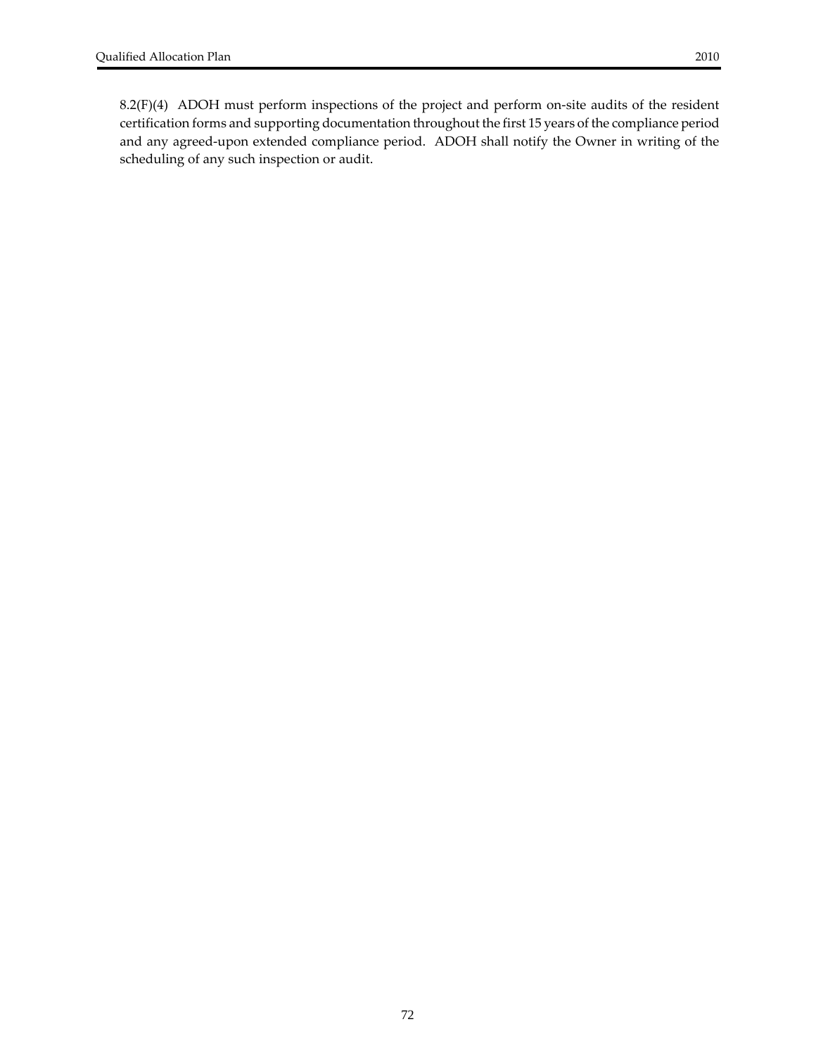8.2(F)(4) ADOH must perform inspections of the project and perform on‐site audits of the resident certification forms and supporting documentation throughout the first 15 years of the compliance period and any agreed‐upon extended compliance period. ADOH shall notify the Owner in writing of the scheduling of any such inspection or audit.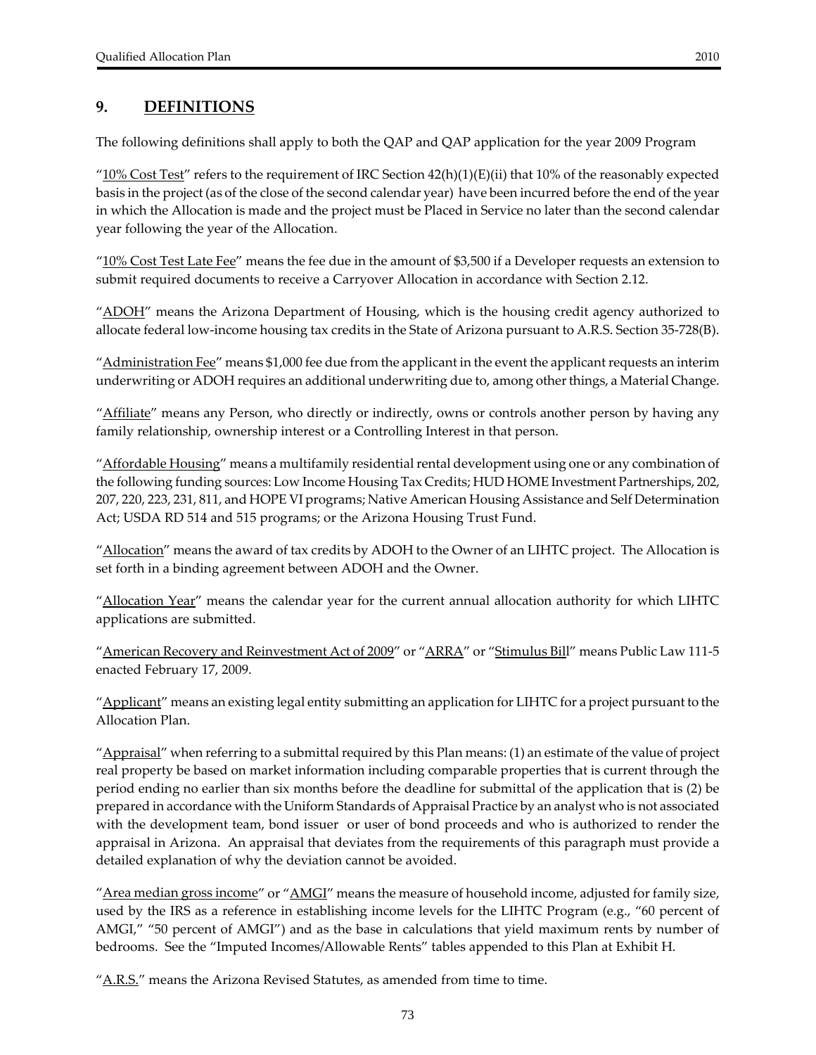## **9. DEFINITIONS**

The following definitions shall apply to both the QAP and QAP application for the year 2009 Program

" $10\%$  Cost Test" refers to the requirement of IRC Section  $42(h)(1)(E)(ii)$  that 10% of the reasonably expected basis in the project (as of the close of the second calendar year) have been incurred before the end of the year in which the Allocation is made and the project must be Placed in Service no later than the second calendar year following the year of the Allocation.

 $"10\%$  Cost Test Late Fee" means the fee due in the amount of \$3,500 if a Developer requests an extension to submit required documents to receive a Carryover Allocation in accordance with Section 2.12.

"ADOH" means the Arizona Department of Housing, which is the housing credit agency authorized to allocate federal low‐income housing tax credits in the State of Arizona pursuant to A.R.S. Section 35‐728(B).

"Administration Fee" means \$1,000 fee due from the applicant in the event the applicant requests an interim underwriting or ADOH requires an additional underwriting due to, among other things, a Material Change.

"Affiliate" means any Person, who directly or indirectly, owns or controls another person by having any family relationship, ownership interest or a Controlling Interest in that person.

"Affordable Housing" means a multifamily residential rental development using one or any combination of the following funding sources: Low Income Housing Tax Credits; HUD HOME Investment Partnerships, 202, 207, 220, 223, 231, 811, and HOPE VI programs; Native American Housing Assistance and Self Determination Act; USDA RD 514 and 515 programs; or the Arizona Housing Trust Fund.

"Allocation" means the award of tax credits by ADOH to the Owner of an LIHTC project. The Allocation is set forth in a binding agreement between ADOH and the Owner.

"Allocation Year" means the calendar year for the current annual allocation authority for which LIHTC applications are submitted.

"American Recovery and Reinvestment Act of 2009" or "ARRA" or "Stimulus Bill" means Public Law 111-5 enacted February 17, 2009.

"Applicant" means an existing legal entity submitting an application for LIHTC for a project pursuant to the Allocation Plan.

"Appraisal" when referring to a submittal required by this Plan means: (1) an estimate of the value of project real property be based on market information including comparable properties that is current through the period ending no earlier than six months before the deadline for submittal of the application that is (2) be prepared in accordance with the Uniform Standards of Appraisal Practice by an analyst who is not associated with the development team, bond issuer or user of bond proceeds and who is authorized to render the appraisal in Arizona. An appraisal that deviates from the requirements of this paragraph must provide a detailed explanation of why the deviation cannot be avoided.

"Area median gross income" or "AMGI" means the measure of household income, adjusted for family size, used by the IRS as a reference in establishing income levels for the LIHTC Program (e.g., "60 percent of AMGI," "50 percent of AMGI") and as the base in calculations that yield maximum rents by number of bedrooms. See the "Imputed Incomes/Allowable Rents" tables appended to this Plan at Exhibit H.

"A.R.S." means the Arizona Revised Statutes, as amended from time to time.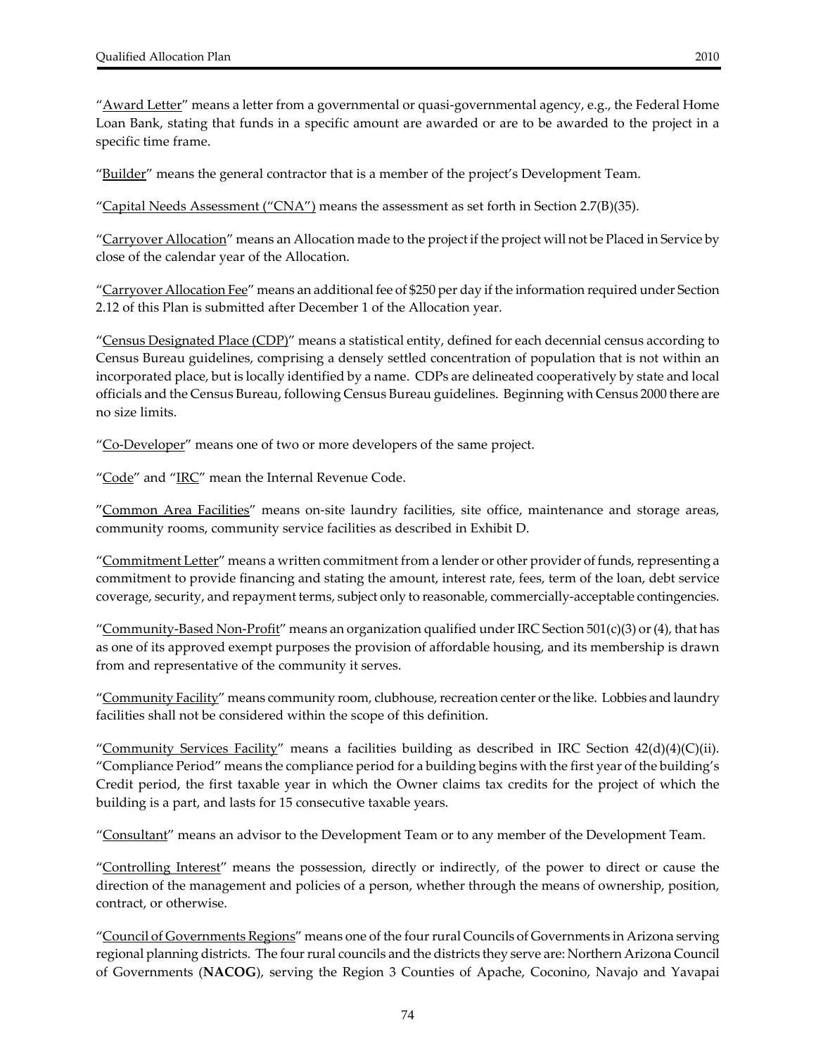"<u>Award Letter</u>" means a letter from a governmental or quasi-governmental agency, e.g., the Federal Home Loan Bank, stating that funds in a specific amount are awarded or are to be awarded to the project in a specific time frame.

"Builder" means the general contractor that is a member of the project's Development Team.

"Capital Needs Assessment ("CNA") means the assessment as set forth in Section 2.7(B)(35).

"Carryover Allocation" means an Allocation made to the project if the project will not be Placed in Service by close of the calendar year of the Allocation.

"Carryover Allocation Fee" means an additional fee of \$250 per day if the information required under Section 2.12 of this Plan is submitted after December 1 of the Allocation year.

"Census Designated Place (CDP)" means a statistical entity, defined for each decennial census according to Census Bureau guidelines, comprising a densely settled concentration of population that is not within an incorporated place, but is locally identified by a name. CDPs are delineated cooperatively by state and local officials and the Census Bureau, following Census Bureau guidelines. Beginning with Census 2000 there are no size limits.

"Co-Developer" means one of two or more developers of the same project.

"Code" and "IRC" mean the Internal Revenue Code.

"Common Area Facilities" means on-site laundry facilities, site office, maintenance and storage areas, community rooms, community service facilities as described in Exhibit D.

"Commitment Letter" means a written commitment from a lender or other provider of funds, representing a commitment to provide financing and stating the amount, interest rate, fees, term of the loan, debt service coverage, security, and repayment terms, subject only to reasonable, commercially‐acceptable contingencies.

"Community-Based Non-Profit" means an organization qualified under IRC Section 501(c)(3) or (4), that has as one of its approved exempt purposes the provision of affordable housing, and its membership is drawn from and representative of the community it serves.

"Community Facility" means community room, clubhouse, recreation center or the like. Lobbies and laundry facilities shall not be considered within the scope of this definition.

"Community Services Facility" means a facilities building as described in IRC Section  $42(d)(4)(C)(ii)$ . "Compliance Period" means the compliance period for a building begins with the first year of the building's Credit period, the first taxable year in which the Owner claims tax credits for the project of which the building is a part, and lasts for 15 consecutive taxable years.

"Consultant" means an advisor to the Development Team or to any member of the Development Team.

"Controlling Interest" means the possession, directly or indirectly, of the power to direct or cause the direction of the management and policies of a person, whether through the means of ownership, position, contract, or otherwise.

"Council of Governments Regions" means one of the four rural Councils of Governments in Arizona serving regional planning districts. The fourrural councils and the districts they serve are: Northern Arizona Council of Governments (**NACOG**), serving the Region 3 Counties of Apache, Coconino, Navajo and Yavapai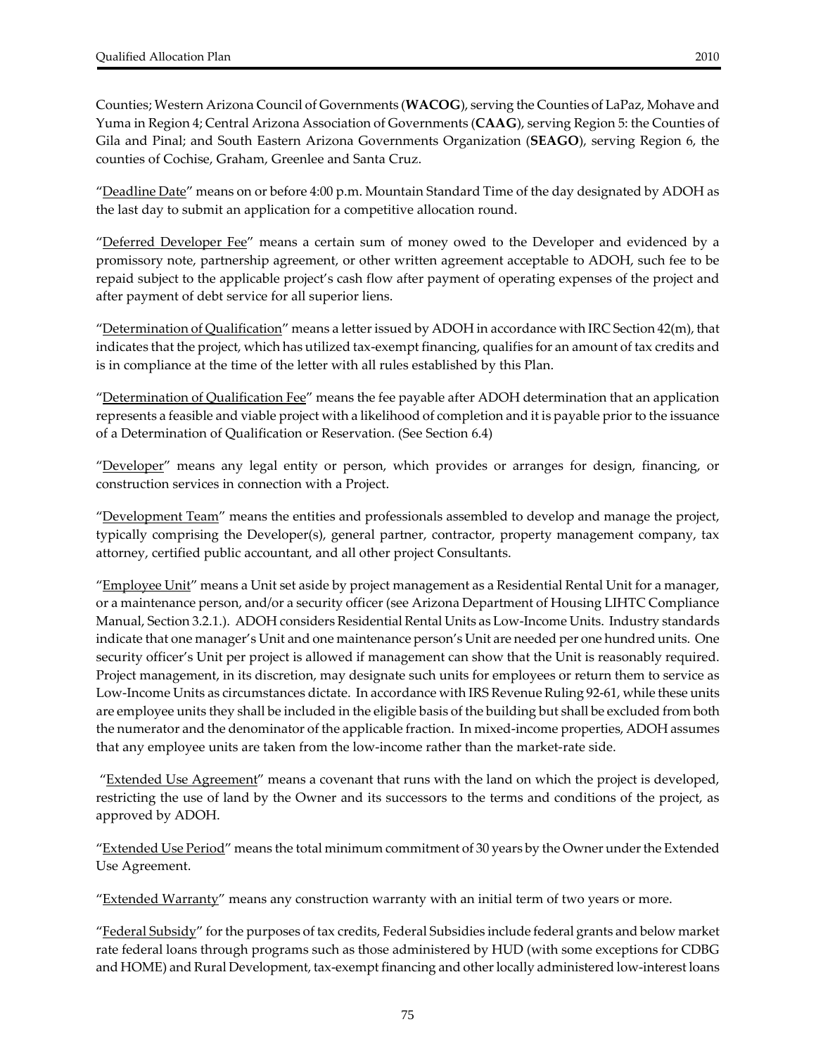Counties; Western Arizona Council of Governments (**WACOG**), serving the Counties of LaPaz, Mohave and Yuma in Region 4; Central Arizona Association of Governments (**CAAG**), serving Region 5: the Counties of Gila and Pinal; and South Eastern Arizona Governments Organization (**SEAGO**), serving Region 6, the counties of Cochise, Graham, Greenlee and Santa Cruz.

"Deadline Date" means on or before 4:00 p.m. Mountain Standard Time of the day designated by ADOH as the last day to submit an application for a competitive allocation round.

"Deferred Developer Fee" means a certain sum of money owed to the Developer and evidenced by a promissory note, partnership agreement, or other written agreement acceptable to ADOH, such fee to be repaid subject to the applicable project's cash flow after payment of operating expenses of the project and after payment of debt service for all superior liens.

"<u>Determination of Qualification</u>" means a letter issued by ADOH in accordance with IRC Section 42(m), that indicates that the project, which has utilized tax‐exempt financing, qualifies for an amount of tax credits and is in compliance at the time of the letter with all rules established by this Plan.

"Determination of Qualification Fee" means the fee payable after ADOH determination that an application represents a feasible and viable project with a likelihood of completion and it is payable priorto the issuance of a Determination of Qualification or Reservation. (See Section 6.4)

"Developer" means any legal entity or person, which provides or arranges for design, financing, or construction services in connection with a Project.

"Development Team" means the entities and professionals assembled to develop and manage the project, typically comprising the Developer(s), general partner, contractor, property management company, tax attorney, certified public accountant, and all other project Consultants.

"Employee Unit" means a Unit set aside by project management as a Residential Rental Unit for a manager, or a maintenance person, and/or a security officer (see Arizona Department of Housing LIHTC Compliance Manual, Section 3.2.1.). ADOH considers Residential Rental Units as Low‐Income Units. Industry standards indicate that one manager's Unit and one maintenance person's Unit are needed per one hundred units. One security officer's Unit per project is allowed if management can show that the Unit is reasonably required. Project management, in its discretion, may designate such units for employees or return them to service as Low‐Income Units as circumstances dictate. In accordance with IRS Revenue Ruling 92‐61, while these units are employee units they shall be included in the eligible basis of the building but shall be excluded from both the numerator and the denominator of the applicable fraction. In mixed-income properties, ADOH assumes that any employee units are taken from the low‐income rather than the market‐rate side.

"Extended Use Agreement" means a covenant that runs with the land on which the project is developed, restricting the use of land by the Owner and its successors to the terms and conditions of the project, as approved by ADOH.

"Extended Use Period" means the total minimum commitment of 30 years by the Owner under the Extended Use Agreement.

"Extended Warranty" means any construction warranty with an initial term of two years or more.

"<u>Federal Subsidy</u>" for the purposes of tax credits, Federal Subsidies include federal grants and below market rate federal loans through programs such as those administered by HUD (with some exceptions for CDBG and HOME) and Rural Development, tax‐exempt financing and otherlocally administered low‐interest loans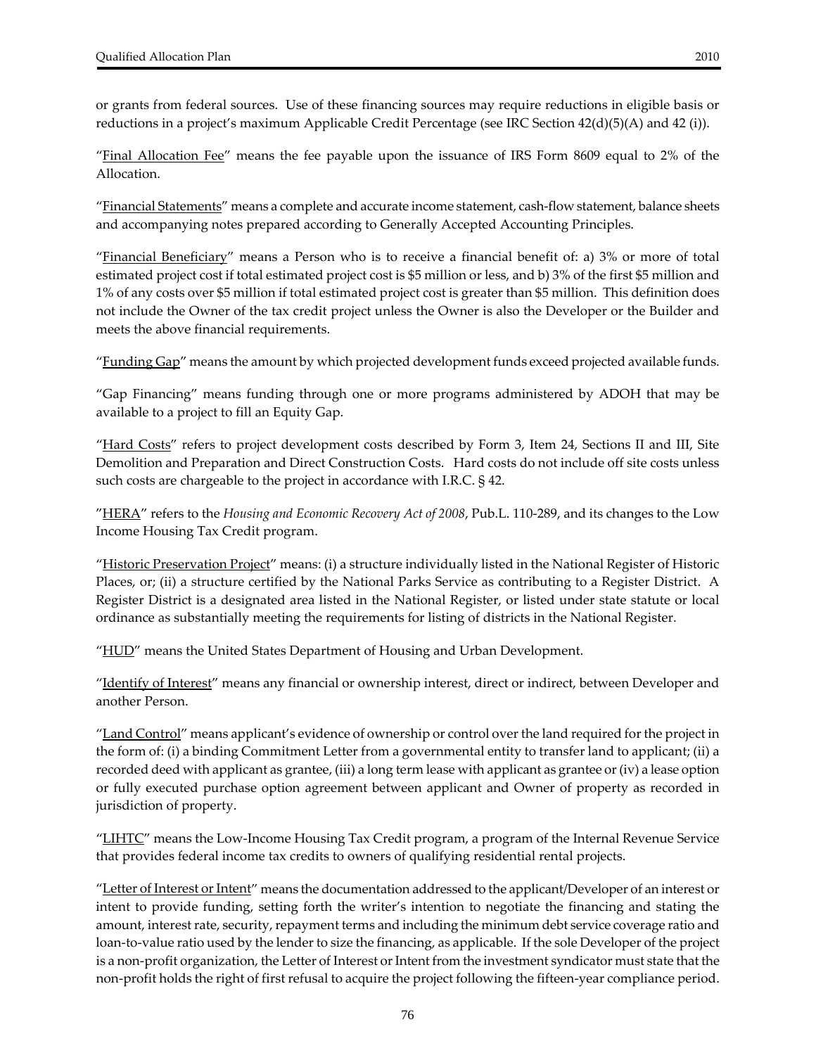or grants from federal sources. Use of these financing sources may require reductions in eligible basis or reductions in a project's maximum Applicable Credit Percentage (see IRC Section 42(d)(5)(A) and 42 (i)).

"Final Allocation Fee" means the fee payable upon the issuance of IRS Form 8609 equal to 2% of the Allocation.

"Financial Statements" means a complete and accurate income statement, cash‐flow statement, balance sheets and accompanying notes prepared according to Generally Accepted Accounting Principles.

"Financial Beneficiary" means a Person who is to receive a financial benefit of: a) 3% or more of total estimated project cost if total estimated project cost is \$5 million or less, and b) 3% of the first \$5 million and 1% of any costs over \$5 million if total estimated project cost is greater than \$5 million. This definition does not include the Owner of the tax credit project unless the Owner is also the Developer or the Builder and meets the above financial requirements.

"Funding Gap" means the amount by which projected development funds exceed projected available funds.

"Gap Financing" means funding through one or more programs administered by ADOH that may be available to a project to fill an Equity Gap.

"Hard Costs" refers to project development costs described by Form 3, Item 24, Sections II and III, Site Demolition and Preparation and Direct Construction Costs. Hard costs do not include off site costs unless such costs are chargeable to the project in accordance with I.R.C. § 42.

"HERA" refers to the *Housing and Economic Recovery Act of 2008*, Pub.L. 110‐289, and its changes to the Low Income Housing Tax Credit program.

"Historic Preservation Project" means: (i) a structure individually listed in the National Register of Historic Places, or; (ii) a structure certified by the National Parks Service as contributing to a Register District. A Register District is a designated area listed in the National Register, or listed under state statute or local ordinance as substantially meeting the requirements for listing of districts in the National Register.

 $\mu_{\rm HUD}^{\prime\prime}$  means the United States Department of Housing and Urban Development.

"Identify of Interest" means any financial or ownership interest, direct or indirect, between Developer and another Person.

"Land Control" means applicant's evidence of ownership or control over the land required for the project in the form of: (i) a binding Commitment Letter from a governmental entity to transfer land to applicant; (ii) a recorded deed with applicant as grantee, (iii) a long term lease with applicant as grantee or (iv) a lease option or fully executed purchase option agreement between applicant and Owner of property as recorded in jurisdiction of property.

"LIHTC" means the Low-Income Housing Tax Credit program, a program of the Internal Revenue Service that provides federal income tax credits to owners of qualifying residential rental projects.

"Letter of Interest or Intent" means the documentation addressed to the applicant/Developer of an interest or intent to provide funding, setting forth the writer's intention to negotiate the financing and stating the amount, interest rate, security, repayment terms and including the minimum debt service coverage ratio and loan-to-value ratio used by the lender to size the financing, as applicable. If the sole Developer of the project is a non-profit organization, the Letter of Interest or Intent from the investment syndicator must state that the non‐profit holds the right of first refusal to acquire the project following the fifteen‐year compliance period.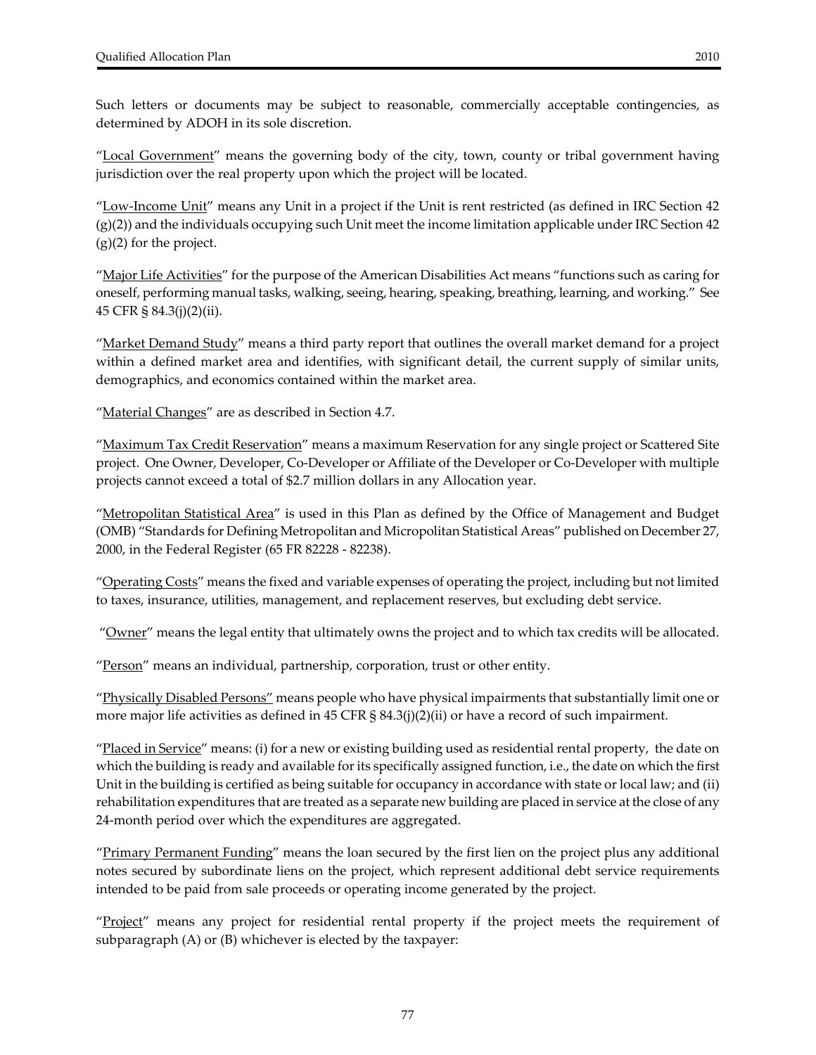Such letters or documents may be subject to reasonable, commercially acceptable contingencies, as determined by ADOH in its sole discretion.

"Local Government" means the governing body of the city, town, county or tribal government having jurisdiction over the real property upon which the project will be located.

"Low‐Income Unit" means any Unit in a project if the Unit is rent restricted (as defined in IRC Section 42  $(g)(2)$ ) and the individuals occupying such Unit meet the income limitation applicable under IRC Section 42  $(g)(2)$  for the project.

"<u>Major Life Activities</u>" for the purpose of the American Disabilities Act means "functions such as caring for oneself, performing manual tasks, walking, seeing, hearing, speaking, breathing, learning, and working." See 45 CFR § 84.3(j)(2)(ii).

"Market Demand Study" means a third party report that outlines the overall market demand for a project within a defined market area and identifies, with significant detail, the current supply of similar units, demographics, and economics contained within the market area.

"Material Changes" are as described in Section 4.7.

"Maximum Tax Credit Reservation" means a maximum Reservation for any single project or Scattered Site project. One Owner, Developer, Co‐Developer or Affiliate of the Developer or Co‐Developer with multiple projects cannot exceed a total of \$2.7 million dollars in any Allocation year.

"Metropolitan Statistical Area" is used in this Plan as defined by the Office of Management and Budget (OMB) "Standards for Defining Metropolitan and Micropolitan Statistical Areas" published on December 27, 2000, in the Federal Register (65 FR 82228 ‐ 82238).

"Operating Costs" means the fixed and variable expenses of operating the project, including but not limited to taxes, insurance, utilities, management, and replacement reserves, but excluding debt service.

" $\overline{O}$ wner" means the legal entity that ultimately owns the project and to which tax credits will be allocated.

"Person" means an individual, partnership, corporation, trust or other entity.

"Physically Disabled Persons" means people who have physical impairments that substantially limit one or more major life activities as defined in 45 CFR § 84.3(j)(2)(ii) or have a record of such impairment.

"Placed in Service" means: (i) for a new or existing building used as residential rental property, the date on which the building is ready and available for its specifically assigned function, i.e., the date on which the first Unit in the building is certified as being suitable for occupancy in accordance with state or local law; and (ii) rehabilitation expenditures that are treated as a separate new building are placed in service at the close of any 24‐month period over which the expenditures are aggregated.

"Primary Permanent Funding" means the loan secured by the first lien on the project plus any additional notes secured by subordinate liens on the project, which represent additional debt service requirements intended to be paid from sale proceeds or operating income generated by the project.

"Project" means any project for residential rental property if the project meets the requirement of subparagraph (A) or (B) whichever is elected by the taxpayer: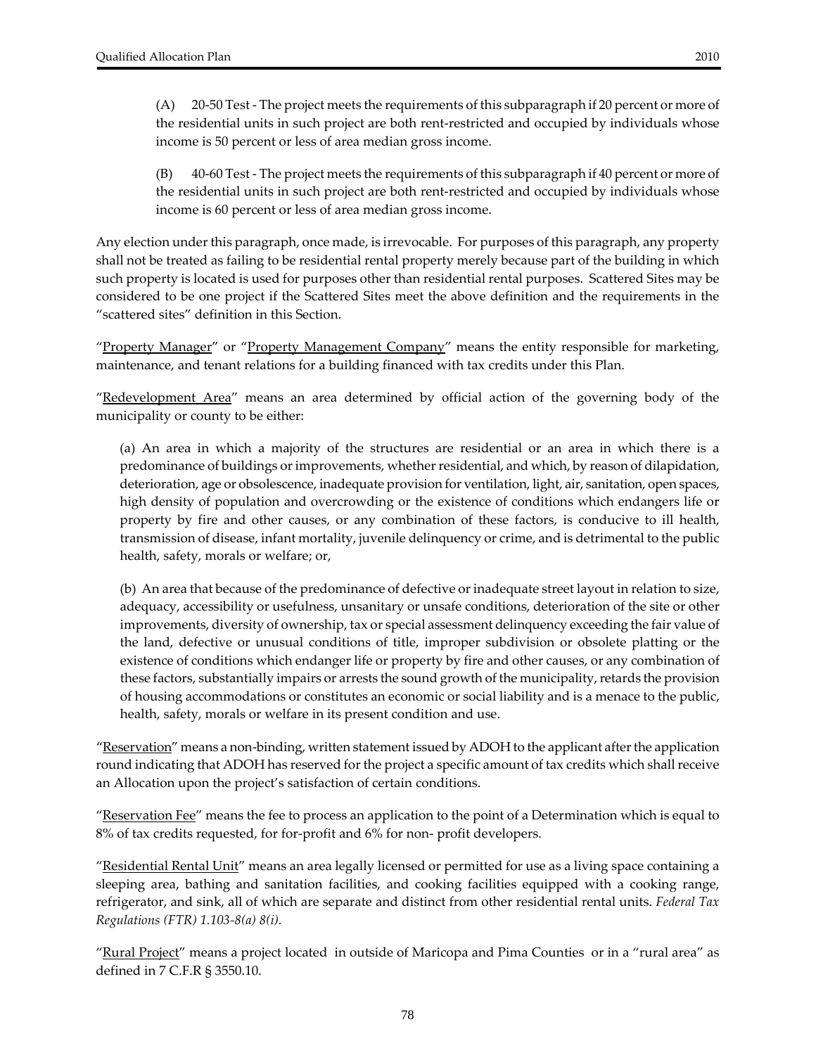(A) 20‐50 Test ‐ The project meets the requirements of this subparagraph if 20 percent or more of the residential units in such project are both rent‐restricted and occupied by individuals whose income is 50 percent or less of area median gross income.

(B) 40‐60 Test ‐ The project meets the requirements of this subparagraph if 40 percent or more of the residential units in such project are both rent‐restricted and occupied by individuals whose income is 60 percent or less of area median gross income.

Any election under this paragraph, once made, is irrevocable. For purposes of this paragraph, any property shall not be treated as failing to be residential rental property merely because part of the building in which such property is located is used for purposes other than residential rental purposes. Scattered Sites may be considered to be one project if the Scattered Sites meet the above definition and the requirements in the "scattered sites" definition in this Section.

"Property Manager" or "Property Management Company" means the entity responsible for marketing, maintenance, and tenant relations for a building financed with tax credits under this Plan.

"Redevelopment Area" means an area determined by official action of the governing body of the municipality or county to be either:

(a) An area in which a majority of the structures are residential or an area in which there is a predominance of buildings or improvements, whether residential, and which, by reason of dilapidation, deterioration, age or obsolescence, inadequate provision for ventilation, light, air, sanitation, open spaces, high density of population and overcrowding or the existence of conditions which endangers life or property by fire and other causes, or any combination of these factors, is conducive to ill health, transmission of disease, infant mortality, juvenile delinquency or crime, and is detrimental to the public health, safety, morals or welfare; or,

(b) An area that because of the predominance of defective or inadequate street layout in relation to size, adequacy, accessibility or usefulness, unsanitary or unsafe conditions, deterioration of the site or other improvements, diversity of ownership, tax or special assessment delinquency exceeding the fair value of the land, defective or unusual conditions of title, improper subdivision or obsolete platting or the existence of conditions which endanger life or property by fire and other causes, or any combination of these factors, substantially impairs or arrests the sound growth of the municipality, retards the provision of housing accommodations or constitutes an economic or social liability and is a menace to the public, health, safety, morals or welfare in its present condition and use.

"Reservation" means a non-binding, written statement issued by ADOH to the applicant after the application round indicating that ADOH has reserved for the project a specific amount of tax credits which shallreceive an Allocation upon the project's satisfaction of certain conditions.

"<u>Reservation Fee</u>" means the fee to process an application to the point of a Determination which is equal to 8% of tax credits requested, for for‐profit and 6% for non‐ profit developers.

"Residential Rental Unit" means an area legally licensed or permitted for use as a living space containing a sleeping area, bathing and sanitation facilities, and cooking facilities equipped with a cooking range, refrigerator, and sink, all of which are separate and distinct from other residential rental units. *Federal Tax Regulations (FTR) 1.103‐8(a) 8(i).*

"Rural Project" means a project located in outside of Maricopa and Pima Counties or in a "rural area" as defined in 7 C.F.R § 3550.10.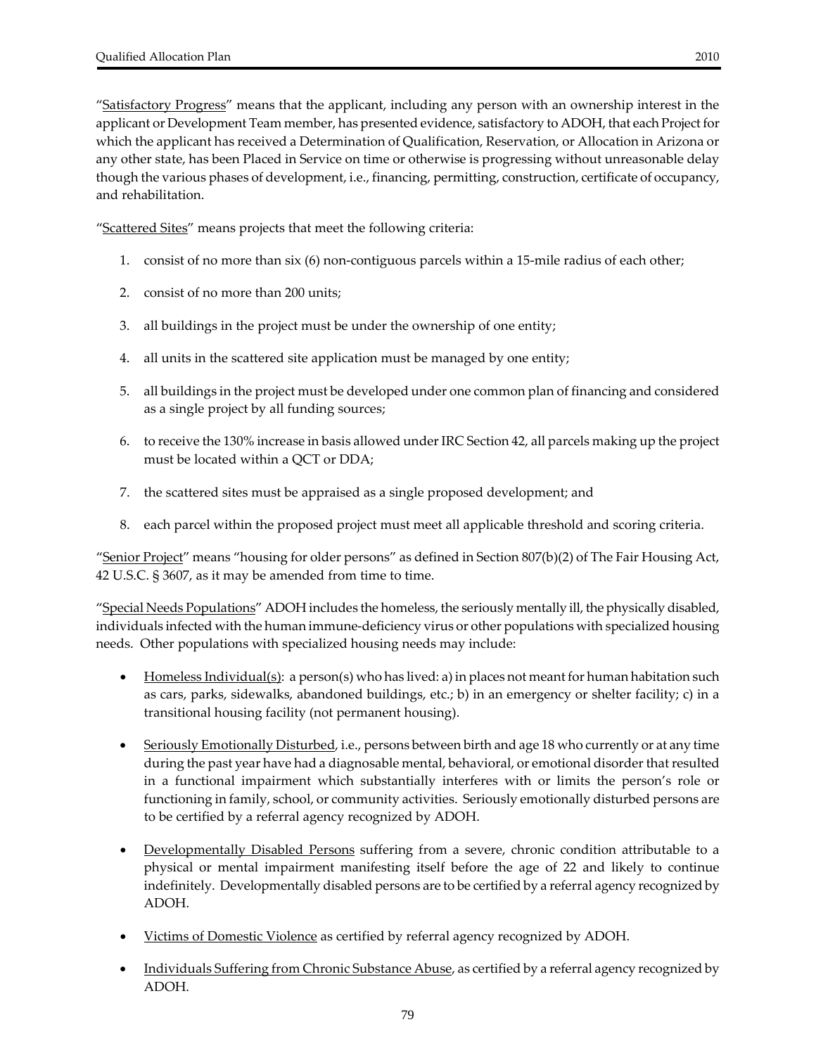"Satisfactory Progress" means that the applicant, including any person with an ownership interest in the applicant or Development Team member, has presented evidence, satisfactory to ADOH, that each Project for which the applicant has received a Determination of Qualification, Reservation, or Allocation in Arizona or any other state, has been Placed in Service on time or otherwise is progressing without unreasonable delay though the various phases of development, i.e., financing, permitting, construction, certificate of occupancy, and rehabilitation.

"Scattered Sites" means projects that meet the following criteria:

- 1. consist of no more than six (6) non-contiguous parcels within a 15-mile radius of each other;
- 2. consist of no more than 200 units;
- 3. all buildings in the project must be under the ownership of one entity;
- 4. all units in the scattered site application must be managed by one entity;
- 5. all buildings in the project must be developed under one common plan of financing and considered as a single project by all funding sources;
- 6. to receive the 130% increase in basis allowed underIRC Section 42, all parcels making up the project must be located within a QCT or DDA;
- 7. the scattered sites must be appraised as a single proposed development; and
- 8. each parcel within the proposed project must meet all applicable threshold and scoring criteria.

"Senior Project" means "housing for older persons" as defined in Section 807(b)(2) of The Fair Housing Act, 42 U.S.C. § 3607, as it may be amended from time to time.

"Special Needs Populations" ADOH includes the homeless, the seriously mentally ill, the physically disabled, individuals infected with the human immune‐deficiency virus or other populations with specialized housing needs. Other populations with specialized housing needs may include:

- Homeless Individual(s): a person(s) who has lived: a) in places not meant for human habitation such as cars, parks, sidewalks, abandoned buildings, etc.; b) in an emergency or shelter facility; c) in a transitional housing facility (not permanent housing).
- Seriously Emotionally Disturbed, i.e., persons between birth and age 18 who currently or at any time during the past year have had a diagnosable mental, behavioral, or emotional disorder that resulted in a functional impairment which substantially interferes with or limits the person's role or functioning in family, school, or community activities. Seriously emotionally disturbed persons are to be certified by a referral agency recognized by ADOH.
- Developmentally Disabled Persons suffering from a severe, chronic condition attributable to a physical or mental impairment manifesting itself before the age of 22 and likely to continue indefinitely. Developmentally disabled persons are to be certified by a referral agency recognized by ADOH.
- Victims of Domestic Violence as certified by referral agency recognized by ADOH.
- Individuals Suffering from Chronic Substance Abuse, as certified by a referral agency recognized by ADOH.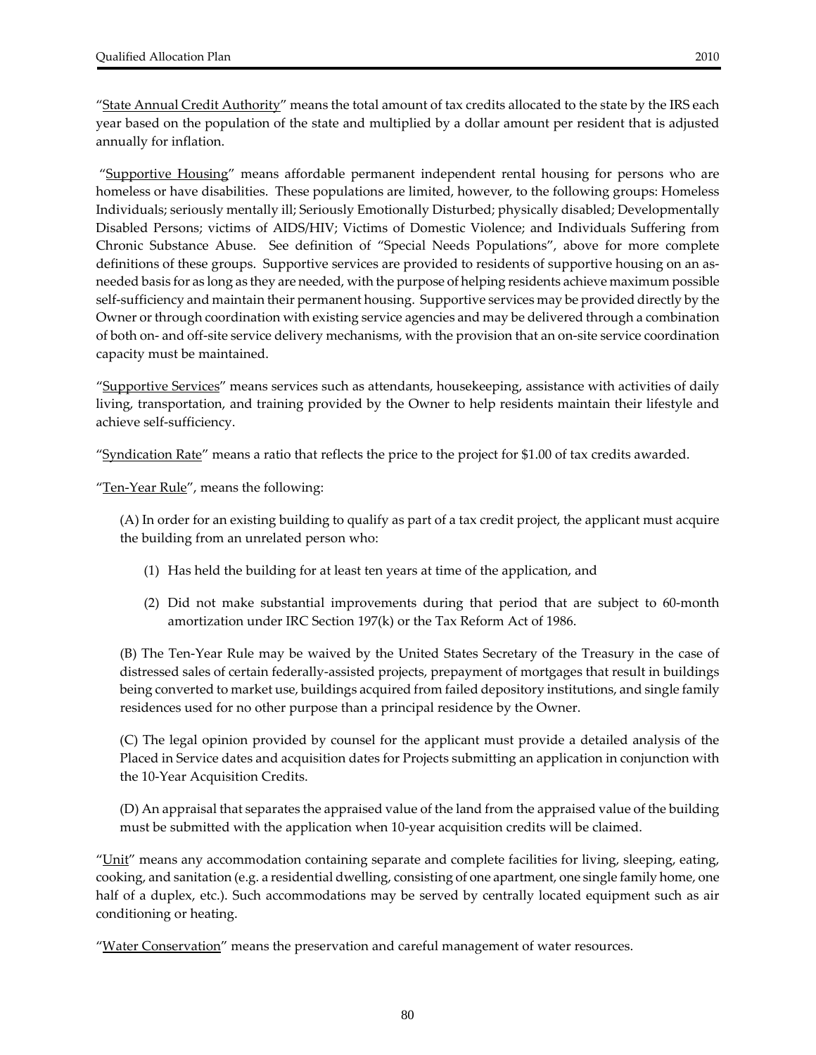"State Annual Credit Authority" means the total amount of tax credits allocated to the state by the IRS each year based on the population of the state and multiplied by a dollar amount per resident that is adjusted annually for inflation.

"Supportive Housing" means affordable permanent independent rental housing for persons who are homeless or have disabilities. These populations are limited, however, to the following groups: Homeless Individuals; seriously mentally ill; Seriously Emotionally Disturbed; physically disabled; Developmentally Disabled Persons; victims of AIDS/HIV; Victims of Domestic Violence; and Individuals Suffering from Chronic Substance Abuse. See definition of "Special Needs Populations", above for more complete definitions of these groups. Supportive services are provided to residents of supportive housing on an asneeded basis for as long as they are needed, with the purpose of helping residents achieve maximum possible self-sufficiency and maintain their permanent housing. Supportive services may be provided directly by the Owner or through coordination with existing service agencies and may be delivered through a combination of both on‐ and off‐site service delivery mechanisms, with the provision that an on‐site service coordination capacity must be maintained.

"Supportive Services" means services such as attendants, housekeeping, assistance with activities of daily living, transportation, and training provided by the Owner to help residents maintain their lifestyle and achieve self‐sufficiency.

"Syndication Rate" means a ratio that reflects the price to the project for \$1.00 of tax credits awarded.

"Ten-Year Rule", means the following:

(A) In order for an existing building to qualify as part of a tax credit project, the applicant must acquire the building from an unrelated person who:

- (1) Has held the building for at least ten years at time of the application, and
- (2) Did not make substantial improvements during that period that are subject to 60‐month amortization under IRC Section 197(k) or the Tax Reform Act of 1986.

(B) The Ten‐Year Rule may be waived by the United States Secretary of the Treasury in the case of distressed sales of certain federally‐assisted projects, prepayment of mortgages that result in buildings being converted to market use, buildings acquired from failed depository institutions, and single family residences used for no other purpose than a principal residence by the Owner.

(C) The legal opinion provided by counsel for the applicant must provide a detailed analysis of the Placed in Service dates and acquisition dates for Projects submitting an application in conjunction with the 10‐Year Acquisition Credits.

(D) An appraisal that separates the appraised value of the land from the appraised value of the building must be submitted with the application when 10‐year acquisition credits will be claimed.

"Unit" means any accommodation containing separate and complete facilities for living, sleeping, eating, cooking, and sanitation (e.g. a residential dwelling, consisting of one apartment, one single family home, one half of a duplex, etc.). Such accommodations may be served by centrally located equipment such as air conditioning or heating.

"Water Conservation" means the preservation and careful management of water resources.